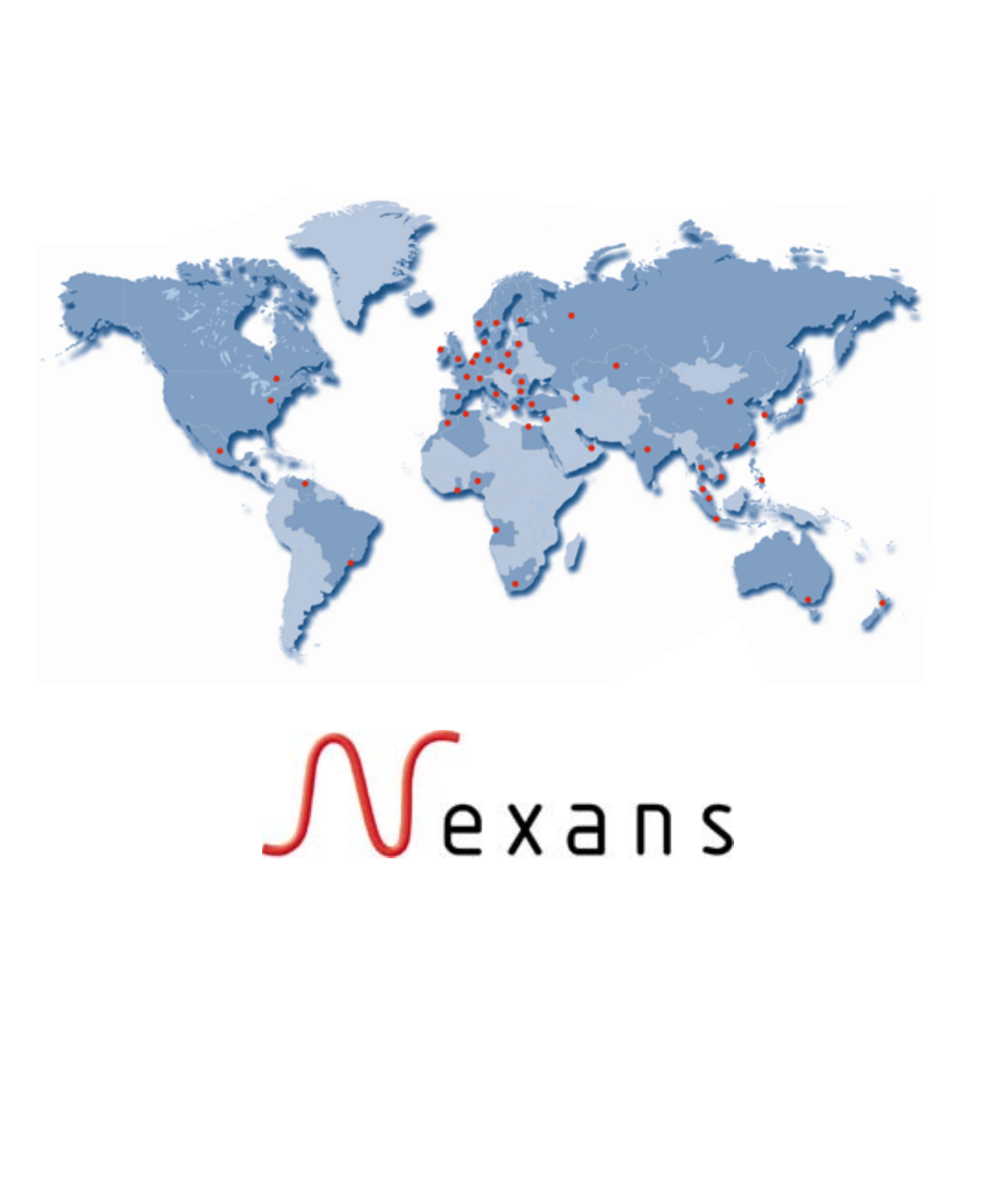

# $\mathcal{N}$ exans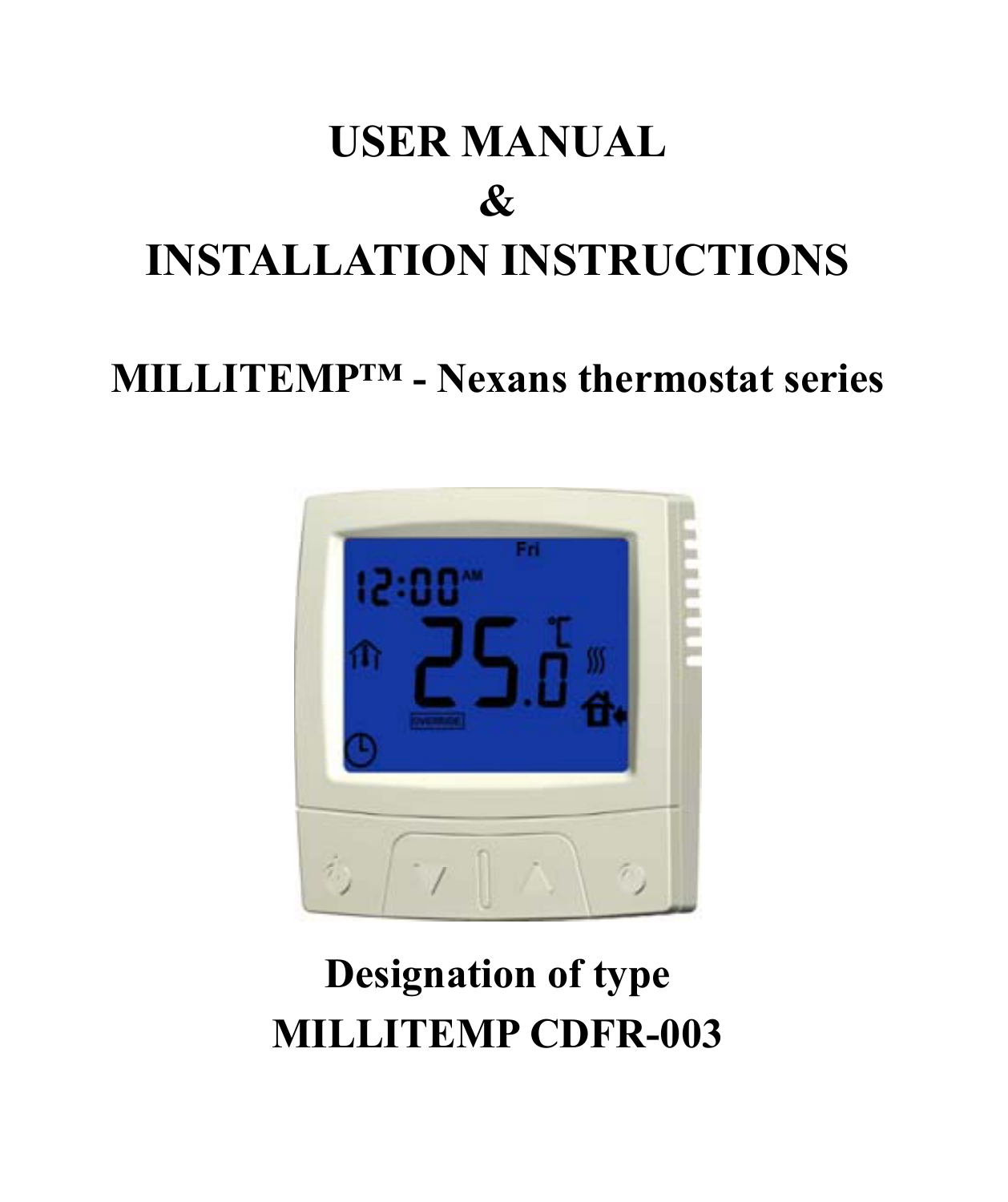### **USER MANUAL & INSTALLATION INSTRUCTIONS**

### **MILLITEMP™ - Nexans thermostat series**



### **Designation of type MILLITEMP CDFR-003**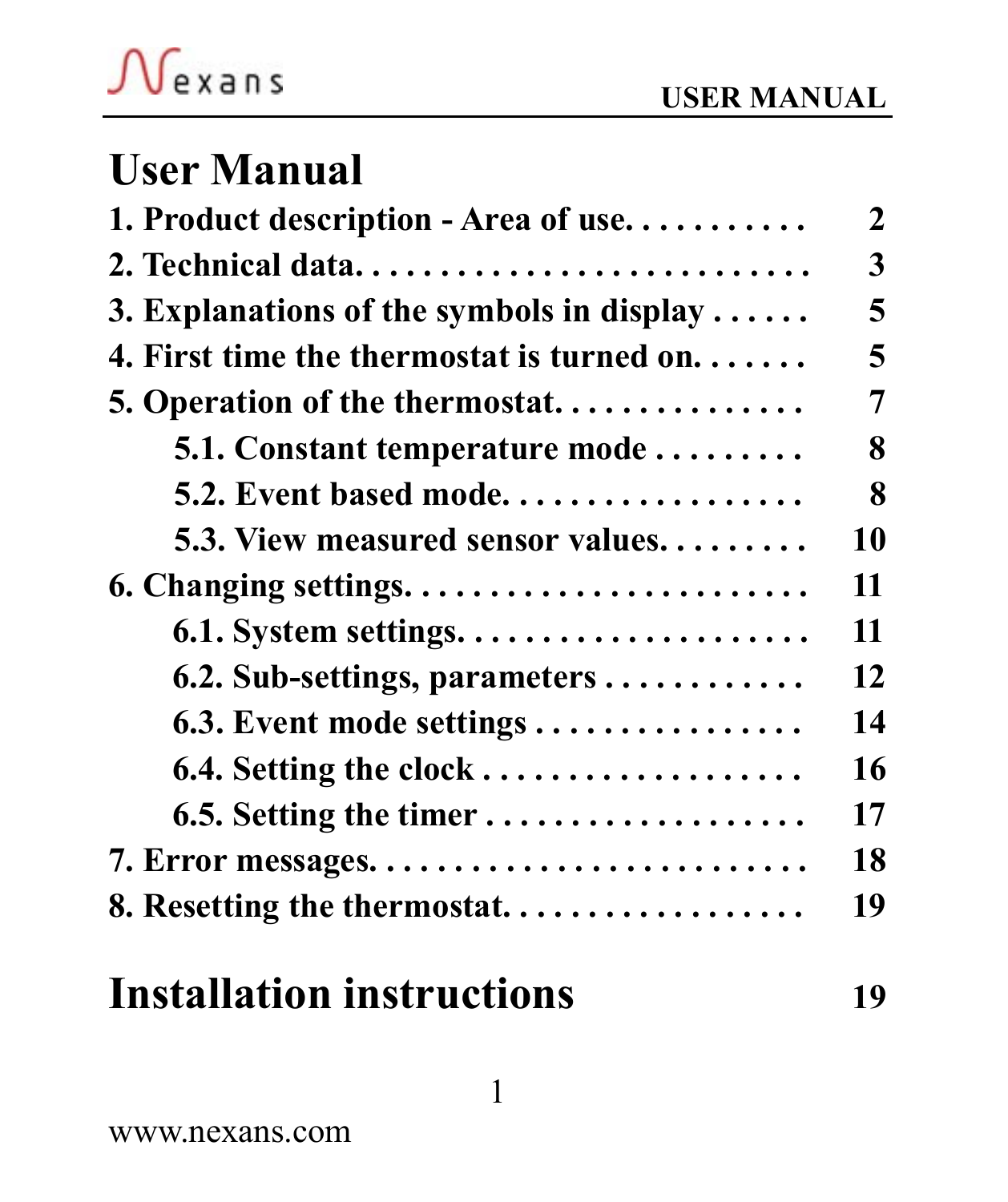### **User Manual**

| 1. Product description - Area of use                         | 2  |
|--------------------------------------------------------------|----|
| 2. Technical data                                            | 3  |
| 3. Explanations of the symbols in display $\dots$ .          | 5  |
| 4. First time the thermostat is turned on. $\dots$           | 5  |
| 5. Operation of the thermostat                               | 7  |
| 5.1. Constant temperature mode                               | 8  |
| 5.2. Event based mode                                        | 8  |
| 5.3. View measured sensor values.                            | 10 |
|                                                              | 11 |
|                                                              | 11 |
| 6.2. Sub-settings, parameters                                | 12 |
| $6.3.$ Event mode settings $\dots\dots\dots\dots\dots\dots$  | 14 |
| 6.4. Setting the clock $\dots\dots\dots\dots\dots\dots\dots$ | 16 |
| $6.5.$ Setting the timer                                     | 17 |
|                                                              | 18 |
| 8. Resetting the thermostat                                  | 19 |
| <b>Installation instructions</b>                             | 19 |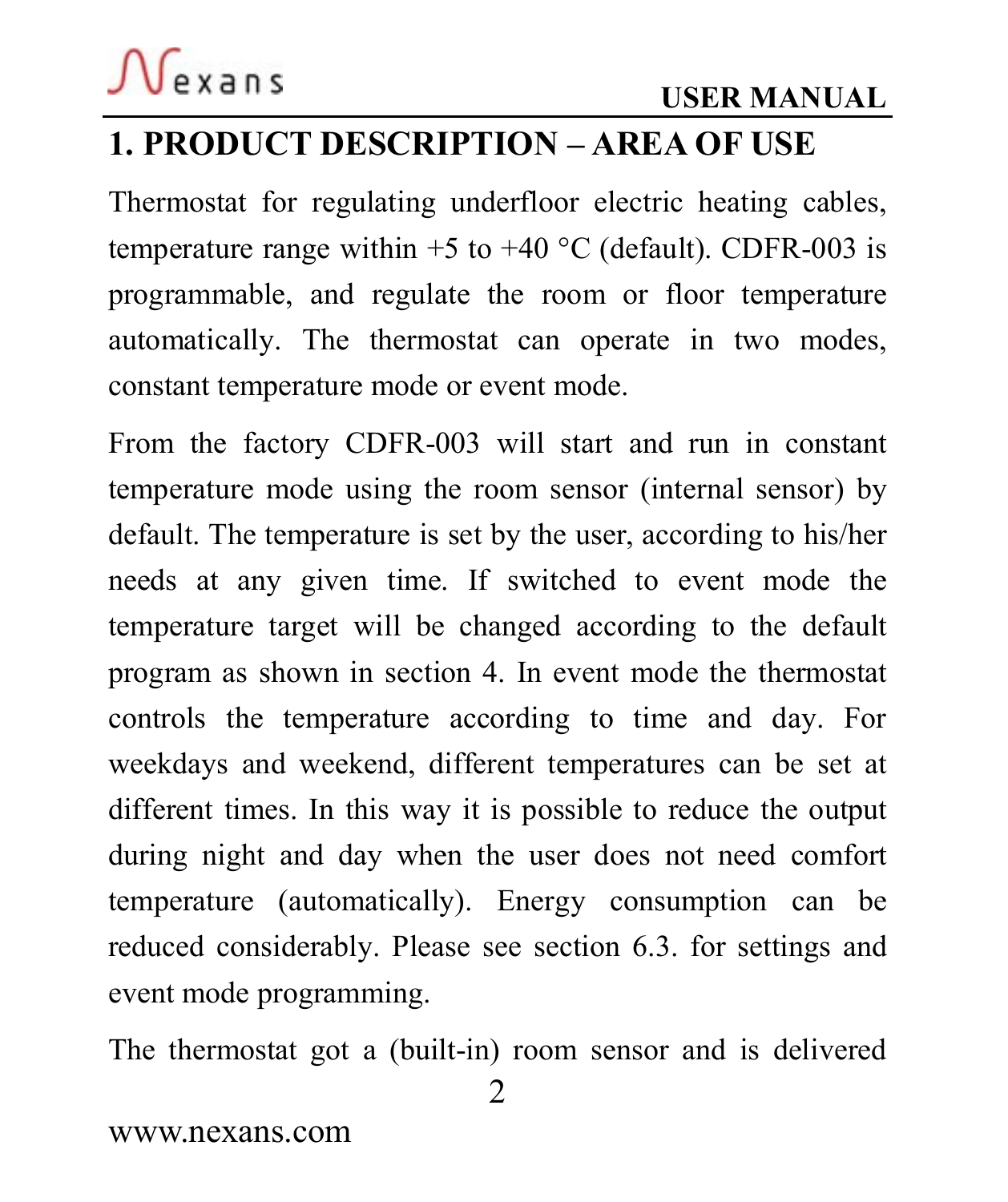#### **1. PRODUCT DESCRIPTION – AREA OF USE**

Thermostat for regulating underfloor electric heating cables, temperature range within  $+5$  to  $+40$  °C (default). CDFR-003 is programmable, and regulate the room or floor temperature automatically. The thermostat can operate in two modes, constant temperature mode or event mode.

From the factory CDFR-003 will start and run in constant temperature mode using the room sensor (internal sensor) by default. The temperature is set by the user, according to his/her needs at any given time. If switched to event mode the temperature target will be changed according to the default program as shown in section 4. In event mode the thermostat controls the temperature according to time and day. For weekdays and weekend, different temperatures can be set at different times. In this way it is possible to reduce the output during night and day when the user does not need comfort temperature (automatically). Energy consumption can be reduced considerably. Please see section 6.3. for settings and event mode programming.

The thermostat got a (built-in) room sensor and is delivered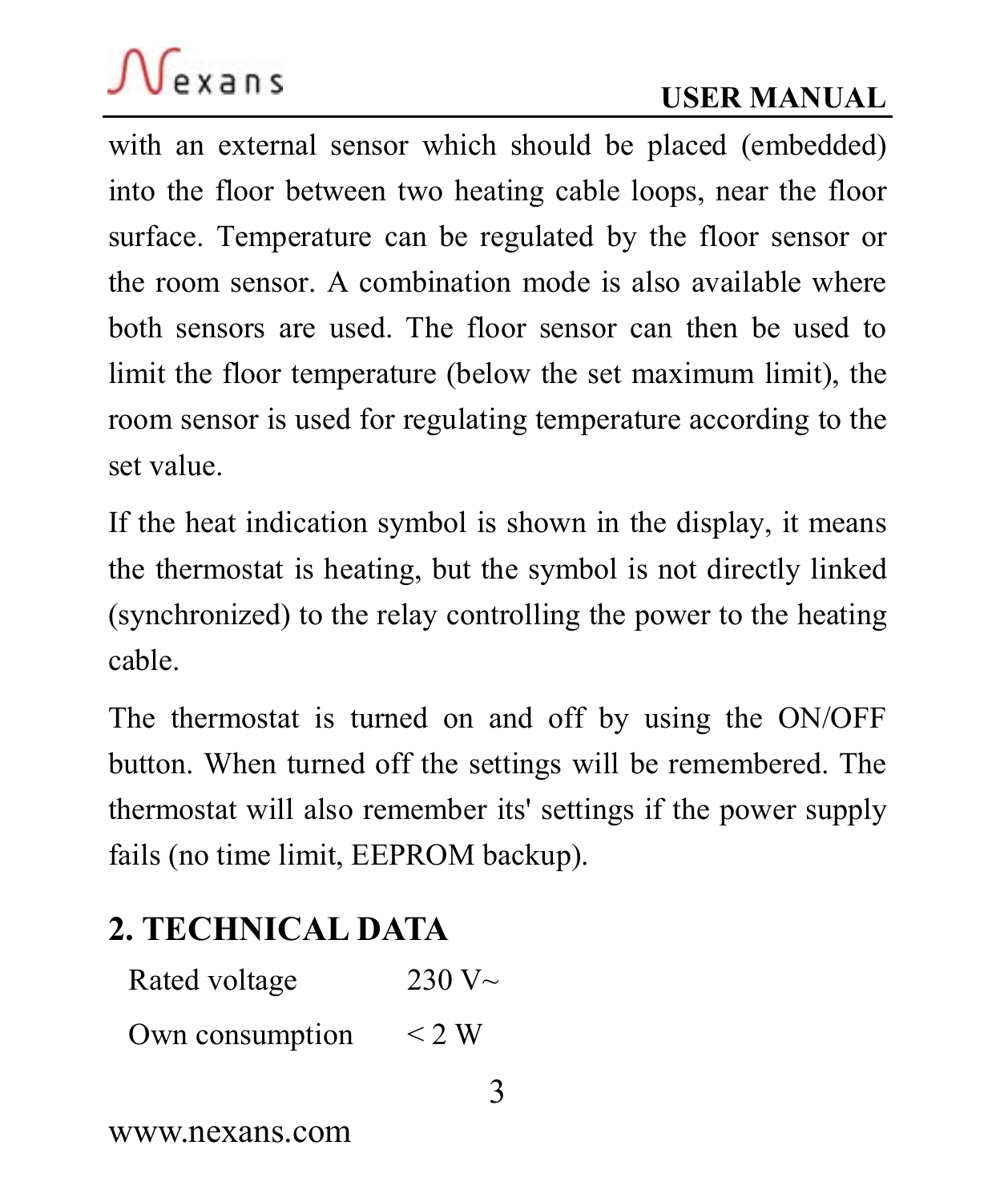#### **USER MANUAL**

with an external sensor which should be placed (embedded) into the floor between two heating cable loops, near the floor surface. Temperature can be regulated by the floor sensor or the room sensor. A combination mode is also available where both sensors are used. The floor sensor can then be used to limit the floor temperature (below the set maximum limit), the room sensor is used for regulating temperature according to the set value.

If the heat indication symbol is shown in the display, it means the thermostat is heating, but the symbol is not directly linked (synchronized) to the relay controlling the power to the heating cable.

The thermostat is turned on and off by using the ON/OFF button. When turned off the settings will be remembered. The thermostat will also remember its' settings if the power supply fails (no time limit, EEPROM backup).

#### **2. TECHNICAL DATA**

Rated voltage  $230 \text{ V} \sim$ 

Own consumption  $\leq 2$  W

www.nexans.com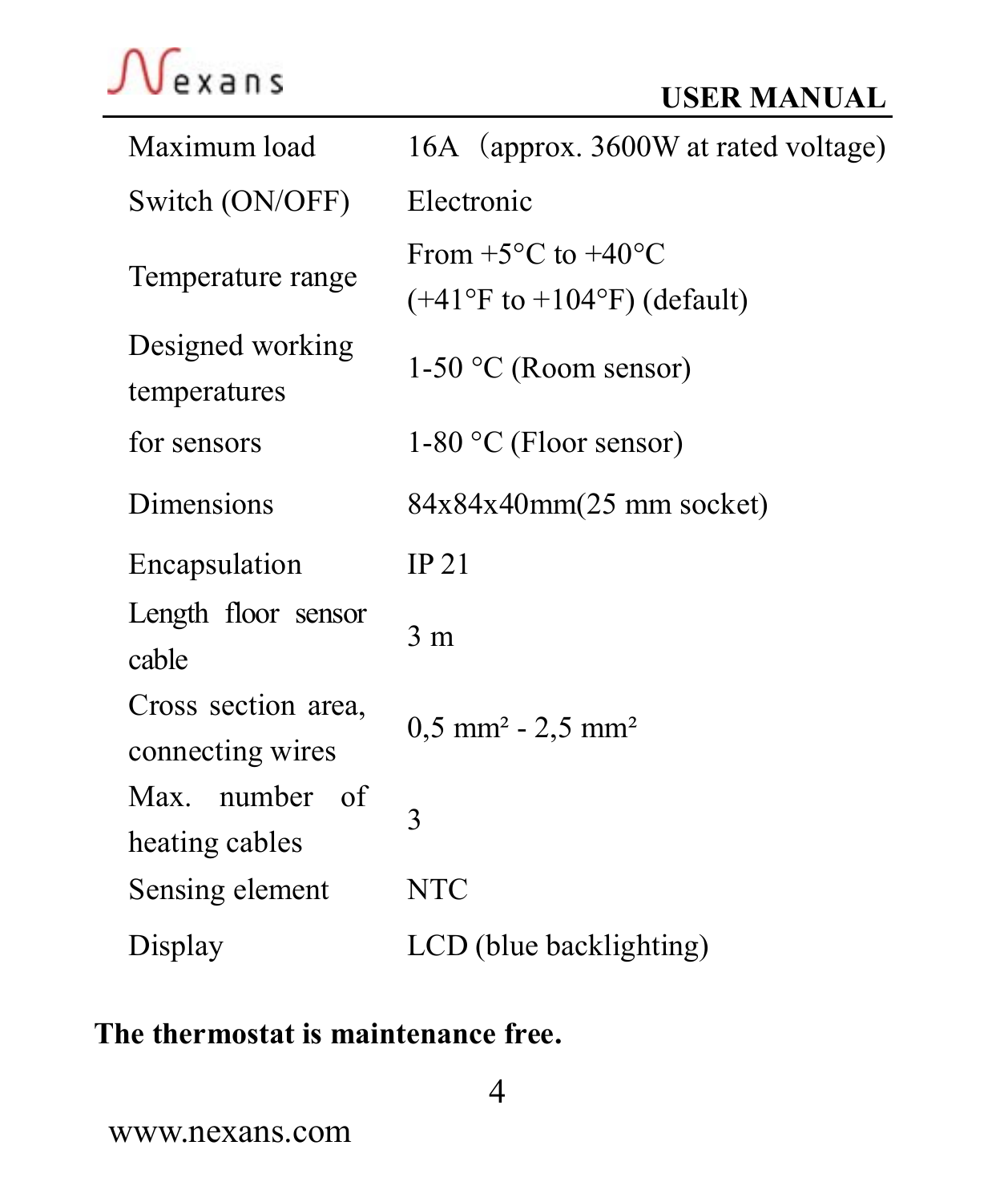| Maximum load                            | 16A (approx. 3600W at rated voltage)                                                      |
|-----------------------------------------|-------------------------------------------------------------------------------------------|
| Switch (ON/OFF)                         | Electronic                                                                                |
| Temperature range                       | From $+5^{\circ}$ C to $+40^{\circ}$ C<br>$(+41^{\circ}$ F to $+104^{\circ}$ F) (default) |
| Designed working<br>temperatures        | $1-50$ °C (Room sensor)                                                                   |
| for sensors                             | $1-80$ °C (Floor sensor)                                                                  |
| Dimensions                              | 84x84x40mm(25 mm socket)                                                                  |
| Encapsulation                           | IP21                                                                                      |
| Length floor sensor<br>cable            | 3 <sub>m</sub>                                                                            |
| Cross section area.<br>connecting wires | $0,5$ mm <sup>2</sup> - $2,5$ mm <sup>2</sup>                                             |
| Max. number of<br>heating cables        | 3                                                                                         |
| Sensing element                         | <b>NTC</b>                                                                                |
| Display                                 | LCD (blue backlighting)                                                                   |

#### **The thermostat is maintenance free.**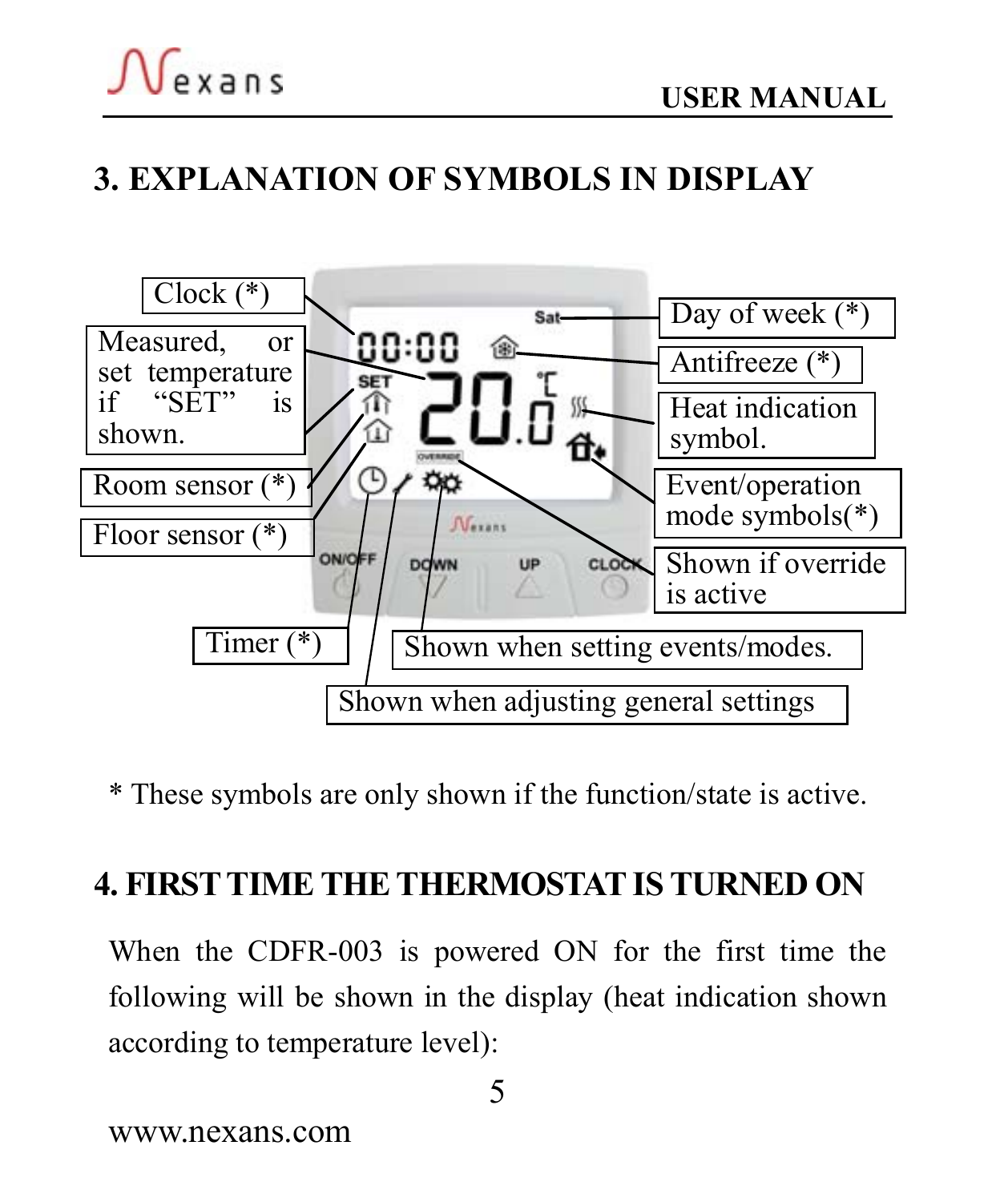#### **3. EXPLANATION OF SYMBOLS IN DISPLAY**



\* These symbols are only shown if the function/state is active.

#### **4. FIRST TIME THE THERMOSTAT IS TURNED ON**

When the CDFR-003 is powered ON for the first time the following will be shown in the display (heat indication shown according to temperature level):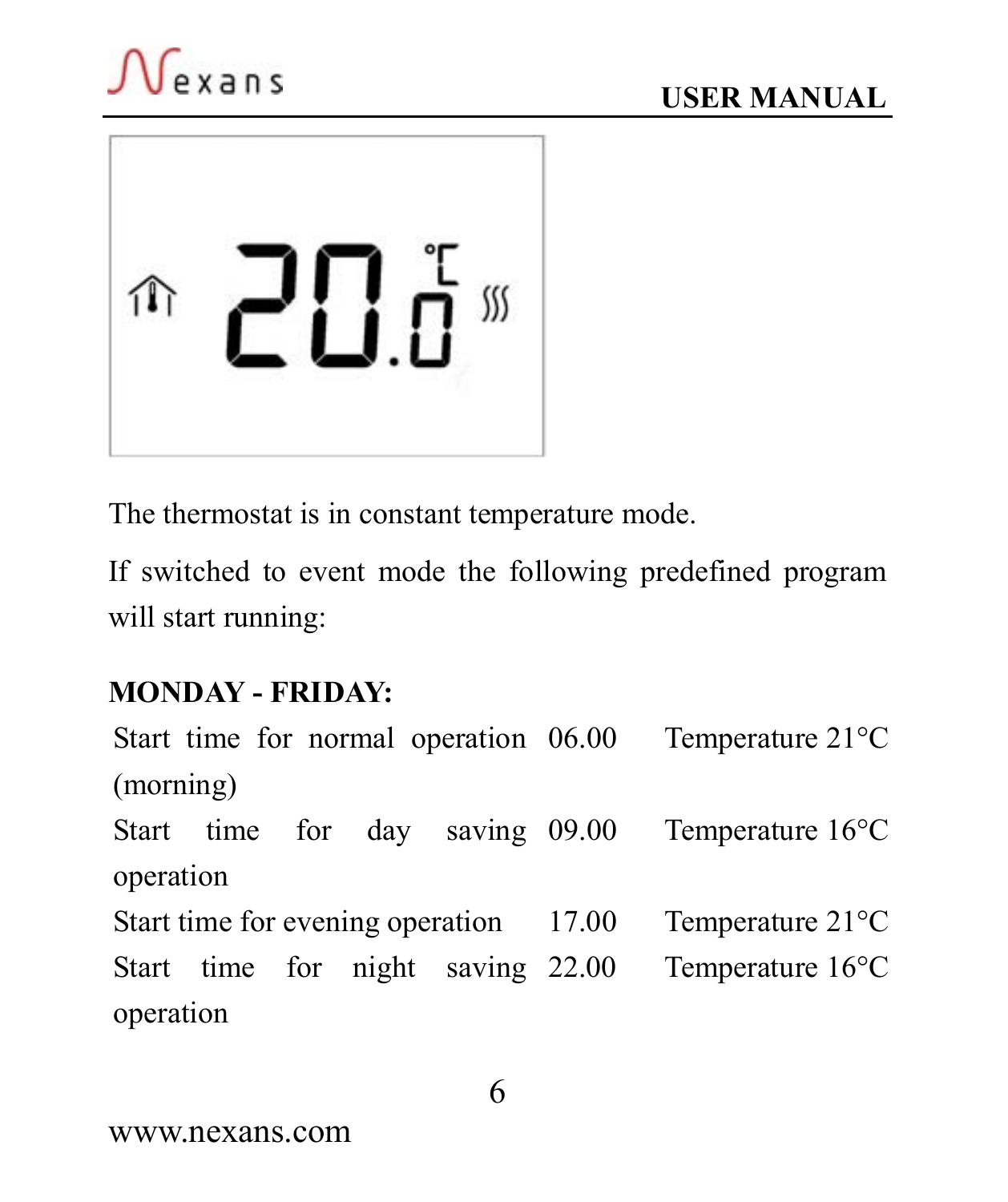## $F_{\text{exans}}$



The thermostat is in constant temperature mode.

If switched to event mode the following predefined program will start running:

#### **MONDAY - FRIDAY:**

Start time for normal operation 06.00 Temperature 21°C (morning) Start time for day saving 09.00 Temperature 16°C operation Start time for evening operation 17.00 Temperature 21°C Start time for night saving 22.00 operation Temperature 16°C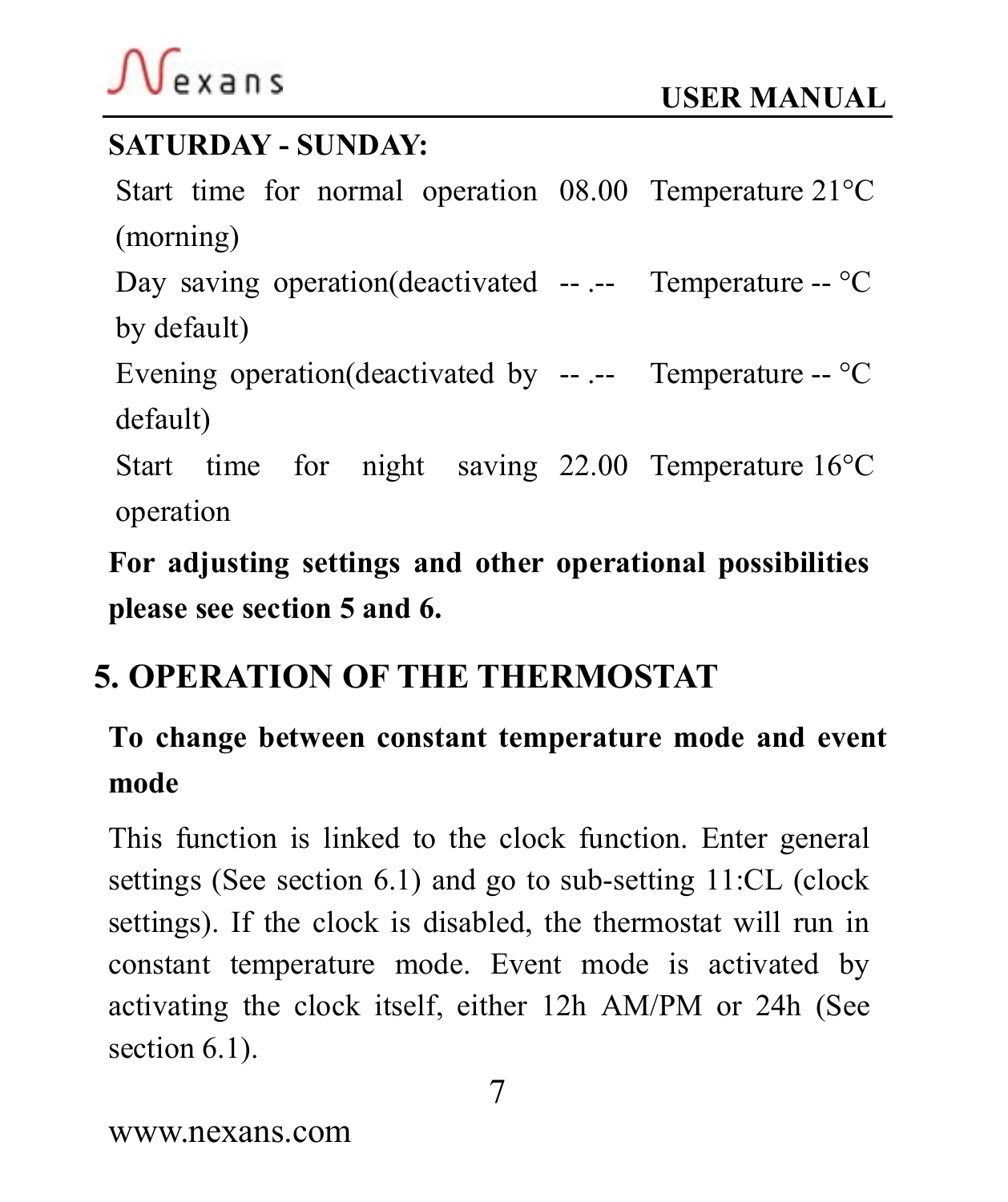### $\sqrt{exans}$

#### **SATURDAY - SUNDAY:**

Start time for normal operation 08.00 Temperature 21°C (morning) Day saving operation(deactivated --.-- Temperature --  $^{\circ}$ C by default) Evening operation(deactivated by  $-$  Temperature  $-$  °C default)

Start time for night saving 22.00 Temperature 16°C operation

**For adjusting settings and other operational possibilities please see section 5 and 6.**

#### **5. OPERATION OF THE THERMOSTAT**

#### **To change between constant temperature mode and event mode**

This function is linked to the clock function. Enter general settings (See section 6.1) and go to sub-setting 11:CL (clock settings). If the clock is disabled, the thermostat will run in constant temperature mode. Event mode is activated by activating the clock itself, either 12h AM/PM or 24h (See section 6.1).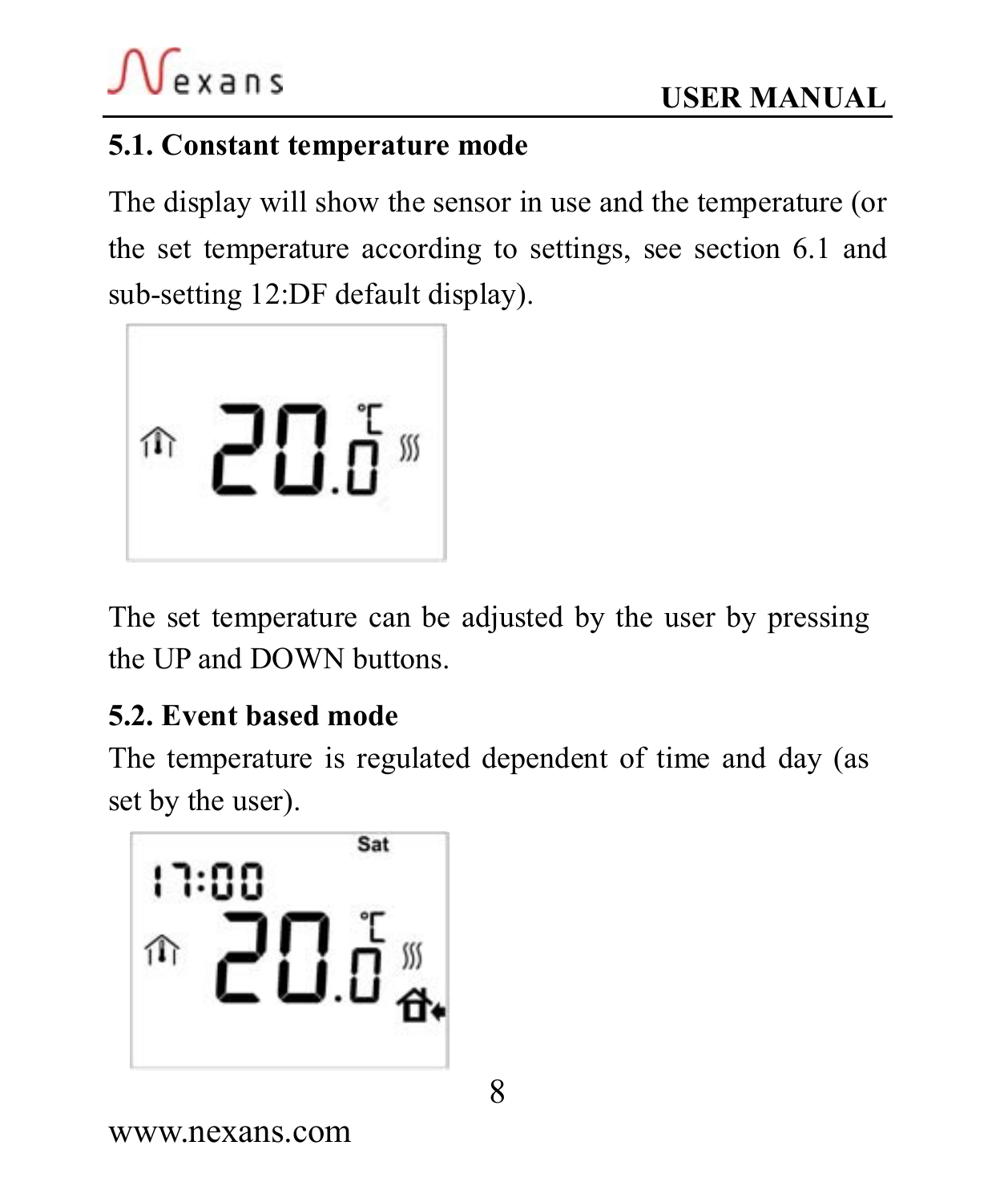#### **5.1. Constant temperature mode**

The display will show the sensor in use and the temperature (or the set temperature according to settings, see section 6.1 and sub-setting 12:DF default display).



The set temperature can be adjusted by the user by pressing the UP and DOWN buttons.

#### **5.2. Event based mode**

The temperature is regulated dependent of time and day (as set by the user).

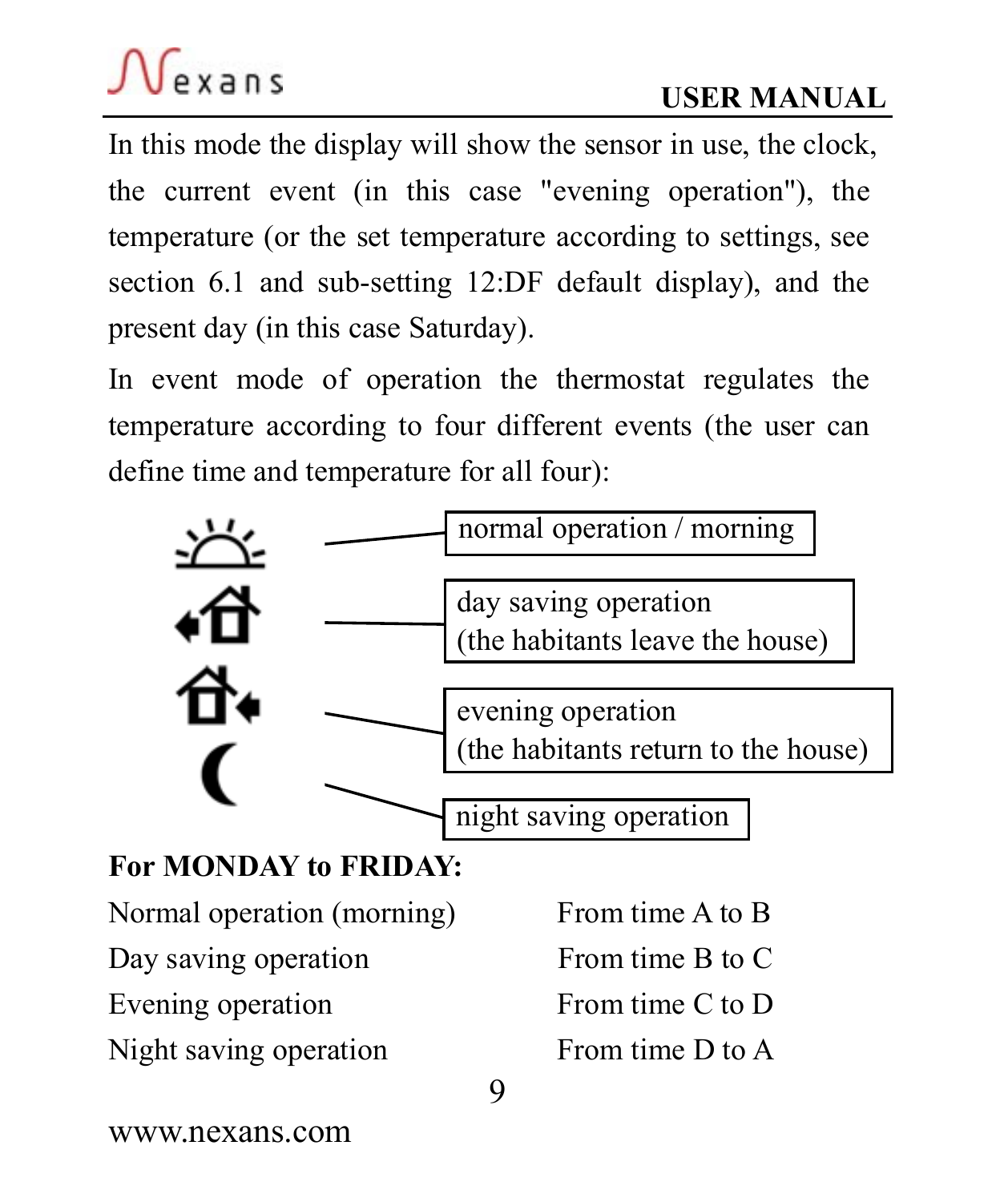# $PX=0.5$

In this mode the display will show the sensor in use, the clock, the current event (in this case "evening operation"), the temperature (or the set temperature according to settings, see section 6.1 and sub-setting 12:DF default display), and the present day (in this case Saturday).

In event mode of operation the thermostat regulates the temperature according to four different events (the user can define time and temperature for all four):



| From time A to B |
|------------------|
| From time B to C |
| From time C to D |
| From time D to A |
|                  |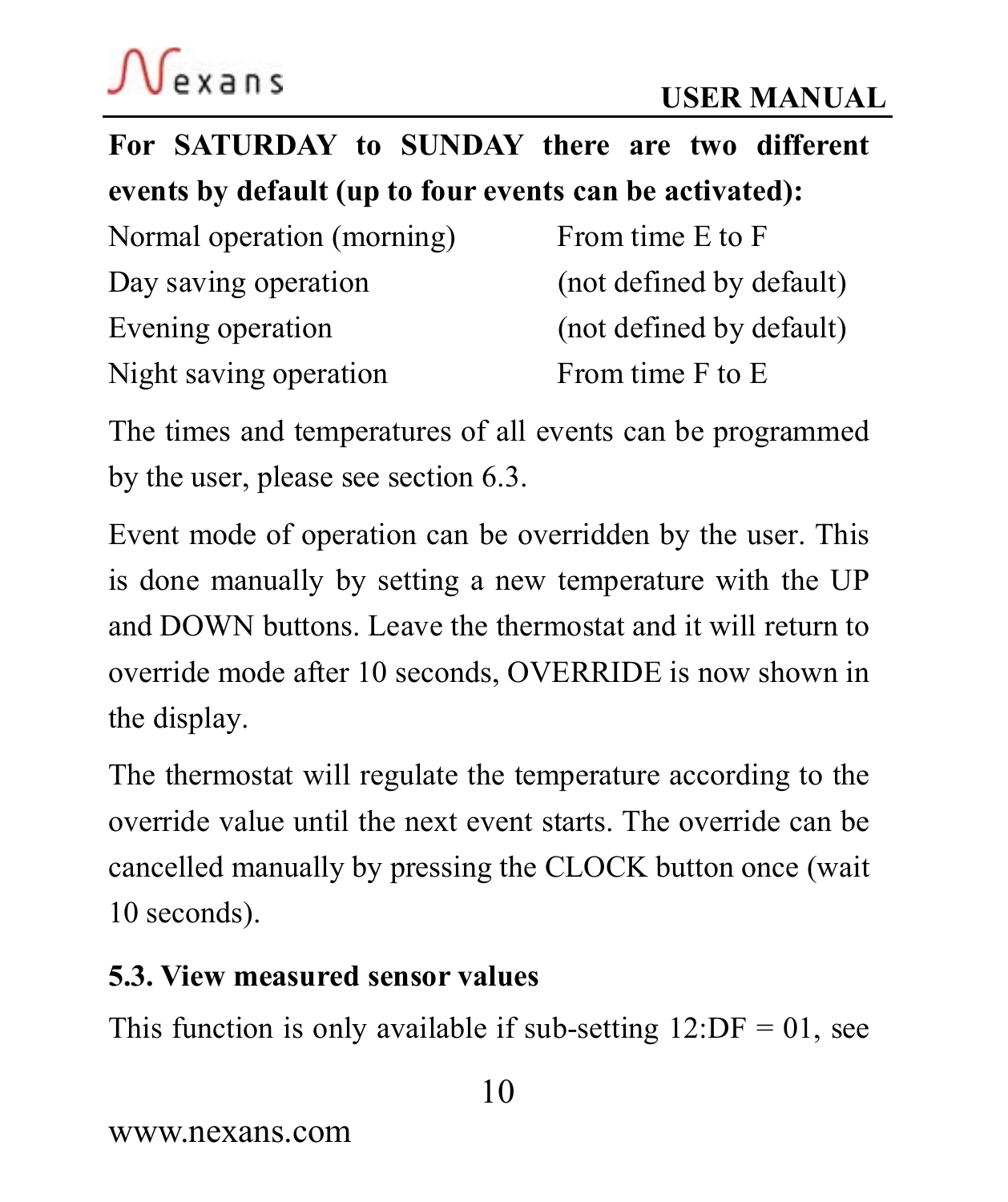### $V_{exans}$

#### **For SATURDAY to SUNDAY there are two different events by default (up to four events can be activated):**

| Normal operation (morning) | From time E to F         |
|----------------------------|--------------------------|
| Day saving operation       | (not defined by default) |
| Evening operation          | (not defined by default) |
| Night saving operation     | From time $F$ to $E$     |

The times and temperatures of all events can be programmed by the user, please see section 6.3.

Event mode of operation can be overridden by the user. This is done manually by setting a new temperature with the UP and DOWN buttons. Leave the thermostat and it will return to override mode after 10 seconds, OVERRIDE is now shown in the display.

The thermostat will regulate the temperature according to the override value until the next event starts. The override can be cancelled manually by pressing the CLOCK button once (wait 10 seconds).

#### **5.3. View measured sensor values**

This function is only available if sub-setting  $12$ :DF = 01, see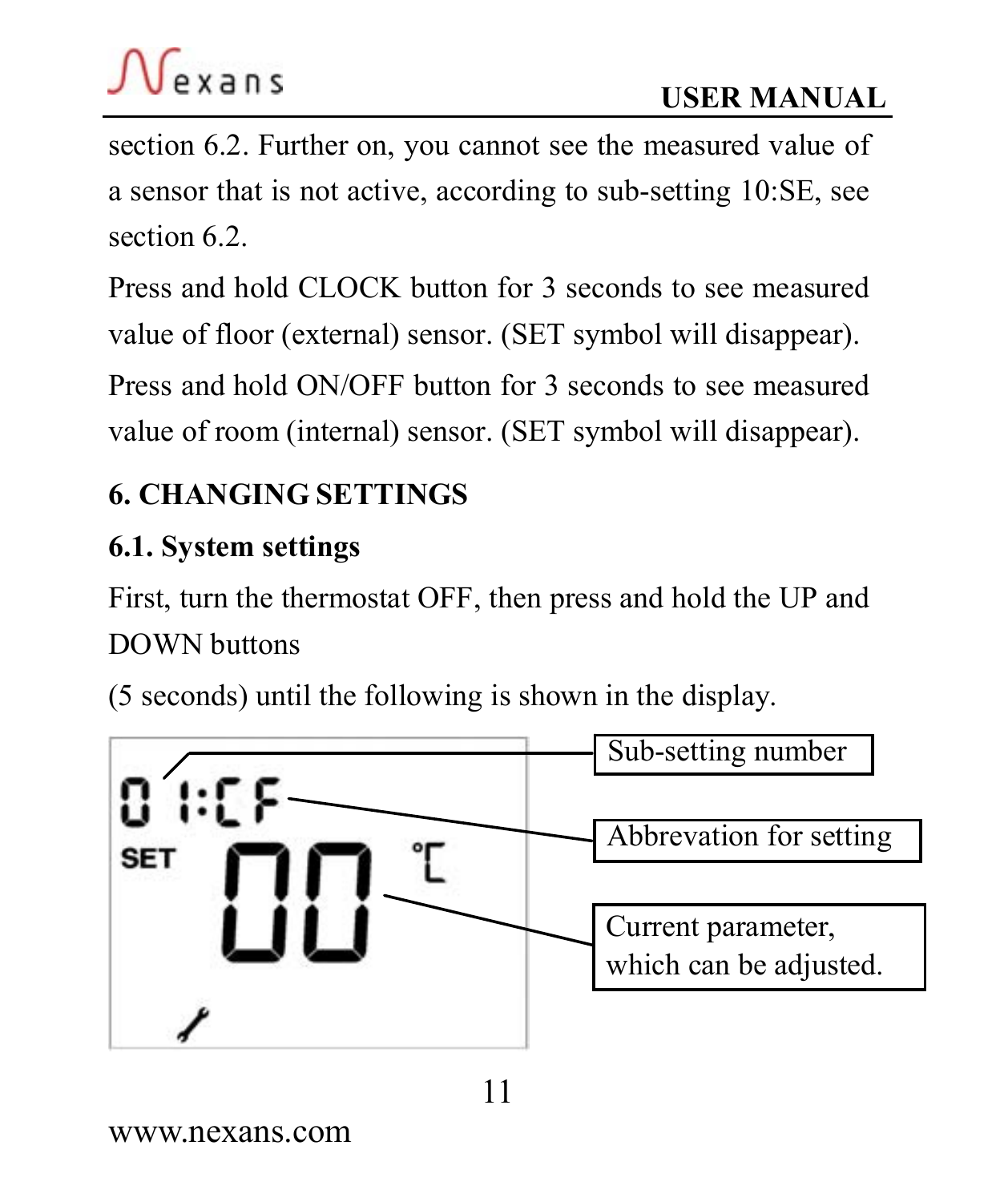section 6.2. Further on, you cannot see the measured value of a sensor that is not active, according to sub-setting 10:SE, see section 6.2.

Press and hold CLOCK button for 3 seconds to see measured value of floor (external) sensor. (SET symbol will disappear).

Press and hold ON/OFF button for 3 seconds to see measured value of room (internal) sensor. (SET symbol will disappear).

#### **6. CHANGING SETTINGS**

#### **6.1. System settings**

First, turn the thermostat OFF, then press and hold the UP and DOWN buttons

(5 seconds) until the following is shown in the display.

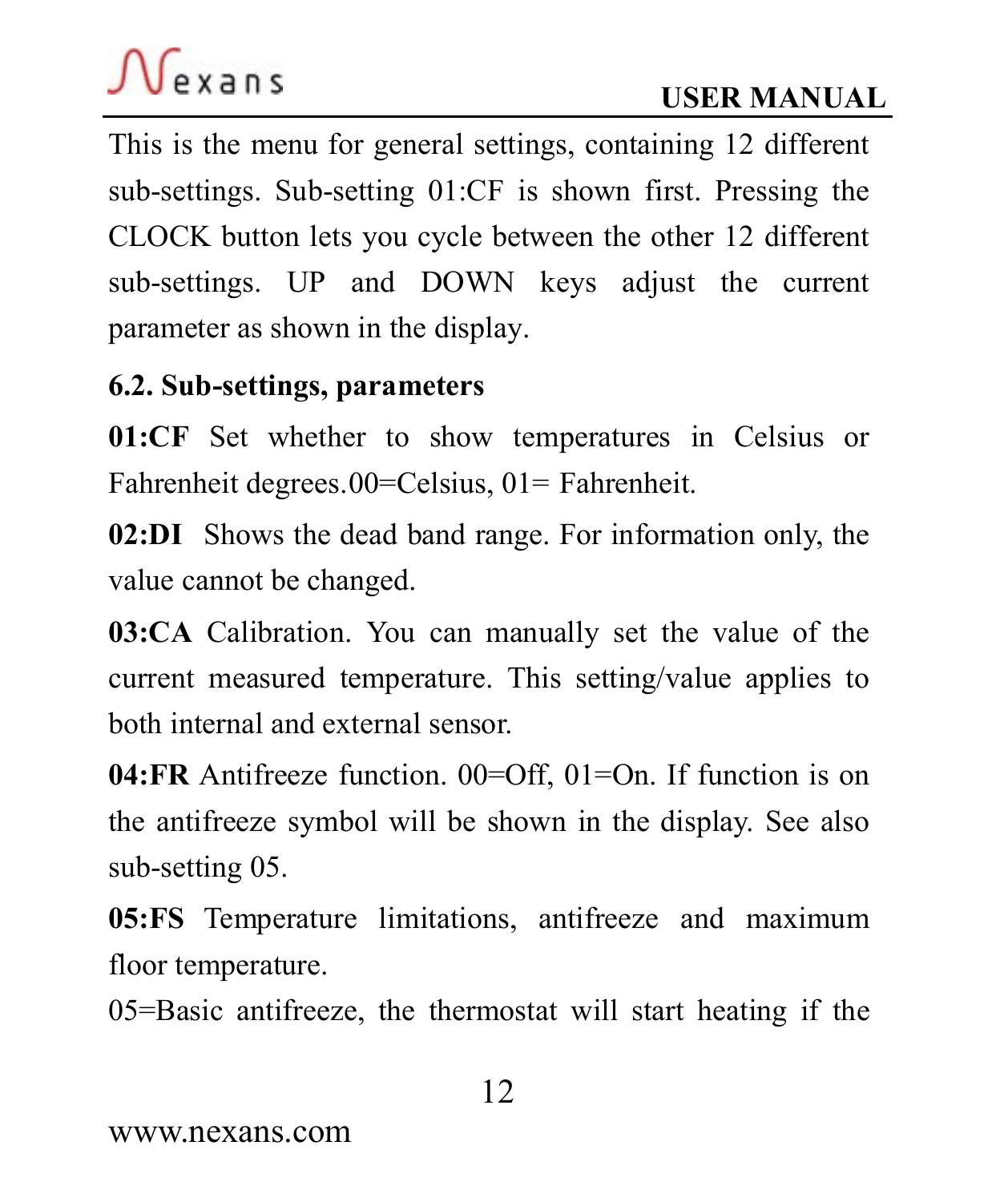This is the menu for general settings, containing 12 different sub-settings. Sub-setting 01:CF is shown first. Pressing the CLOCK button lets you cycle between the other 12 different sub-settings. UP and DOWN keys adjust the current parameter as shown in the display.

#### **6.2. Sub-settings, parameters**

**01:CF** Set whether to show temperatures in Celsius or Fahrenheit degrees. 00=Celsius, 01= Fahrenheit.

**02:DI** Shows the dead band range. For information only, the value cannot be changed.

**03:CA** Calibration. You can manually set the value of the current measured temperature. This setting/value applies to both internal and external sensor.

**04:FR** Antifreeze function. 00=Off, 01=On. If function is on the antifreeze symbol will be shown in the display. See also sub-setting 05.

**05:FS** Temperature limitations, antifreeze and maximum floor temperature.

05=Basic antifreeze, the thermostat will start heating if the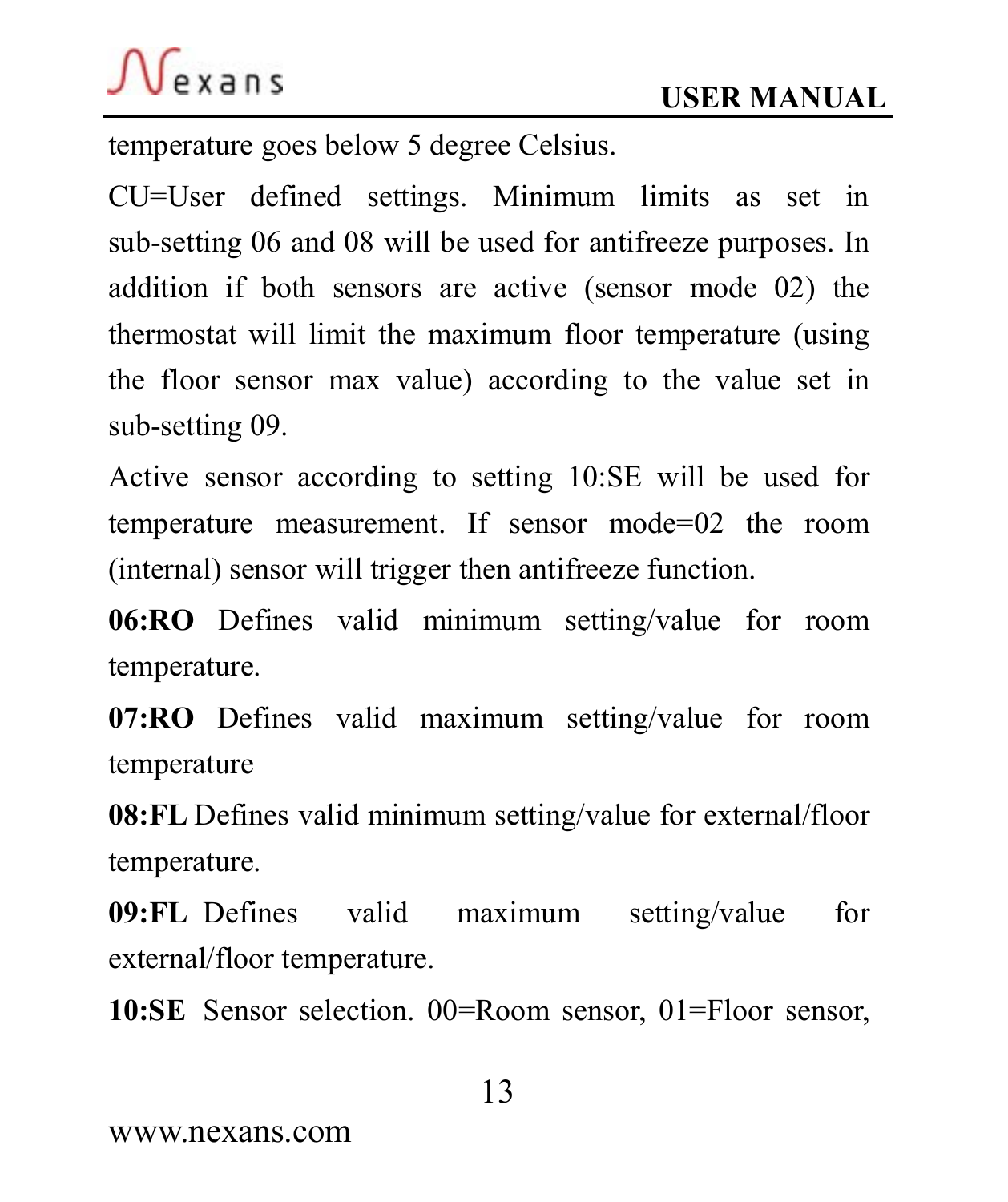### $\sqrt{exans}$

temperature goes below 5 degree Celsius.

CU=User defined settings. Minimum limits as set in sub-setting 06 and 08 will be used for antifreeze purposes. In addition if both sensors are active (sensor mode 02) the thermostat will limit the maximum floor temperature (using the floor sensor max value) according to the value set in sub-setting 09.

Active sensor according to setting 10:SE will be used for temperature measurement. If sensor mode=02 the room (internal) sensor will trigger then antifreeze function.

**06:RO** Defines valid minimum setting/value for room temperature.

**07:RO** Defines valid maximum setting/value for room temperature

**08:FL** Defines valid minimum setting/value for external/floor temperature.

**09:FL** Defines valid maximum setting/value for external/floor temperature.

**10:SE** Sensor selection. 00=Room sensor, 01=Floor sensor,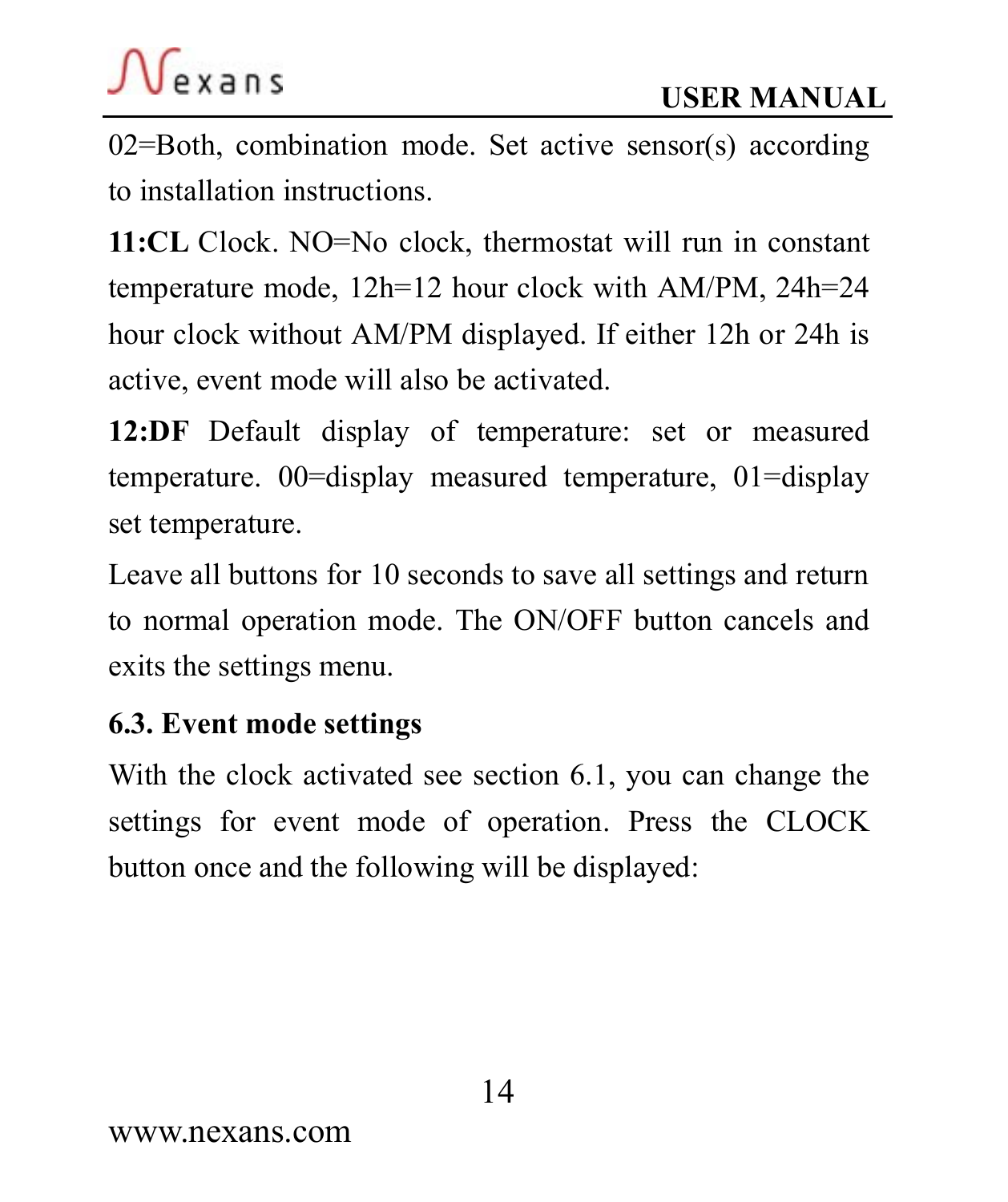02=Both, combination mode. Set active sensor(s) according to installation instructions.

**11:CL** Clock. NO=No clock, thermostat will run in constant temperature mode, 12h=12 hour clock with AM/PM, 24h=24 hour clock without AM/PM displayed. If either 12h or 24h is active, event mode will also be activated.

**12:DF** Default display of temperature: set or measured temperature. 00=display measured temperature, 01=display set temperature.

Leave all buttons for 10 seconds to save all settings and return to normal operation mode. The ON/OFF button cancels and exits the settings menu.

#### **6.3. Event mode settings**

With the clock activated see section 6.1, you can change the settings for event mode of operation. Press the CLOCK button once and the following will be displayed: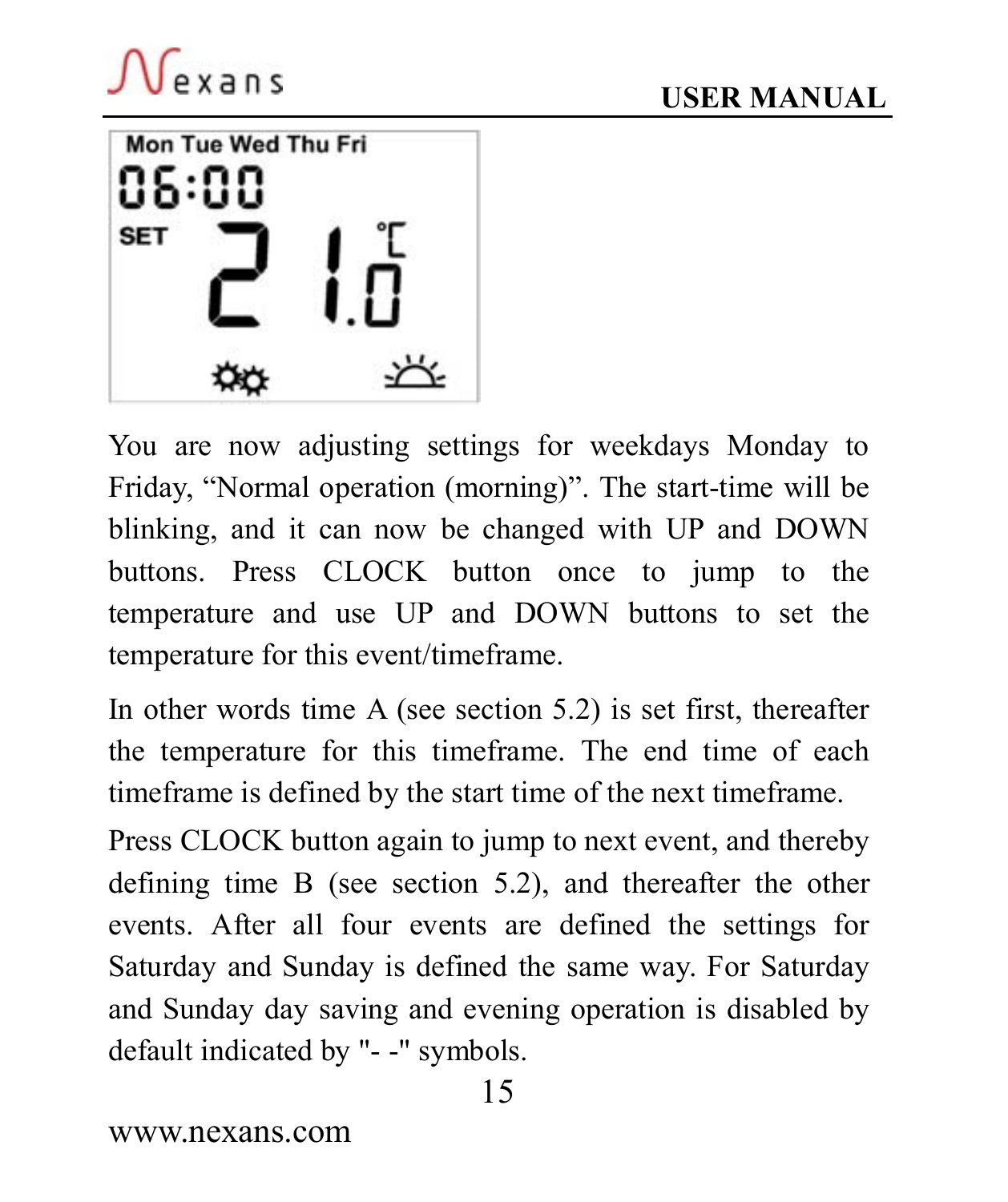

You are now adjusting settings for weekdays Monday to Friday, "Normal operation (morning)". The start-time will be blinking, and it can now be changed with UP and DOWN buttons. Press CLOCK button once to jump to the temperature and use UP and DOWN buttons to set the temperature for this event/timeframe.

In other words time A (see section 5.2) is set first, thereafter the temperature for this timeframe. The end time of each timeframe is defined by the start time of the next timeframe.

Press CLOCK button again to jump to next event, and thereby defining time B (see section 5.2), and thereafter the other events. After all four events are defined the settings for Saturday and Sunday is defined the same way. For Saturday and Sunday day saving and evening operation is disabled by default indicated by "- -" symbols.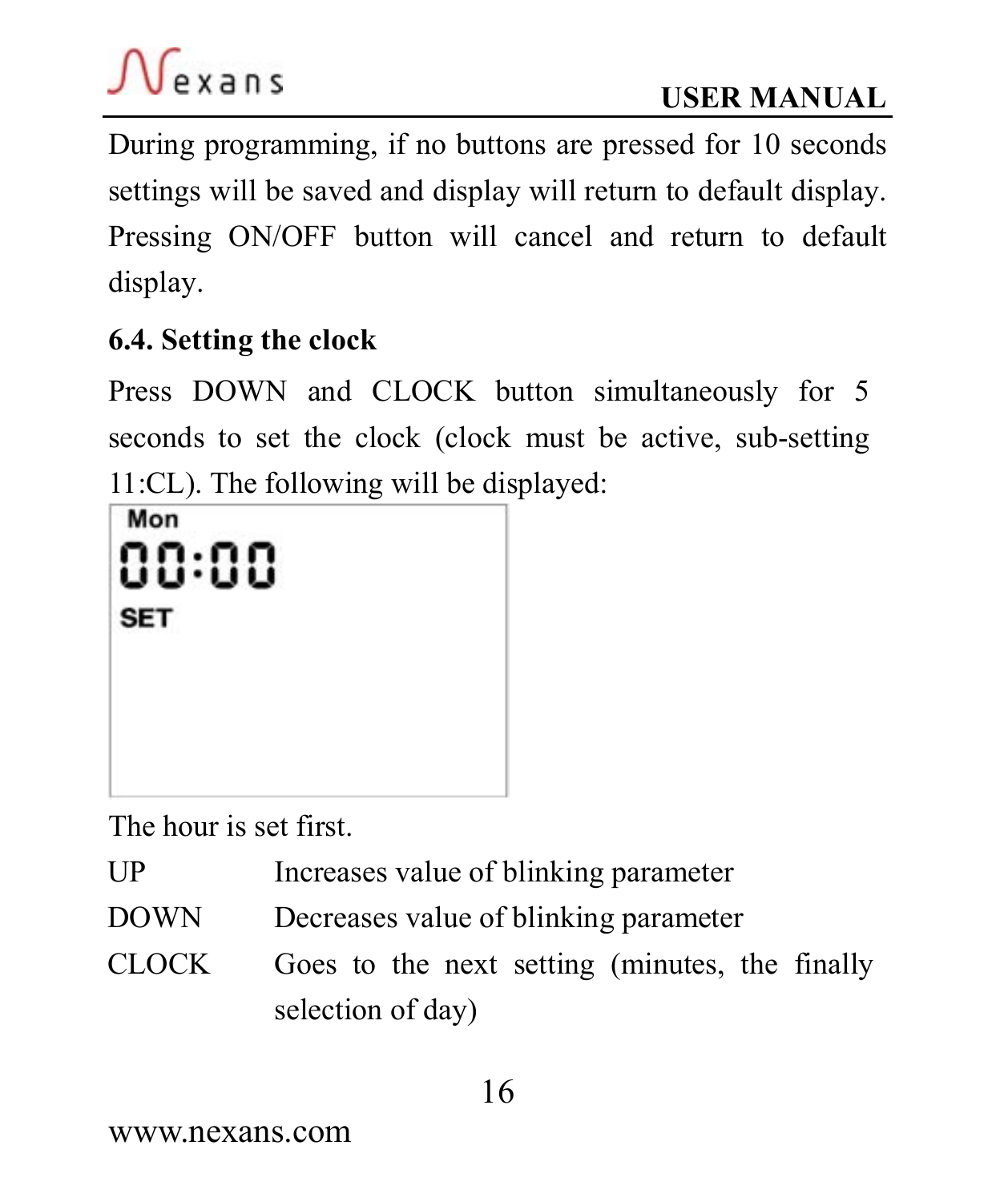# $V_{exans}$

During programming, if no buttons are pressed for 10 seconds settings will be saved and display will return to default display. Pressing ON/OFF button will cancel and return to default display.

#### **6.4. Setting the clock**

Press DOWN and CLOCK button simultaneously for 5 seconds to set the clock (clock must be active, sub-setting 11:CL). The following will be displayed:

| Mon<br>00:00 |  |
|--------------|--|
| <b>SET</b>   |  |
|              |  |
|              |  |

The hour is set first.

| UP | Increases value of blinking parameter |
|----|---------------------------------------|
|----|---------------------------------------|

- DOWN Decreases value of blinking parameter
- CLOCK Goes to the next setting (minutes, the finally selection of day)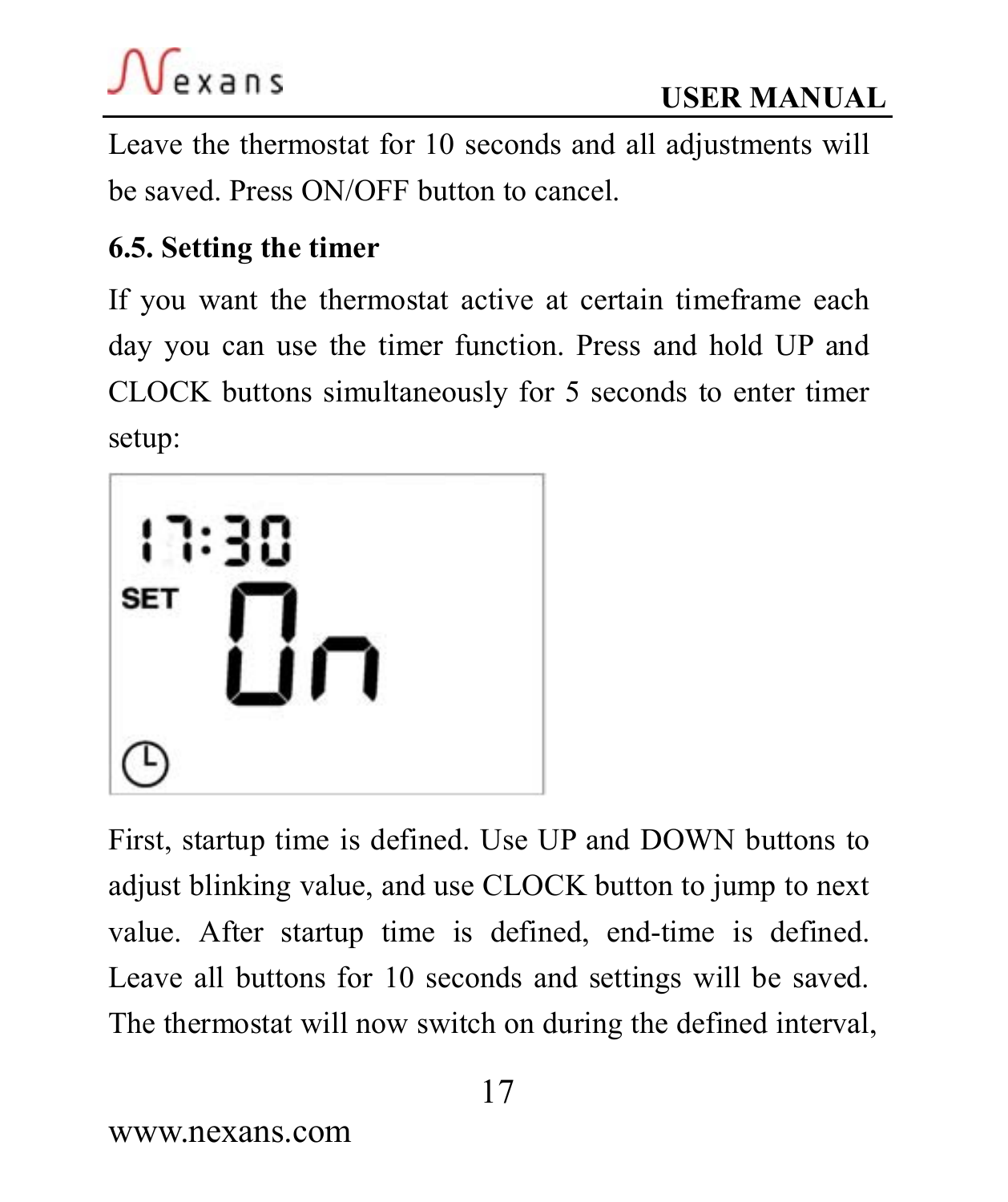Leave the thermostat for 10 seconds and all adjustments will be saved. Press ON/OFF button to cancel.

#### **6.5. Setting the timer**

If you want the thermostat active at certain timeframe each day you can use the timer function. Press and hold UP and CLOCK buttons simultaneously for 5 seconds to enter timer setup:



First, startup time is defined. Use UP and DOWN buttons to adjust blinking value, and use CLOCK button to jump to next value. After startup time is defined, end-time is defined. Leave all buttons for 10 seconds and settings will be saved. The thermostat will now switch on during the defined interval,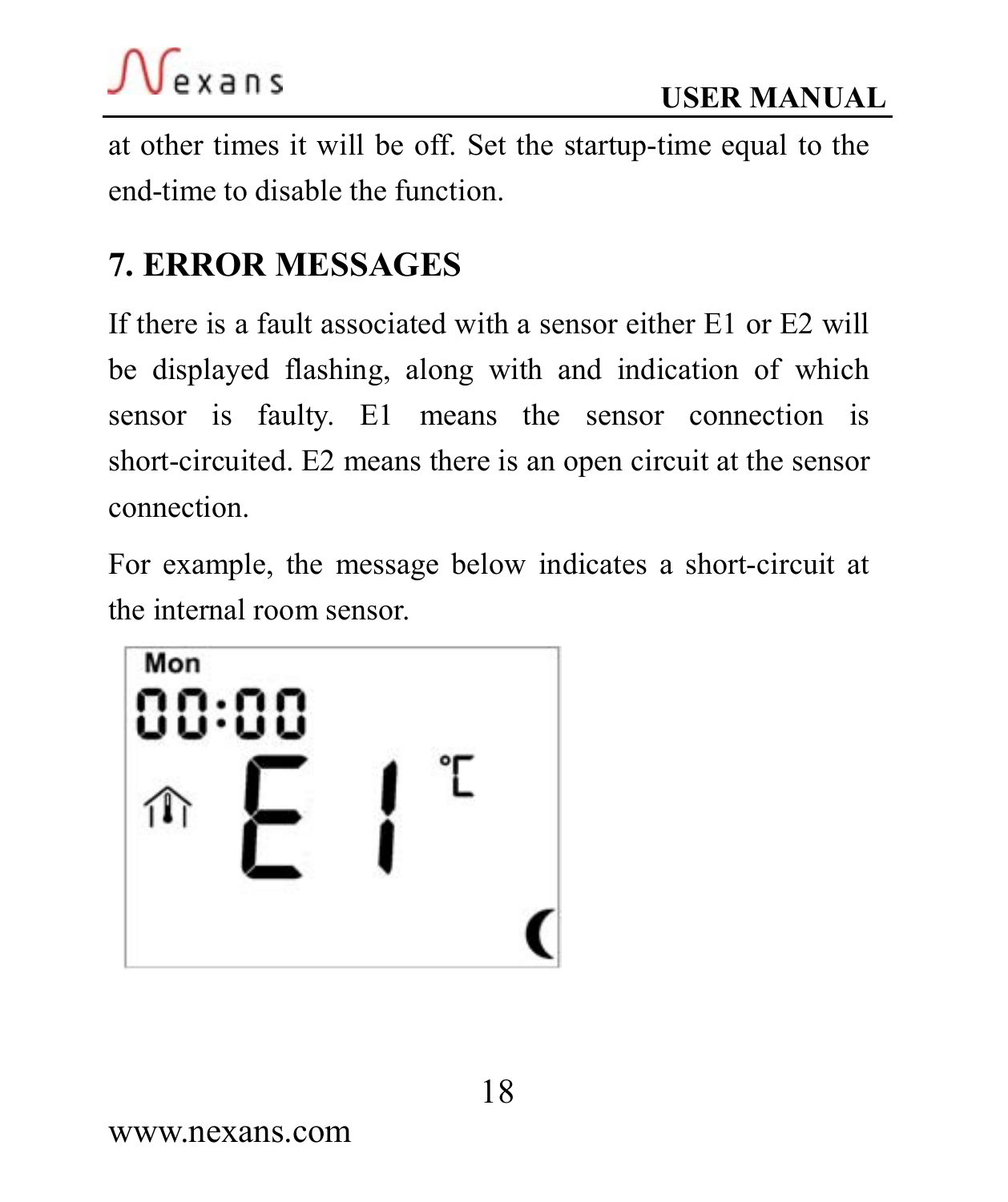### $P X A B S$

at other times it will be off. Set the startup-time equal to the end-time to disable the function.

#### **7. ERROR MESSAGES**

If there is a fault associated with a sensor either E1 or E2 will be displayed flashing, along with and indication of which sensor is faulty. E1 means the sensor connection is short-circuited. E2 means there is an open circuit at the sensor connection.

For example, the message below indicates a short-circuit at the internal room sensor.

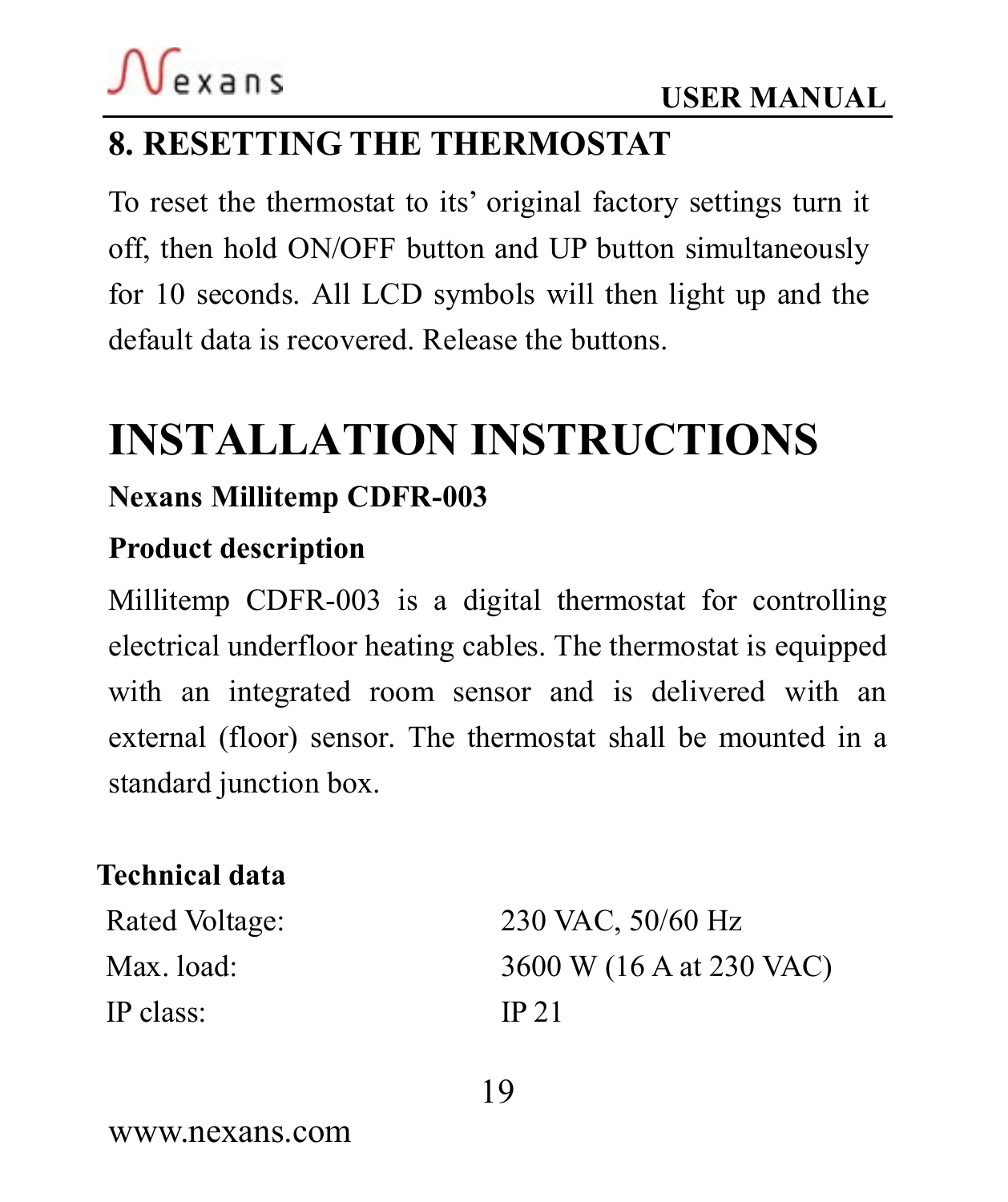#### **8. RESETTING THE THERMOSTAT**

To reset the thermostat to its' original factory settings turn it off, then hold ON/OFF button and UP button simultaneously for 10 seconds. All LCD symbols will then light up and the default data is recovered. Release the buttons.

### **INSTALLATION INSTRUCTIONS**

#### **Nexans Millitemp CDFR-003**

#### **Product description**

Millitemp CDFR-003 is a digital thermostat for controlling electrical underfloor heating cables. The thermostat is equipped with an integrated room sensor and is delivered with an external (floor) sensor. The thermostat shall be mounted in a standard junction box.

#### **Technical data**

IP class: IP 21

Rated Voltage: 230 VAC, 50/60 Hz Max. load: 3600 W (16 A at 230 VAC)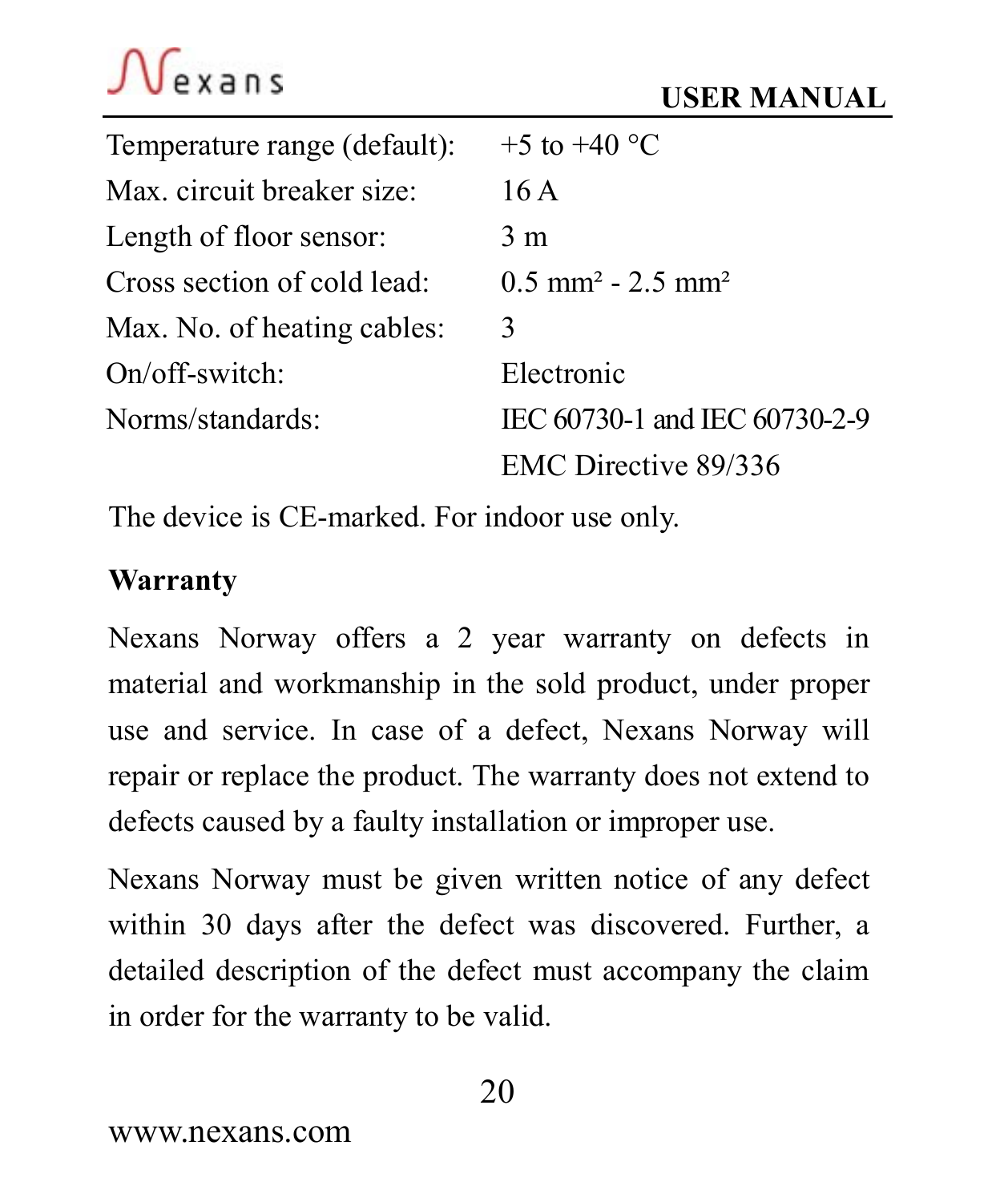# $PX=0.5$

| Temperature range (default): | $+5$ to $+40$ °C                              |
|------------------------------|-----------------------------------------------|
| Max. circuit breaker size:   | 16 A                                          |
| Length of floor sensor:      | 3 m                                           |
| Cross section of cold lead:  | $0.5$ mm <sup>2</sup> - $2.5$ mm <sup>2</sup> |
| Max. No. of heating cables:  | 3                                             |
| On/off-switch:               | Electronic                                    |
| Norms/standards:             | IEC 60730-1 and IEC 60730-2-9                 |
|                              | EMC Directive 89/336                          |

The device is CE-marked. For indoor use only.

#### **Warranty**

Nexans Norway offers a 2 year warranty on defects in material and workmanship in the sold product, under proper use and service. In case of a defect, Nexans Norway will repair or replace the product. The warranty does not extend to defects caused by a faulty installation or improper use.

Nexans Norway must be given written notice of any defect within 30 days after the defect was discovered. Further, a detailed description of the defect must accompany the claim in order for the warranty to be valid.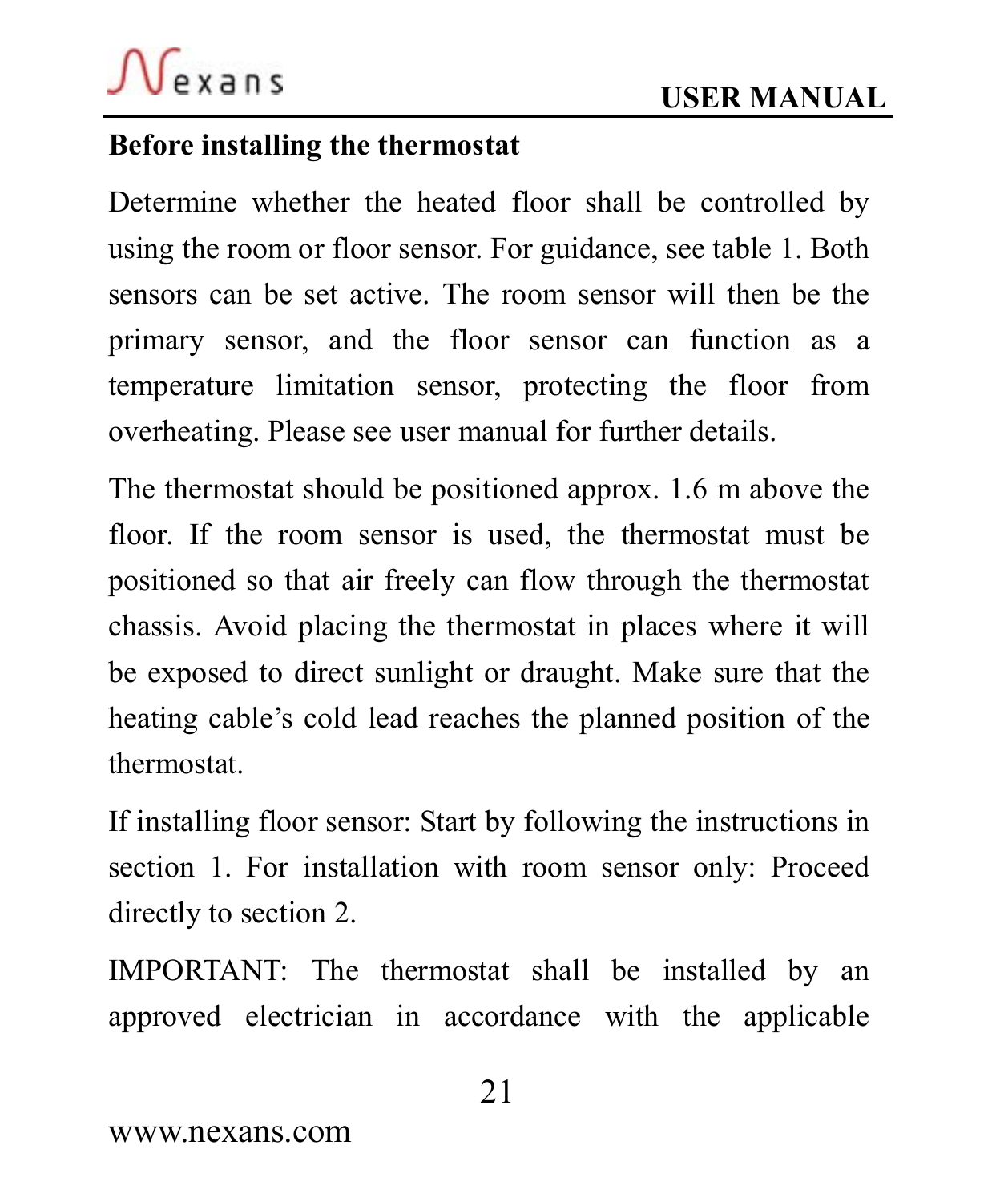#### **Before installing the thermostat**

Determine whether the heated floor shall be controlled by using the room or floor sensor. For guidance, see table 1. Both sensors can be set active. The room sensor will then be the primary sensor, and the floor sensor can function as a temperature limitation sensor, protecting the floor from overheating. Please see user manual for further details.

The thermostat should be positioned approx. 1.6 m above the floor. If the room sensor is used, the thermostat must be positioned so that air freely can flow through the thermostat chassis. Avoid placing the thermostat in places where it will be exposed to direct sunlight or draught. Make sure that the heating cable's cold lead reaches the planned position of the thermostat.

If installing floor sensor: Start by following the instructions in section 1. For installation with room sensor only: Proceed directly to section 2.

IMPORTANT: The thermostat shall be installed by an approved electrician in accordance with the applicable

21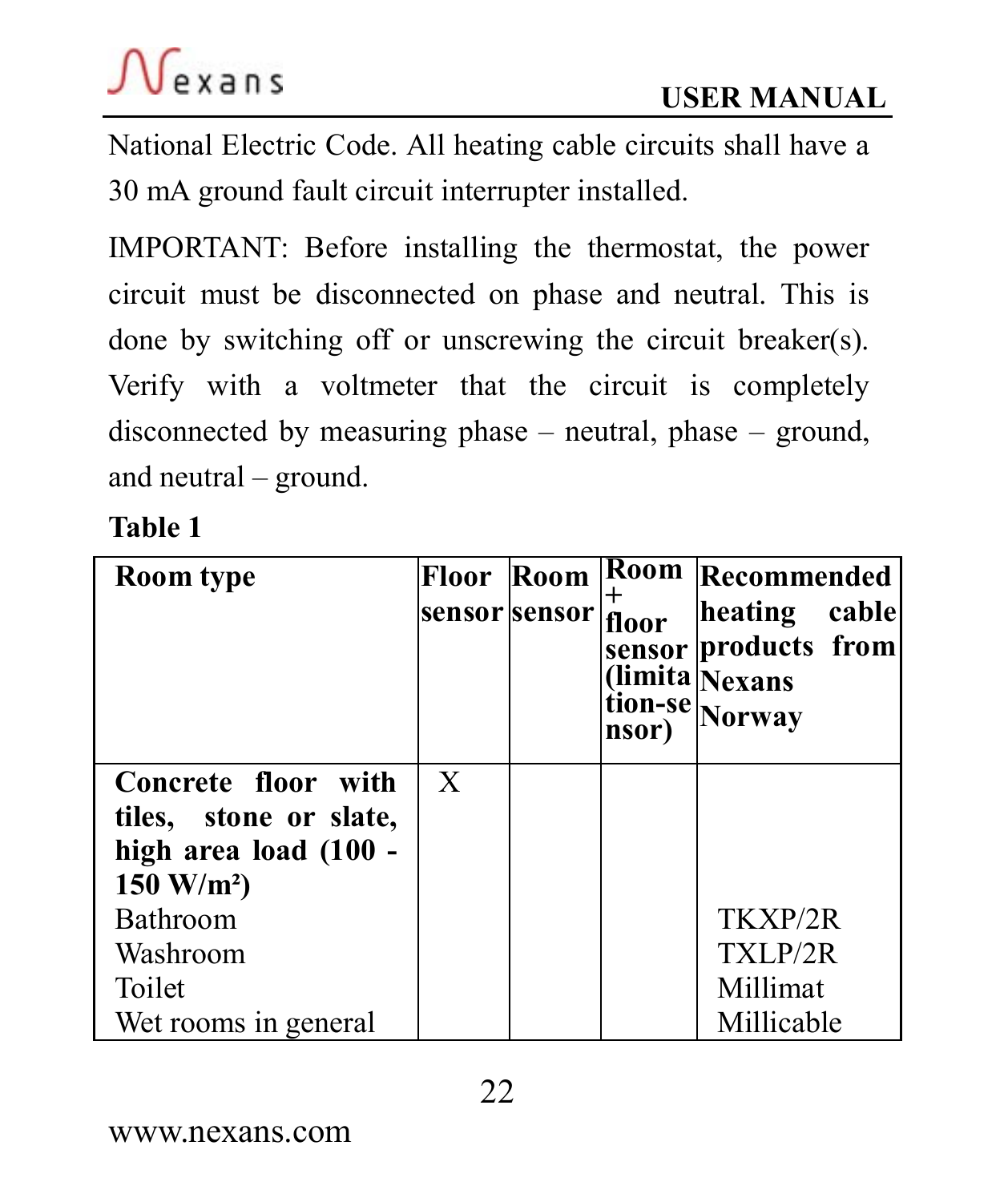# $N_{\text{exans}}$

National Electric Code. All heating cable circuits shall have a 30 mA ground fault circuit interrupter installed.

IMPORTANT: Before installing the thermostat, the power circuit must be disconnected on phase and neutral. This is done by switching off or unscrewing the circuit breaker(s). Verify with a voltmeter that the circuit is completely disconnected by measuring phase – neutral, phase – ground, and neutral – ground.

|  | н |  |
|--|---|--|
|--|---|--|

| Room type                                       |   | <b>Floor Room</b><br>sensor sensor | floor<br>nsor) | Room Recommended<br>heating<br>cable<br>sensor products from<br>limita Nexans<br>tion-se Norway |
|-------------------------------------------------|---|------------------------------------|----------------|-------------------------------------------------------------------------------------------------|
| Concrete floor with                             | X |                                    |                |                                                                                                 |
| tiles, stone or slate,<br>high area load (100 - |   |                                    |                |                                                                                                 |
| $150 \text{ W/m}^2$                             |   |                                    |                |                                                                                                 |
| <b>Bathroom</b>                                 |   |                                    |                | TKXP/2R                                                                                         |
| Washroom                                        |   |                                    |                | TXLP/2R                                                                                         |
| Toilet                                          |   |                                    |                | Millimat                                                                                        |
| Wet rooms in general                            |   |                                    |                | Millicable                                                                                      |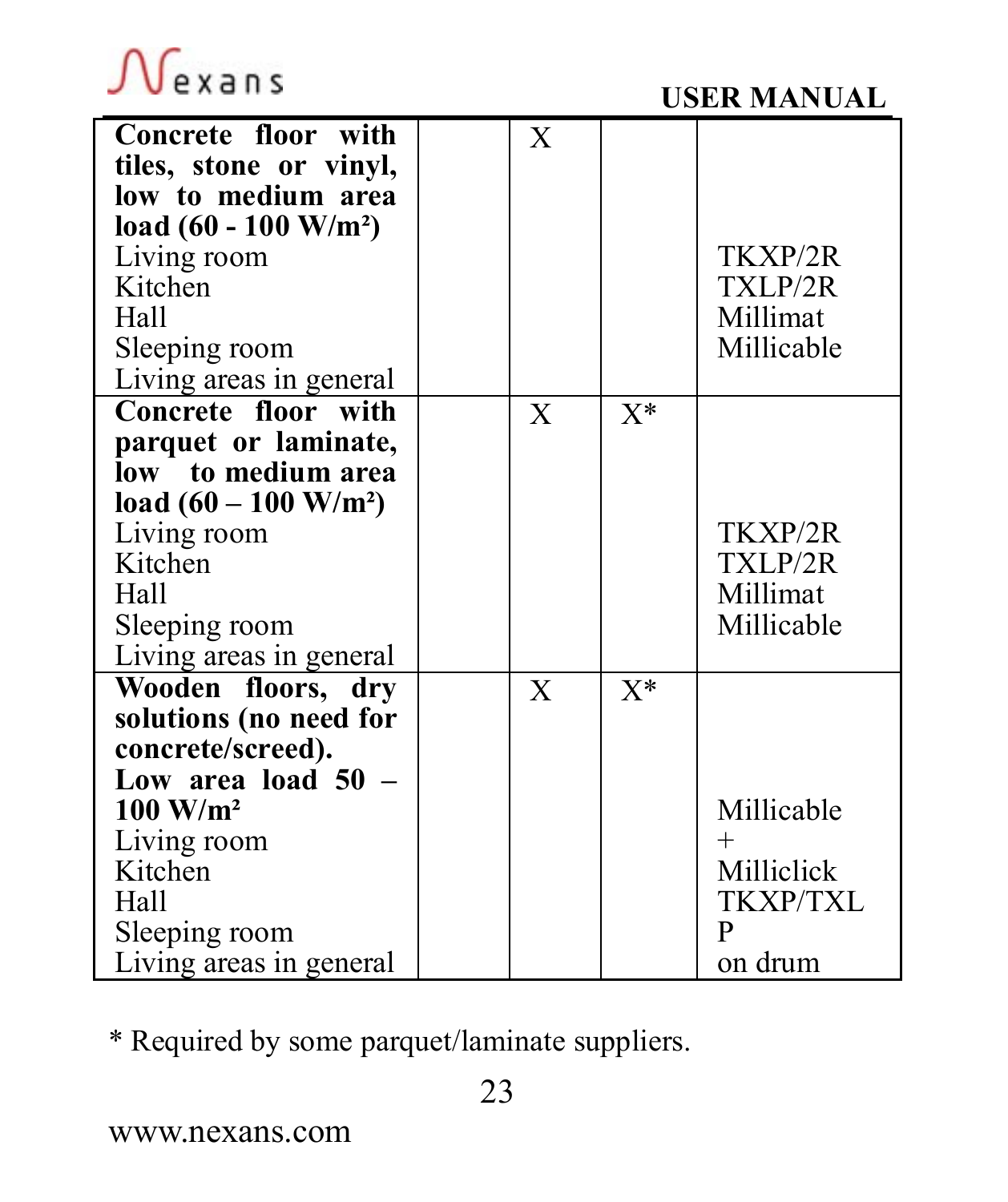**USER MANUAL**

| Concrete floor with<br>tiles, stone or vinyl,<br>low to medium area<br>load $(60 - 100 \text{ W/m}^2)$<br>Living room<br>Kitchen<br>Hall<br>Sleeping room<br>Living areas in general           | X |       | TKXP/2R<br>TXLP/2R<br>Millimat<br>Millicable         |
|------------------------------------------------------------------------------------------------------------------------------------------------------------------------------------------------|---|-------|------------------------------------------------------|
| Concrete floor with<br>parquet or laminate,<br>low to medium area<br>load $(60 - 100 \text{ W/m}^2)$<br>Living room<br>Kitchen<br>Hall<br>Sleeping room<br>Living areas in general             | X | $X^*$ | TKXP/2R<br>TXLP/2R<br>Millimat<br>Millicable         |
| Wooden floors, dry<br>solutions (no need for<br>concrete/screed).<br>Low area load $50 -$<br>$100 \text{ W/m}^2$<br>Living room<br>Kitchen<br>Hall<br>Sleeping room<br>Living areas in general | X | $X^*$ | Millicable<br>Milliclick<br>TKXP/TXL<br>P<br>on drum |

\* Required by some parquet/laminate suppliers.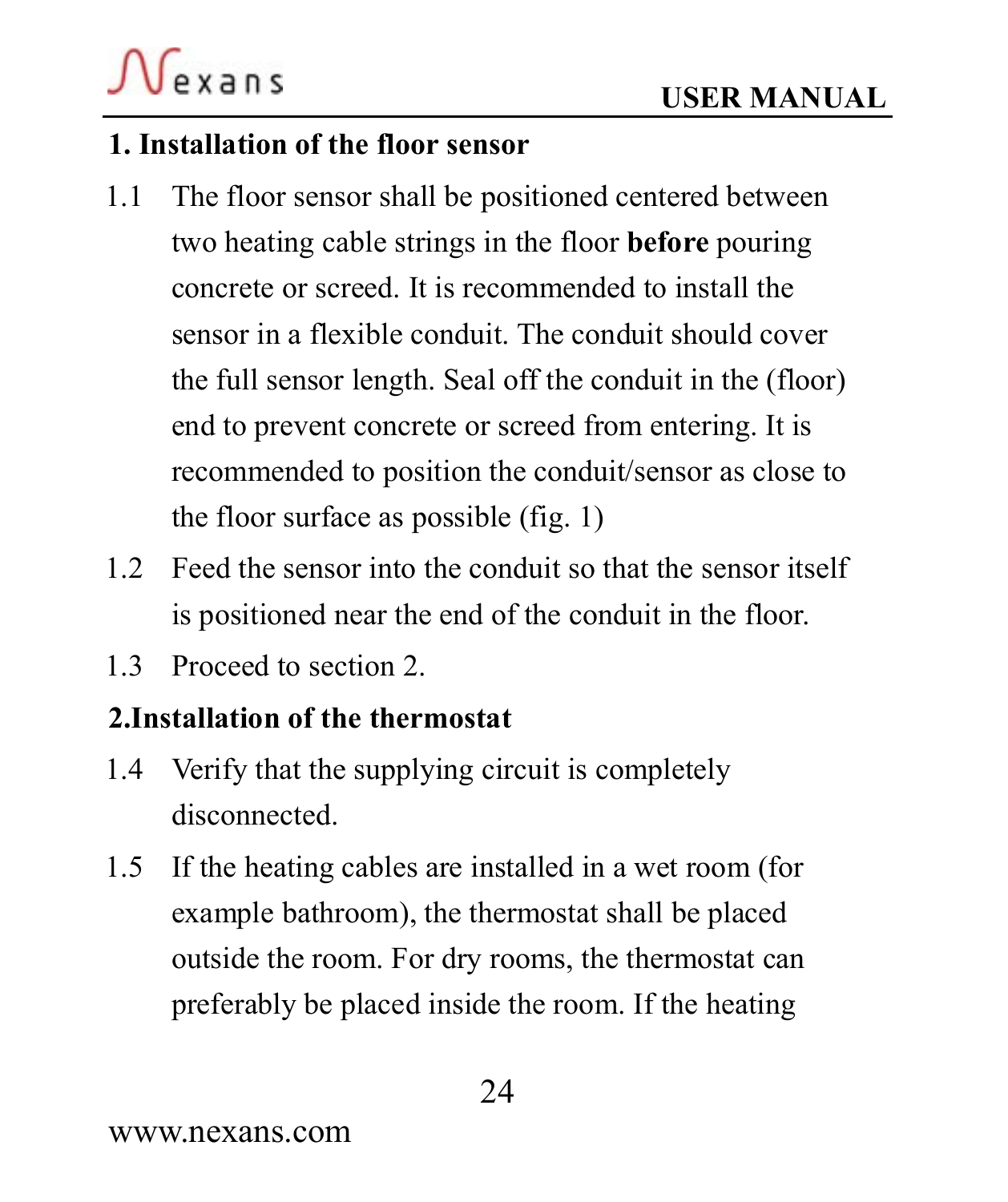### $V$ exans

#### **1. Installation of the floor sensor**

- 1.1 The floor sensor shall be positioned centered between two heating cable strings in the floor **before** pouring concrete or screed. It is recommended to install the sensor in a flexible conduit. The conduit should cover the full sensor length. Seal off the conduit in the (floor) end to prevent concrete or screed from entering. It is recommended to position the conduit/sensor as close to the floor surface as possible (fig. 1)
- 1.2 Feed the sensor into the conduit so that the sensor itself is positioned near the end of the conduit in the floor.
- 1.3 Proceed to section 2.

#### **2.Installation of the thermostat**

- 1.4 Verify that the supplying circuit is completely disconnected.
- 1.5 If the heating cables are installed in a wet room (for example bathroom), the thermostat shall be placed outside the room. For dry rooms, the thermostat can preferably be placed inside the room. If the heating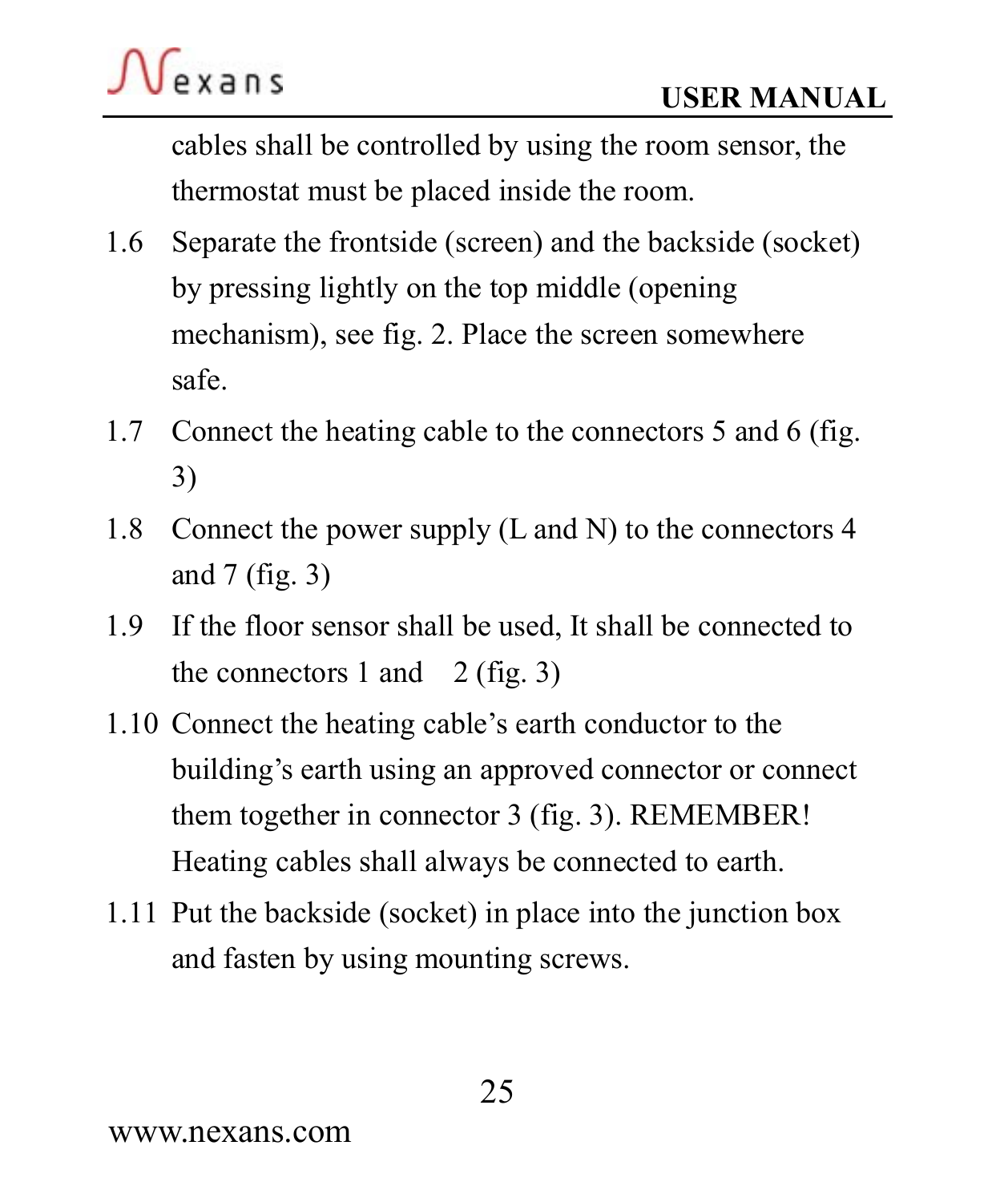## Vexans

cables shall be controlled by using the room sensor, the thermostat must be placed inside the room.

- 1.6 Separate the frontside (screen) and the backside (socket) by pressing lightly on the top middle (opening mechanism), see fig. 2. Place the screen somewhere safe.
- 1.7 Connect the heating cable to the connectors 5 and 6 (fig. 3)
- 1.8 Connect the power supply (L and N) to the connectors 4 and 7 (fig. 3)
- 1.9 If the floor sensor shall be used, It shall be connected to the connectors 1 and  $2$  (fig. 3)
- 1.10 Connect the heating cable's earth conductor to the building's earth using an approved connector or connect them together in connector 3 (fig. 3). REMEMBER! Heating cables shall always be connected to earth.
- 1.11 Put the backside (socket) in place into the junction box and fasten by using mounting screws.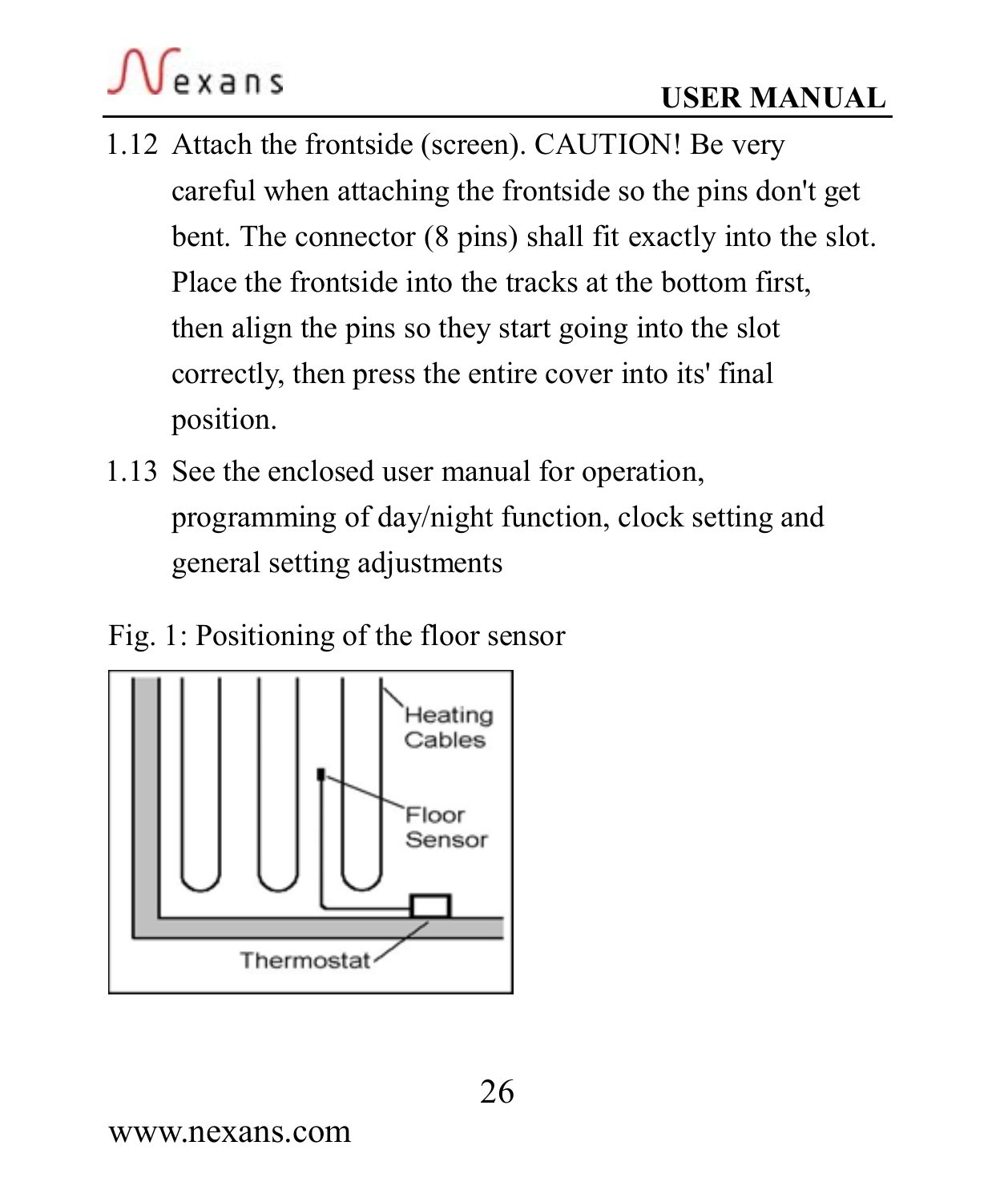- 1.12 Attach the frontside (screen). CAUTION! Be very careful when attaching the frontside so the pins don't get bent. The connector (8 pins) shall fit exactly into the slot. Place the frontside into the tracks at the bottom first, then align the pins so they start going into the slot correctly, then press the entire cover into its' final position.
- 1.13 See the enclosed user manual for operation, programming of day/night function, clock setting and general setting adjustments

#### Fig. 1: Positioning of the floor sensor

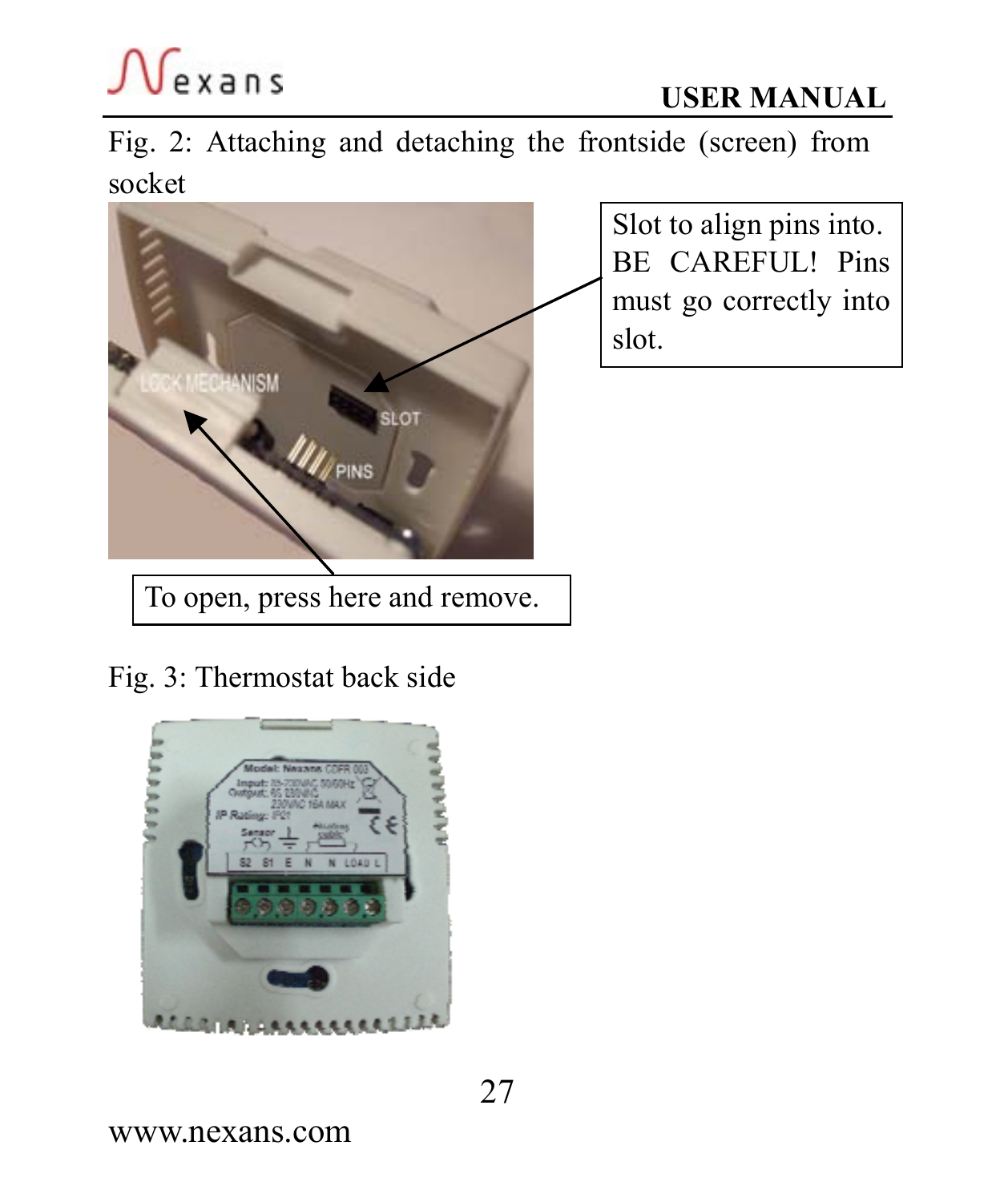### $N_{\text{examples}}$

**USER MANUAL**

Fig. 2: Attaching and detaching the frontside (screen) from socket



Slot to align pins into. BE CAREFUL! Pins must go correctly into slot.

Fig. 3: Thermostat back side

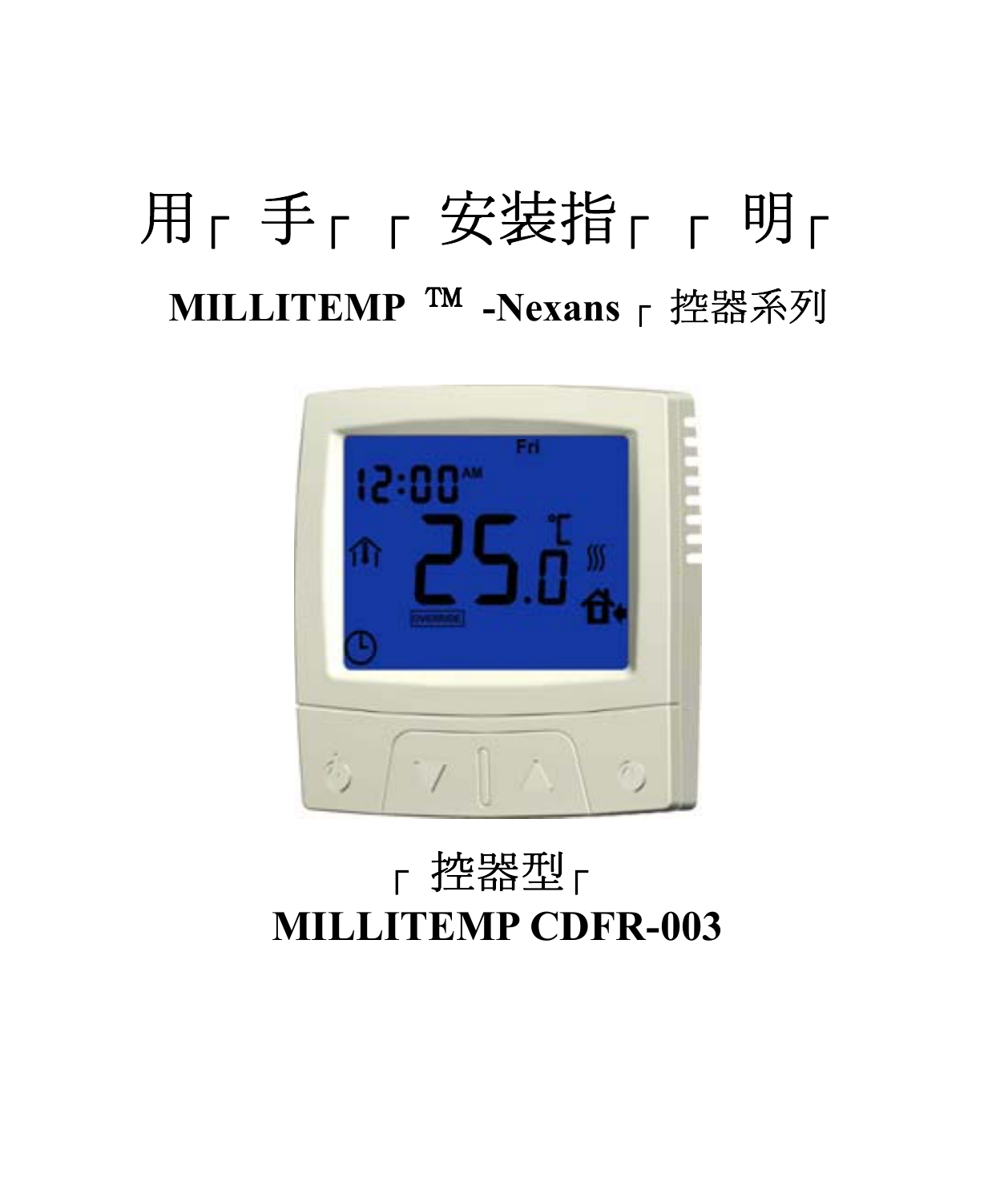# 用 r 手 r r 安装指 r r 明 r **MILLITEMP ™ -Nexans** ┌ 控器系列



### r 控器型r **MILLITEMP CDFR-003**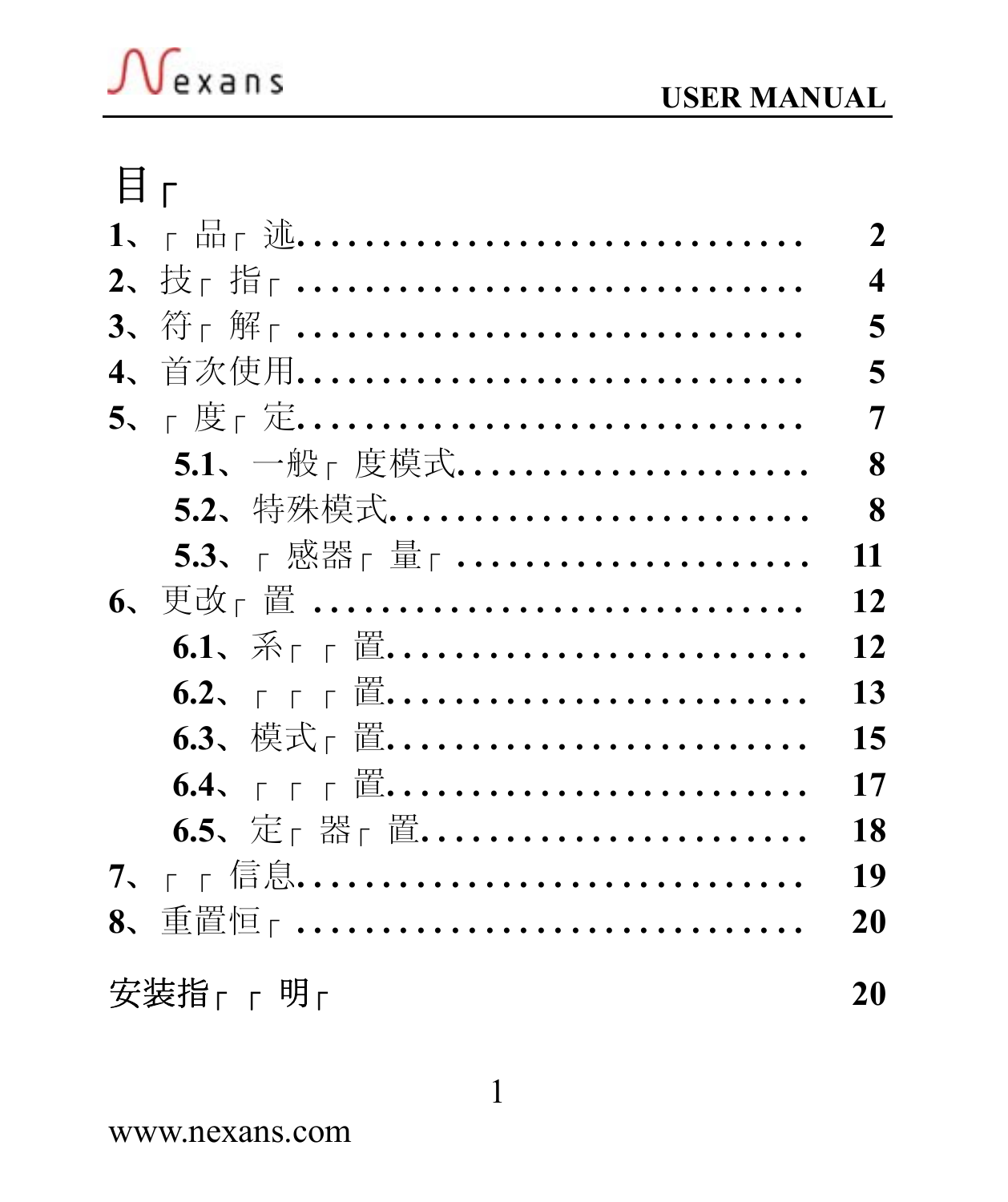### 目「

|              |              | $\mathcal{L}$    |
|--------------|--------------|------------------|
|              |              | $\boldsymbol{4}$ |
|              |              | 5                |
| $\mathbf{4}$ | 首次使用         | 5                |
|              |              | 7                |
|              | 5.1、一般 - 度模式 | 8                |
|              | 5.2、特殊模式     | -8               |
|              |              | 11               |
|              | 6、更改 - 置     | 12               |
|              |              | 12               |
|              |              | 13               |
|              | 6.3、模式 「 置   | 15               |
|              |              | 17               |
|              |              | 18               |
| 7.           |              | 19               |
|              | 8、重置恒 -      | 20               |
|              |              |                  |
|              | 安装指「「明」      | 20               |

 $\mathbf{1}$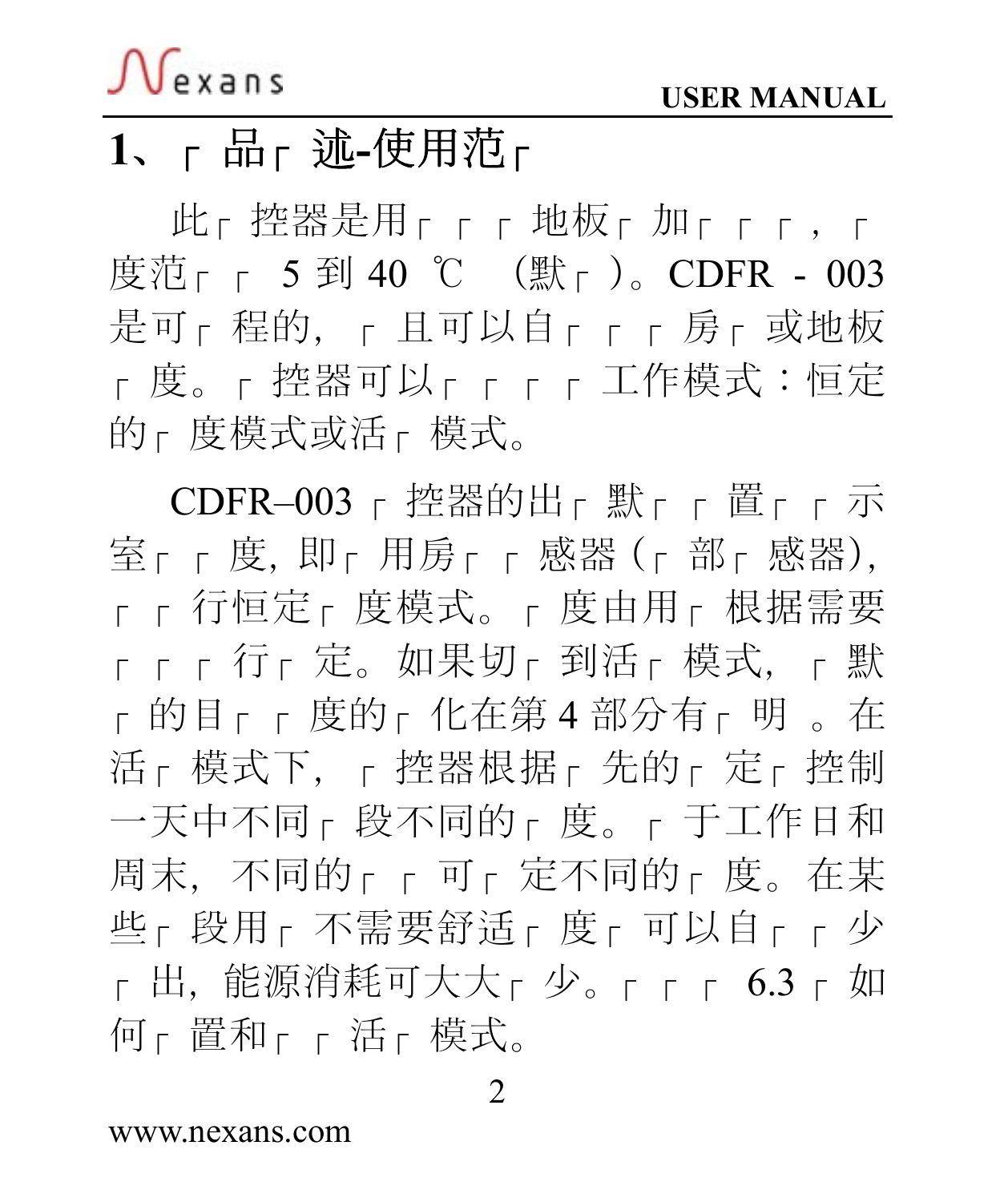### **1**、户 品户 述**-**使用范户

此」 控器是用 г г г 地板 г 加 г г г . г 度范 r r 5 到 40 ℃ (默 r )。CDFR - 003 是可「程的, 」且可以自「「「房」或地板 户 度。户 控器可以户 户 户 户 工作模式:恒定 的」 度模式或活」 模式。

CDFR–003 户 控器的出户 默户 户 置户 户 示 室 г г 度, 即 г 用房 г г 感器 (г 部 г 感器), 户 户 行恒定户 度模式。户 度由用户 根据需要 户 户 户 行户 定。如果切户 到活户 模式,户 默 户 的目户 户 度的户 化在第 4 部分有户 明 。在 活 г 模式下, г 控器根据 г 先的 г 定 г 控制 一天中不同户 段不同的户 度。户 于工作日和 周末, 不同的 r 可 r 定不同的 r 度。在某 些」段用」不需要舒适」度」可以自己了少 户 出,能源消耗可大大户 少。户 户 户 6.3 户 如 何」 置和」 广活」模式。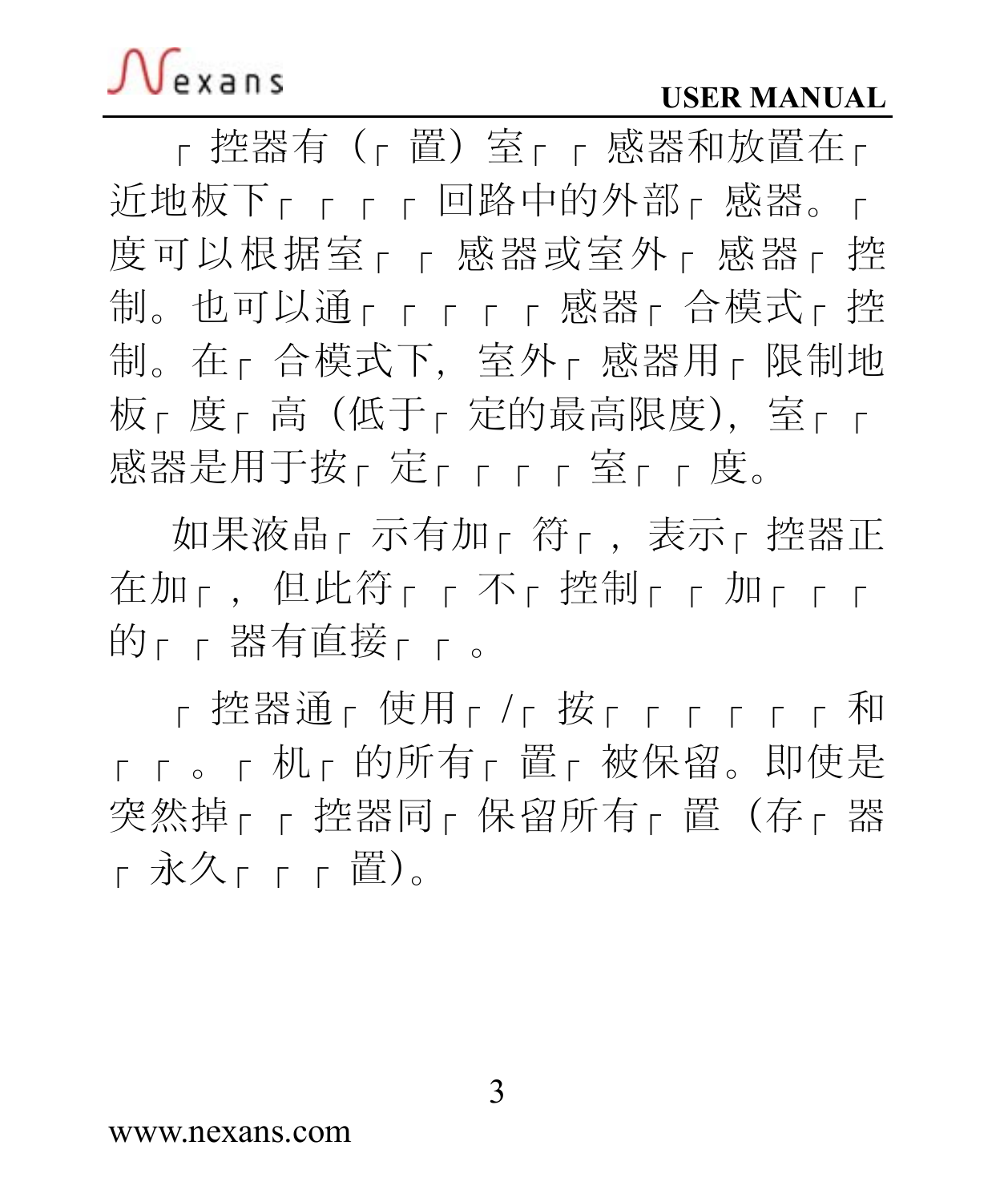### Vexans

户 控器有(户 置)室户 户 感器和放置在户 近地板下 г г г 回路中的外部 г 感器。г 度可以根据室 r r 感器或室外 r 感器 r 控 制。也可以通 г г г г 感器 г 合模式 г 控 制。在户 合模式下,室外户 感器用户 限制地 板 г 度 г 高(低于 г 定的最高限度),室 г г 感器是用于按户 定户 户 户 户 室户 户 度。

如果液晶 r 示有加 r 符 r ,表示 r 控器正 在加」,但此符」,不「控制」,加」, 的 r r 器有直接 r r 。

户 控器通户 使用户 /户 按户 户 户 户 户 户 和 户 户 。户 机户 的所有户 置户 被保留。即使是 突然掉 г г 控器同 г 保留所有 г 置(存 г 器 户 永久户 户 户 置)。

3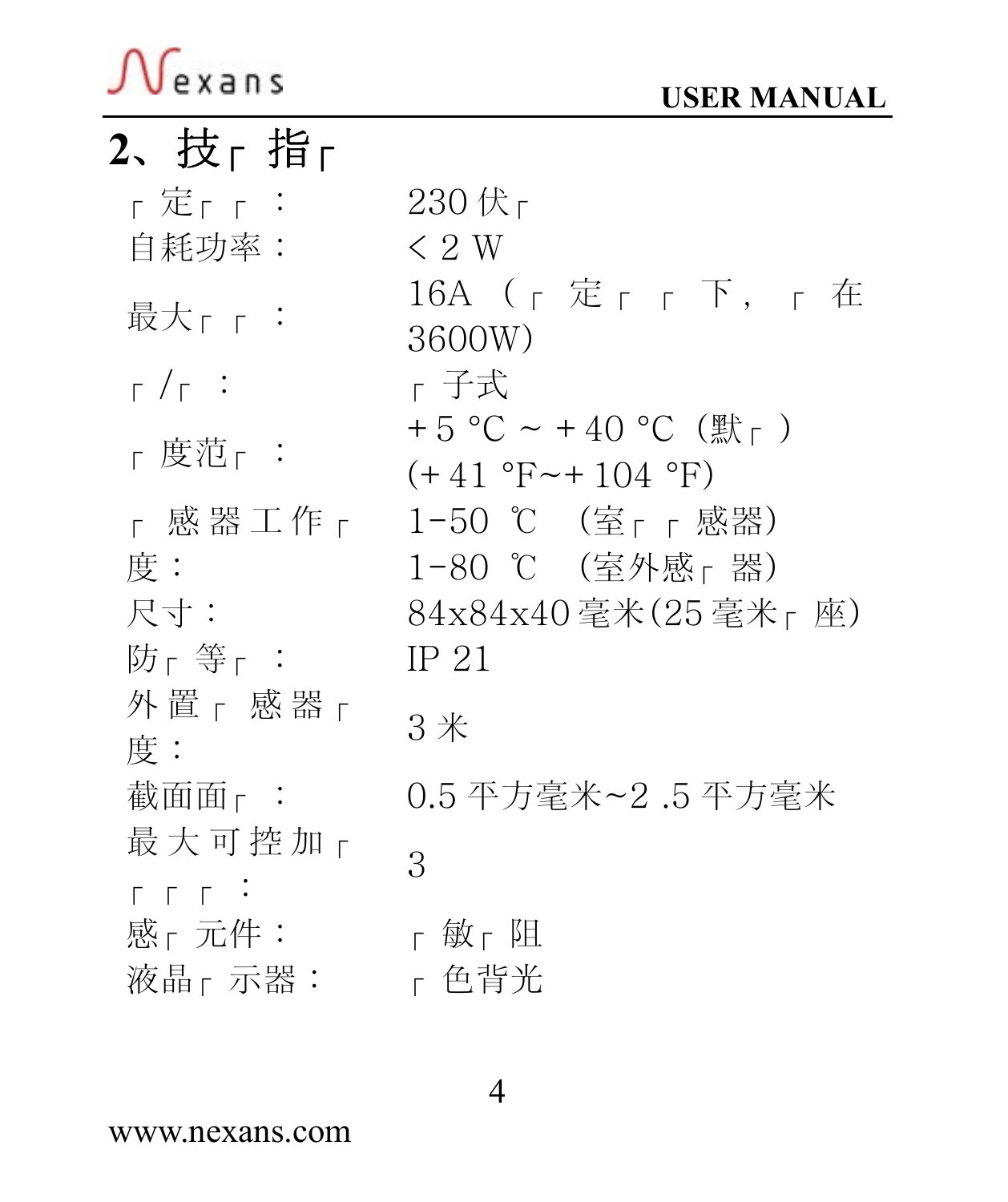### $V_{exans}$

2、技r 指r 户 定户 户 : 230 伏户 自耗功率: < 2 W 最大 $r :$  16A ( $r \nbrace$  テ  $r \in \mathbb{R}$ 3600W) 户 /户 : 户 子式  $-$  度范」:  $+5$  °C ~ +40 °C (默┌)  $(+41 \degree F \rightarrow +104 \degree F)$ ┌ 感器工作┌ 1-50 ℃ (室┌┌感器) 度: 1-80 ℃ (室外感户 器) 尺寸: 84x84x40 毫米(25 毫米 г 座) 防<sub>厂</sub> 等<sub>厂</sub> : IP 21 外置」感器」 度: 3 米 截面面户 : 0.5 平方毫米~2 .5 平方毫米 最大可控加工 户 户 户 : 3 感户 元件: 户 敏户 阻 液晶,示器: 下色背光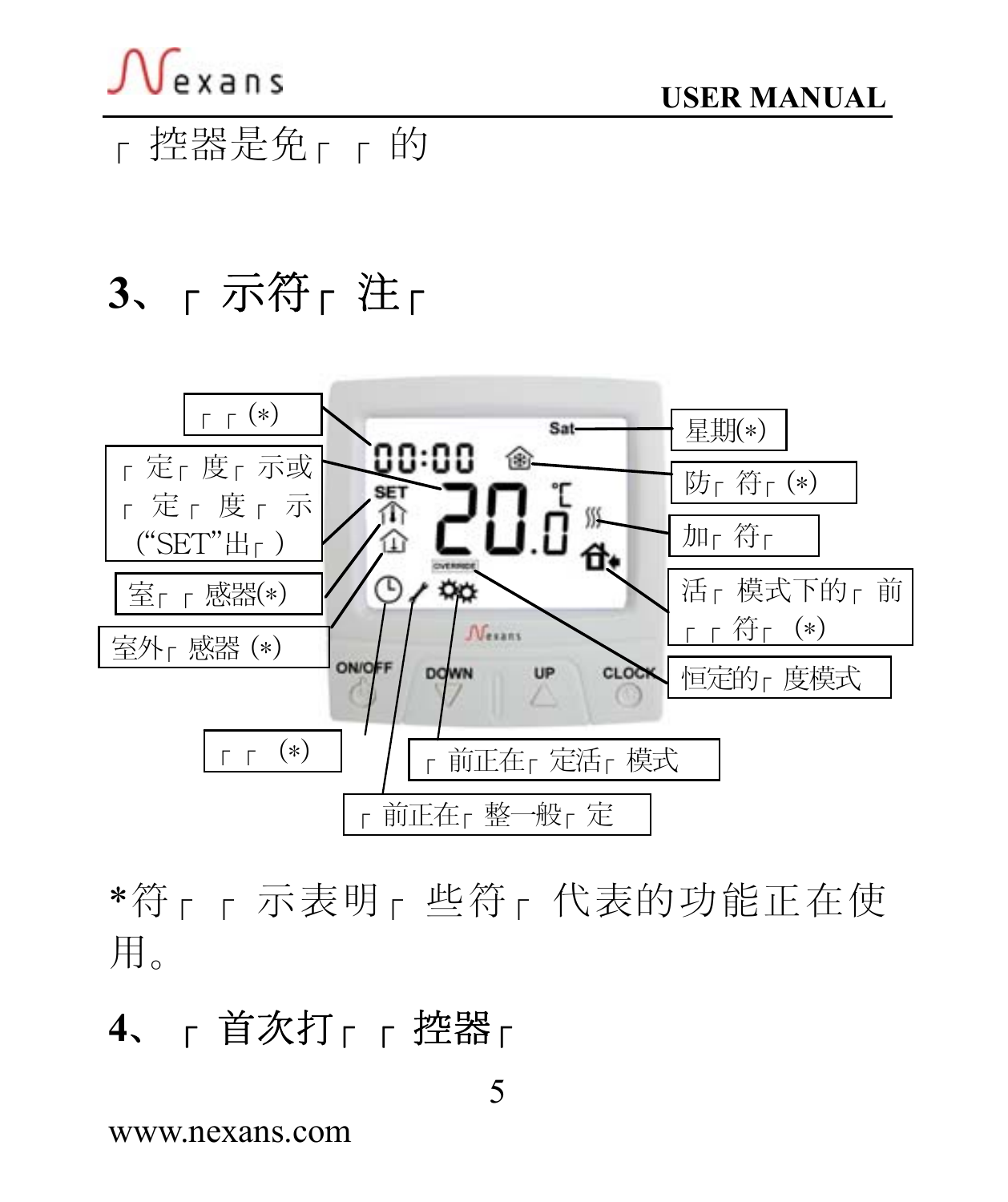### $P X A B S$

户 控器是免户 户 的

### **3**、户 示符户 注户



\*符 г г 示表明 г 些符 г 代表的功能正在使 用。

### 4、 r 首次打 r r 控器 r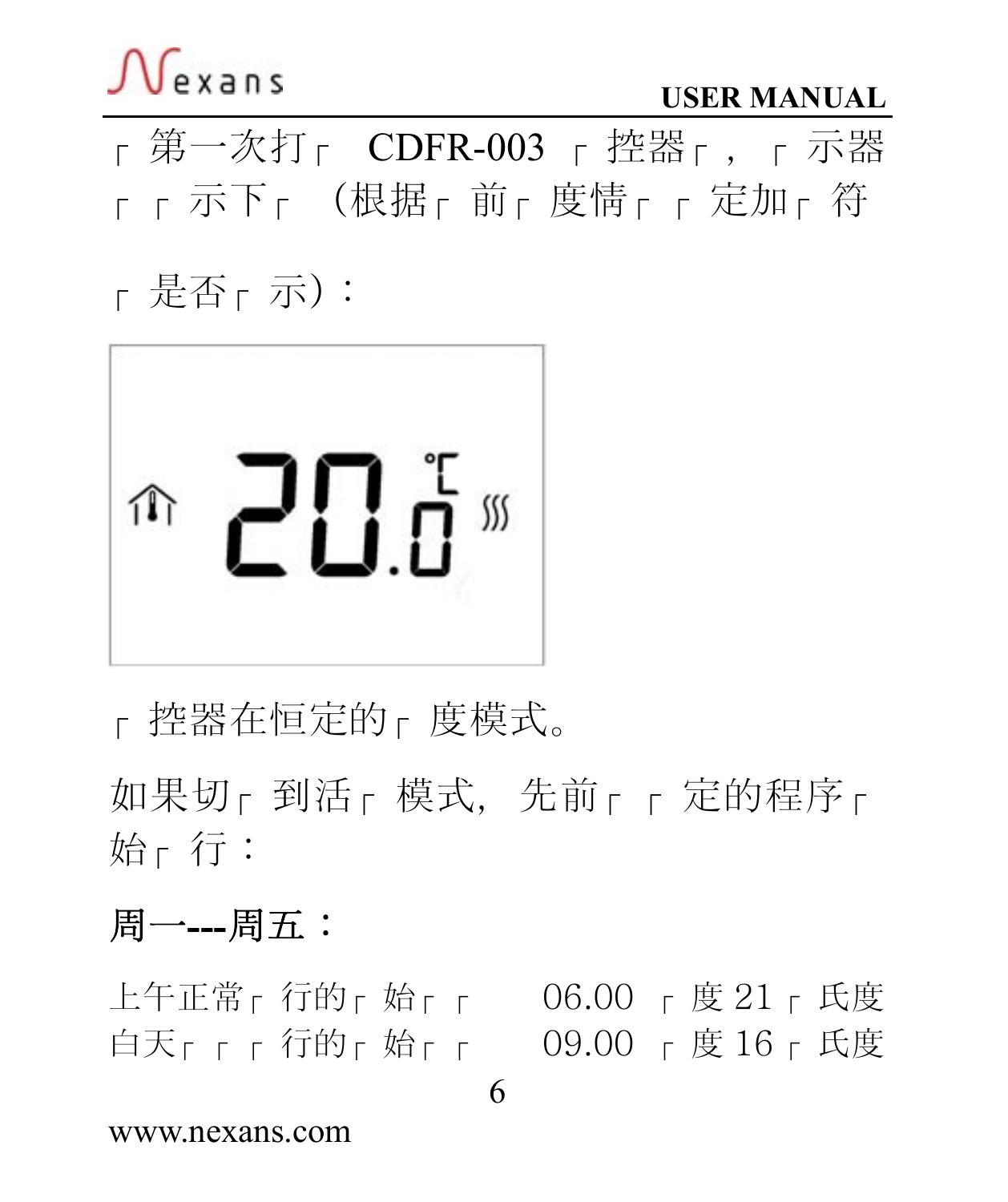

**USER MANUAL**

□ 第一次打 □ CDFR-003 □ 控器□ , □ 示器 户 户 示下户 (根据户 前户 度情户 户 定加户 符

户 是否户 示):



户 控器在恒定的户 度模式。

如果切 - 到活 - 模式, 先前 - - 定的程序 -始」行:

#### 周一**---**周五:

上午正常 r 行的 r 始 r r 06.00 r 度 21 r 氏度 白天户 户 户 行的户 始户 户 09.00 户 度 16 户 氏度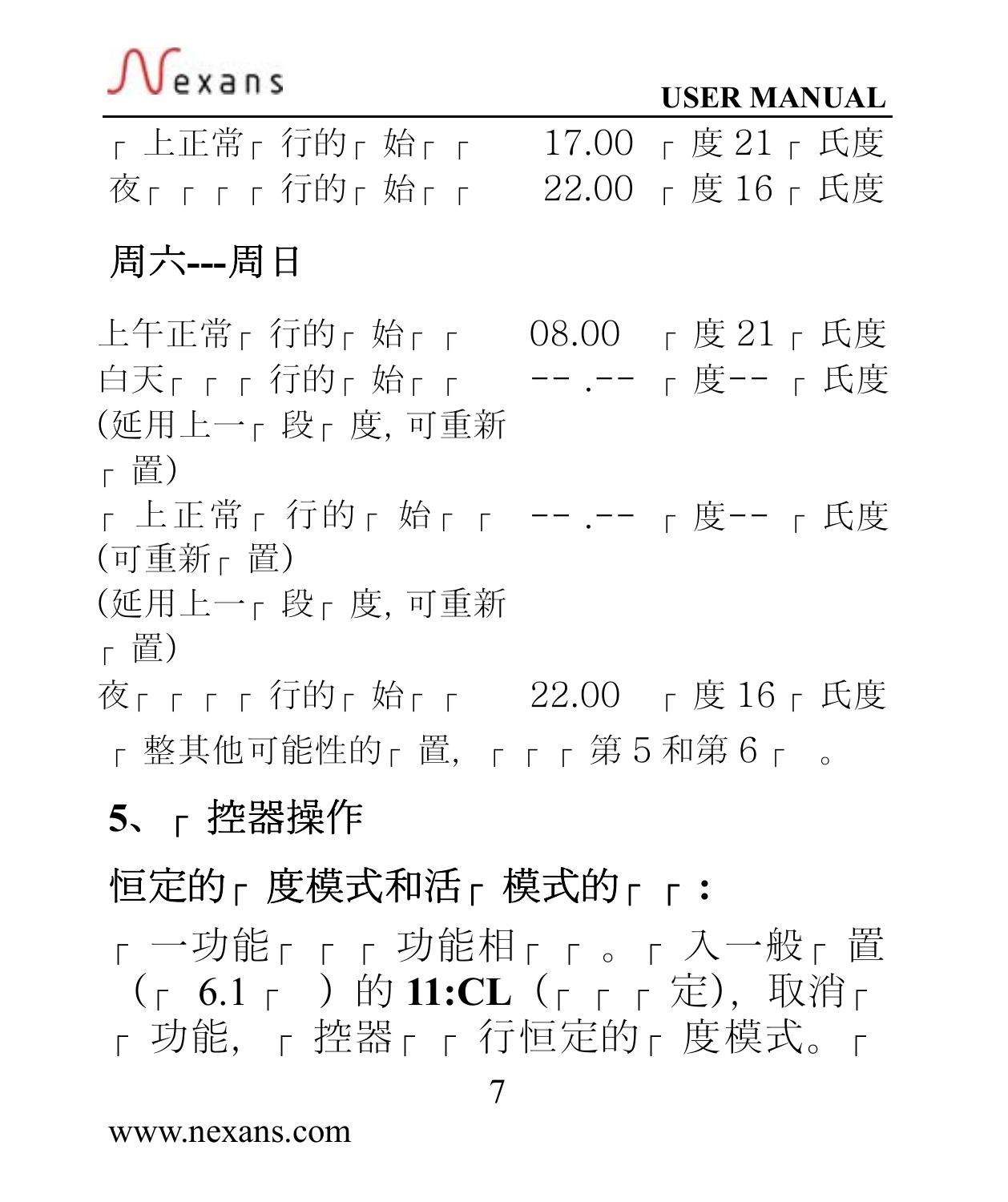# $V_{exans}$

**USER MANUAL**

户 上正常户 行的户 始户 户 17.00 户 度 21 户 氏度 夜户 户 户 户 行的户 始户 户 22.00 户 度 16 户 氏度

### 周六**---**周日

上午正常」行的「始」「 08.00 「度 21 」氏度 白天户 户 户 行的户 始户 户 -- .-- 户 度-- 户 氏度 (延用上一户 段户 度,可重新 户 置)

┌ 上正常┌ 行的┌ 始┌┌ -- .-- ┌ 度-- ┌ 氏度 (可重新户 置)

(延用上一户 段户 度,可重新

户 置)

夜户 户 户 户 行的户 始户 户 22.00 户 度 16 户 氏度 户 整其他可能性的户 置,户 户 户 第 5 和第 6 户 。

### **5**、户 控器操作

### 恒定的户 度模式和活户 模式的户 户 **:**

户 一功能户 户 户 功能相户 户 。户 入一般户 置 (户 6.1 户 )的 **11:CL**(户 户 户 定),取消户 г 功能,г 控器г г 行恒定的г 度模式。г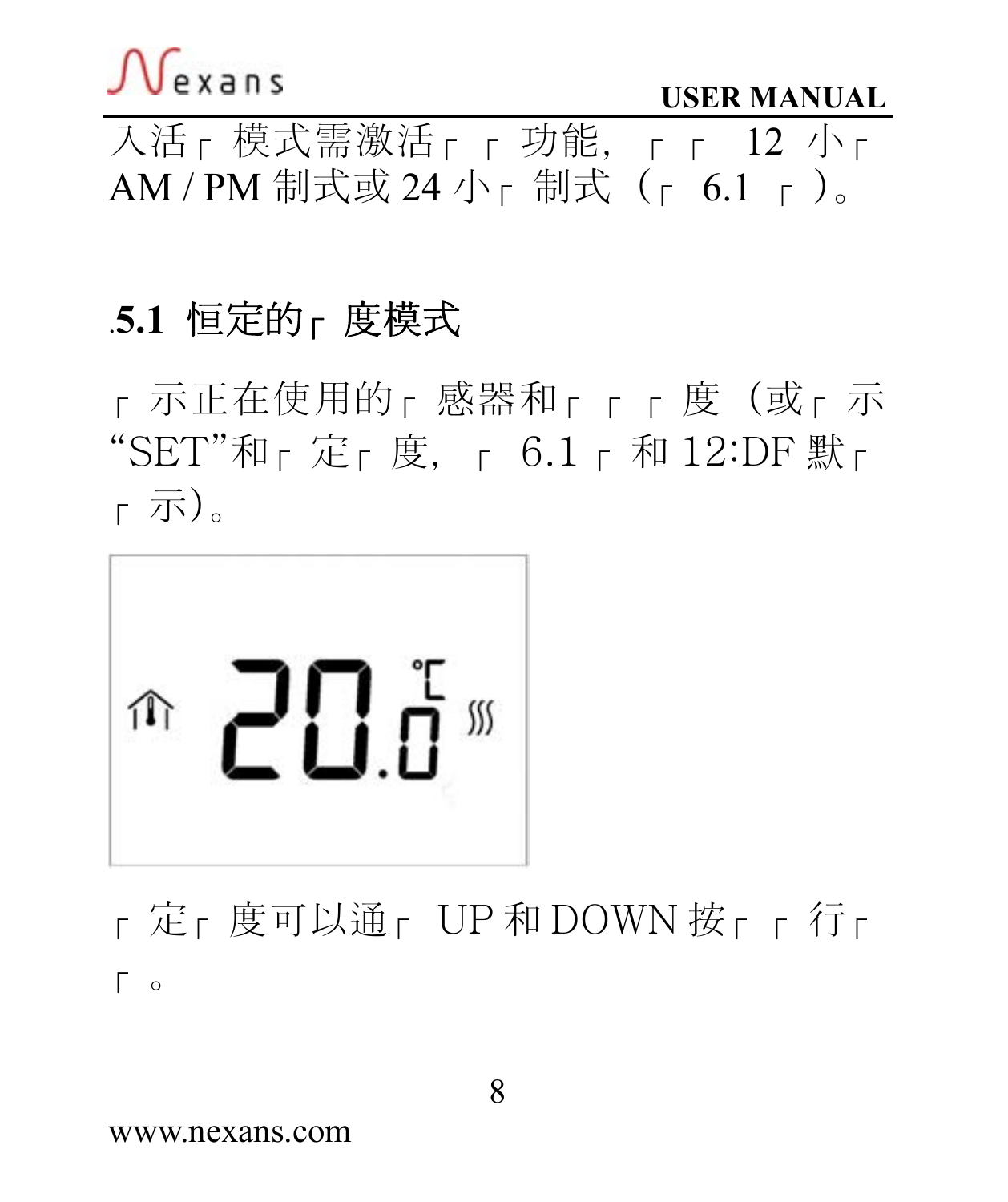# $\sqrt{P}$

**USER MANUAL**

入活「模式需激活」「功能,「「12 小」 AM / PM 制式或 24 小」制式(r 6.1 r)。

# .**5.1** 恒定的户 度模式

户 示正在使用的户 感器和户 户 户 度(或户 示 "SET"和户 定户 度,户 6.1 户 和 12:DF 默户 户 示)。



户 定户 度可以通户 UP 和 DOWN 按户 户 行户  $\Gamma$   $\alpha$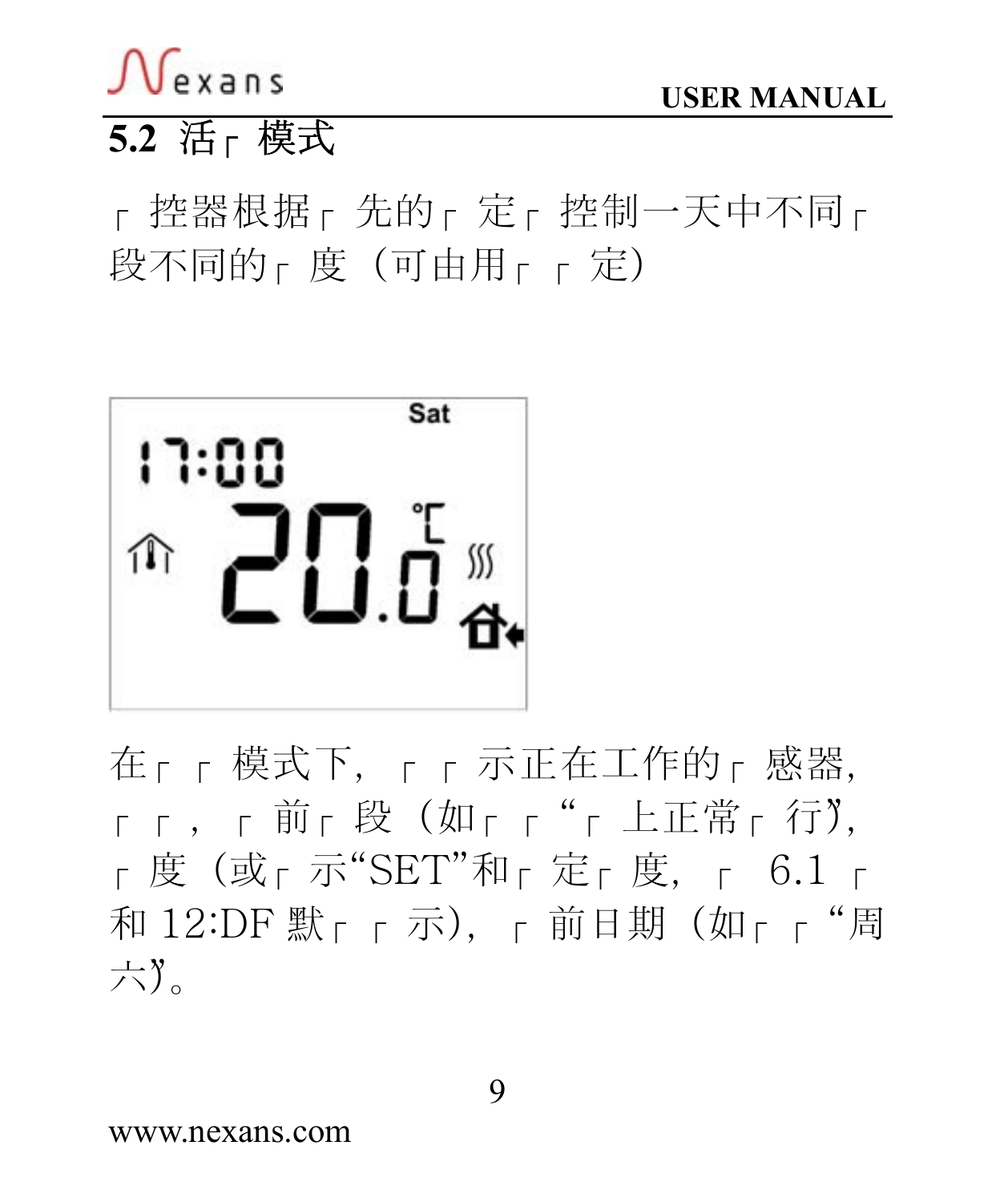# $\Lambda$ exans **5.2** 活户 模式

户 控器根据户 先的户 定户 控制一天中不同户 段不同的 г 度 (可由用 г г 定)



在 r r 模式下, r r 示正在工作的 r 感器, 户 户 ,户 前户 段(如户 户 "户 上正常户 行"), 户 度(或户 示"SET"和户 定户 度,户 6.1 户 和 12:DF 默户 户 示),户 前日期(如户 户 "周 六》。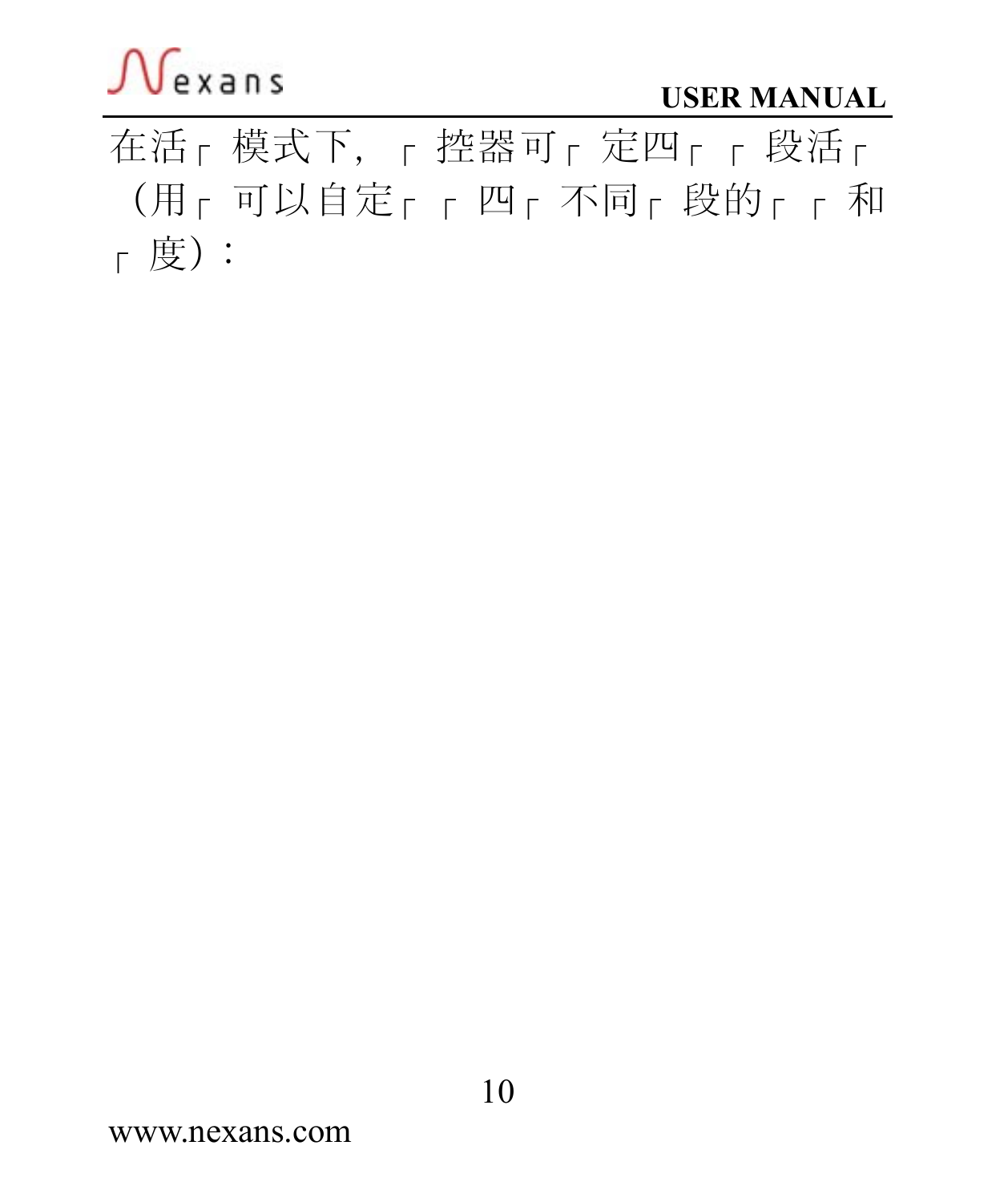# $N_{\text{examples}}$

**USER MANUAL**

在活 r 模式下, r 控器可 r 定四 r r 段活 r (用」可以自定」」四「不同」段的「「和 户 度):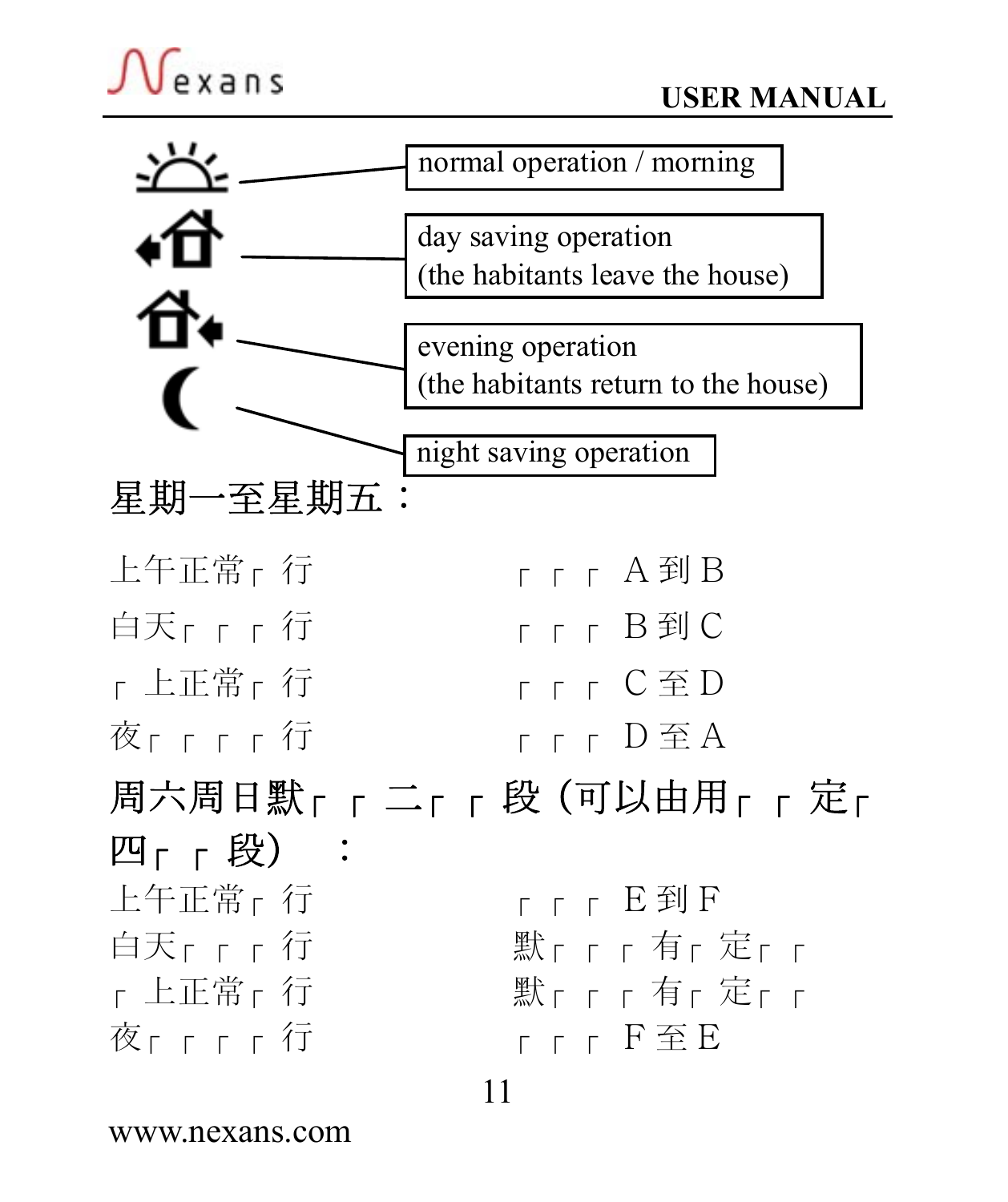# -<br>exans



| 上午正常」行   | $r r A$ 到 $B$        |
|----------|----------------------|
| 白天」「「行   | $r r F B$ 到 $C$      |
| r 上正常r 行 | $r r C \nsubseteq D$ |
| 夜「「「「行   | $r r D \nsubseteq A$ |

### 周六周日默┌┌ 二┌┌ 段 (可以由用┌┌ 定┌ 四「「段)」:

上午正常户 行 户 户 户 E 到 F 白天户 户 户 行 默户 户 户 有户 定户 户 ┌ 上正常┌ 行 │ │ │ │ │ 默┌ ┌ ┌ 有┌ 定┌ ┌ 夜<sub>日 日 日</sub> 斤 斤 斤 斤 子 至 E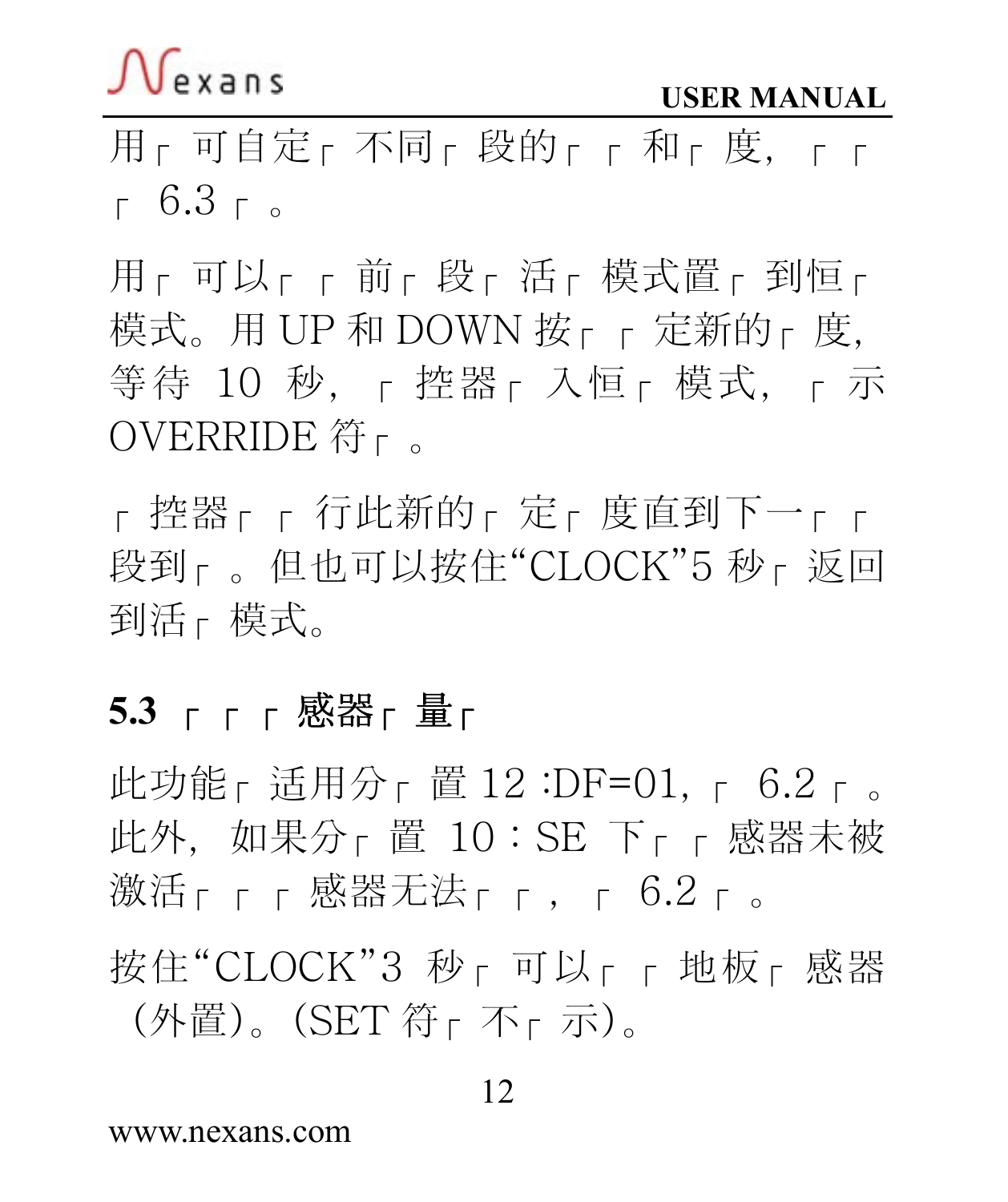# $V_{\text{exans}}$

**USER MANUAL**

用」可自定」不同」段的」」和「度, 」 户 6.3 户 。

用」可以」 - 前 - 段 - 活 - 模式置 - 到恒 -模式。用 UP 和 DOWN 按 r r 定新的 r 度, 等待 10 秒, r控器r入恒r模式, r示 OVERRIDE 符r。

г 控器гг 行此新的г 定г 度直到下一гг 段到」。但也可以按住"CLOCK"5 秒」返回 到活户 模式。

### 5.3 rrF 感器r量r

此功能户 适用分户 置 12:DF=01,户 6.2 户 。 此外,如果分 - 置 10:SE 下 - - 感器未被 激活 г г 感器无法 г г , г б.2 г 。

按住"CLOCK"3 秒r 可以r r 地板r 感器 (外置)。(SET 符户 不户 示)。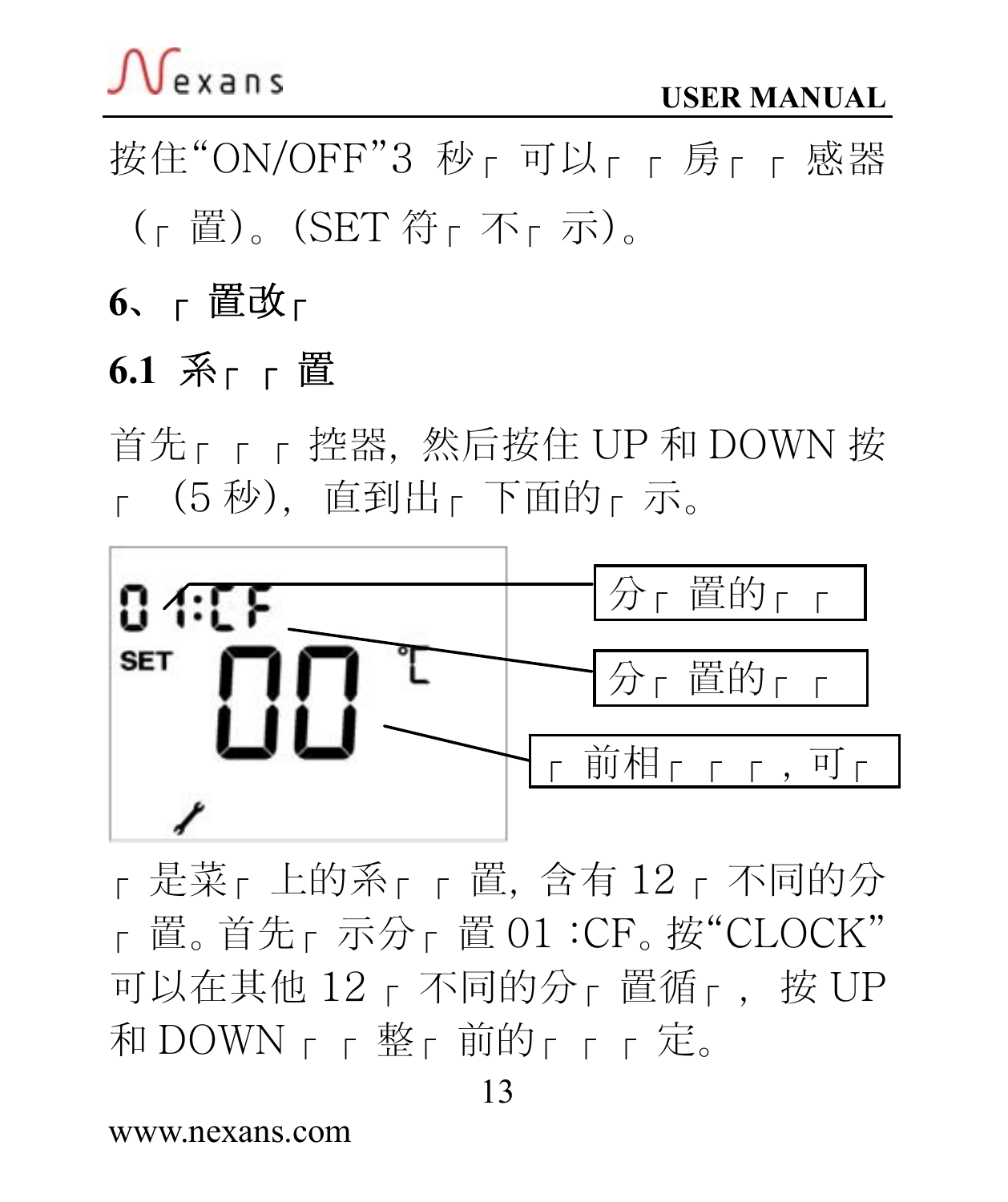**USER MANUAL**

按住"ON/OFF"3 秒r 可以r r 房r r 感器 (户 置)。(SET 符户 不户 示)。

# **6、** г 置改 г

### 6.1 系r r 置

首先 r r 控器, 然后按住 UP 和 DOWN 按 户 (5 秒),直到出户 下面的户 示。



户 是菜户 上的系户 户 置,含有 12 户 不同的分 户 置。首先户 示分户 置 01:CF。按"CLOCK" 可以在其他 12 г 不同的分 г 置循 г , 按 UP 和 DOWN r r 整 r 前的 r r r 定。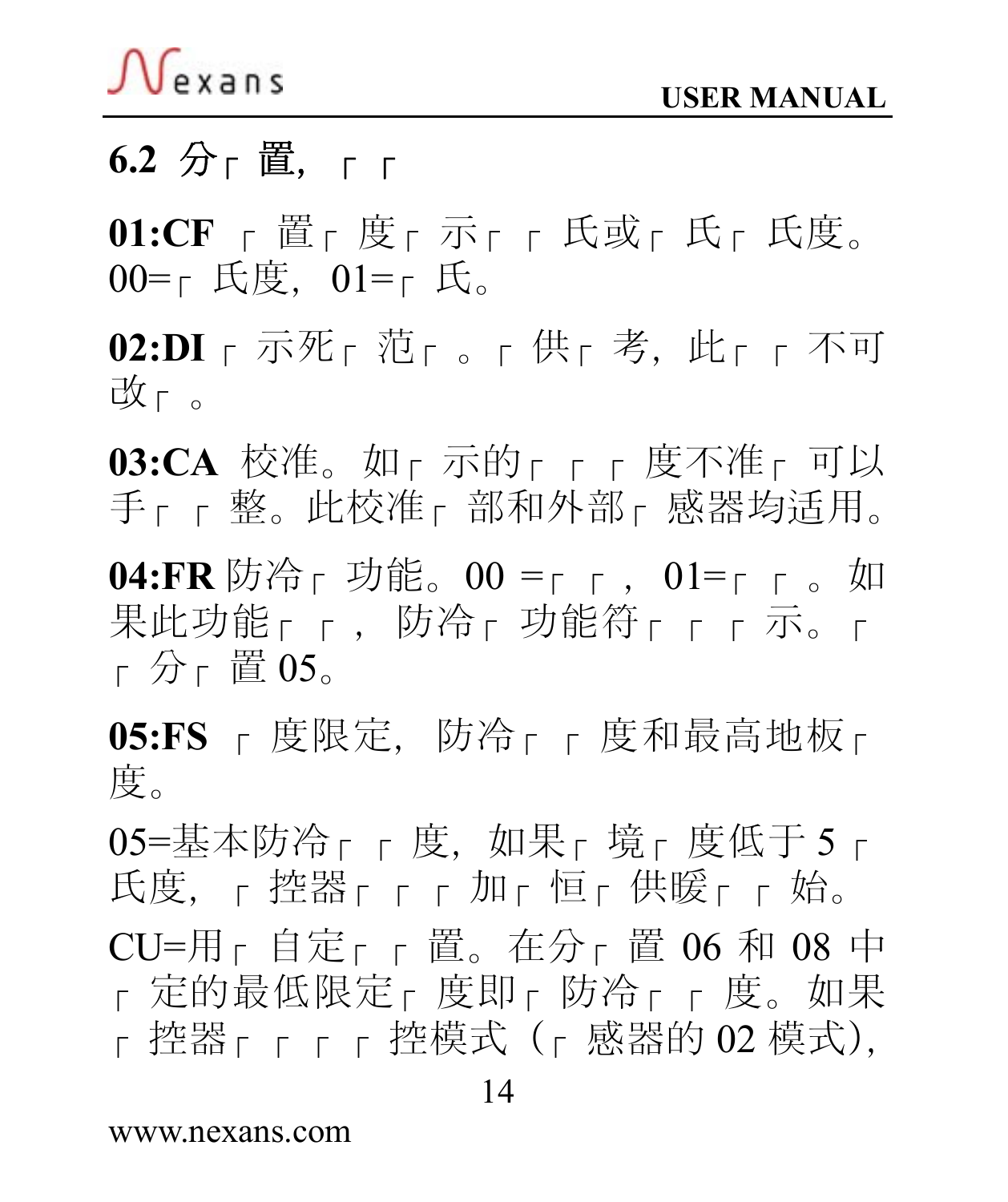### **6.2 分г置, гг**

**01:CF** 户 置户 度户 示户 户 氏或户 氏户 氏度。  $00=$   $\Gamma$  氏度,  $01=$   $\Gamma$  氏。

02:DI r 示死 r 范 r 。 r 供 r 考, 此 r r 不可 改」。

03:CA 校准。如「示的」<sub>「「</sub>度不准」可以 手 - - 整。此校准 - 部和外部 - 感器均适用。

**04:FR** 防冷」功能。00 = r r , 01 = r r 。如 果此功能」」,防冷」功能符」」,示。」 户 分户 置 05。

05:FS  $\Gamma$  度限定, 防冷 $\Gamma$  F 度和最高地板 $\Gamma$ 度。

05=基本防冷 г г 度, 如果 г 境 г 度低于 5 г 氏度, r控器r r r 加r 恒 r 供暖 r r 始。 CU=用户 自定户 户 置。在分户 置 06 和 08 中 户 定的最低限定户 度即户 防冷户 户 度。如果 户 控器户 户 户 户 控模式(户 感器的 02 模式),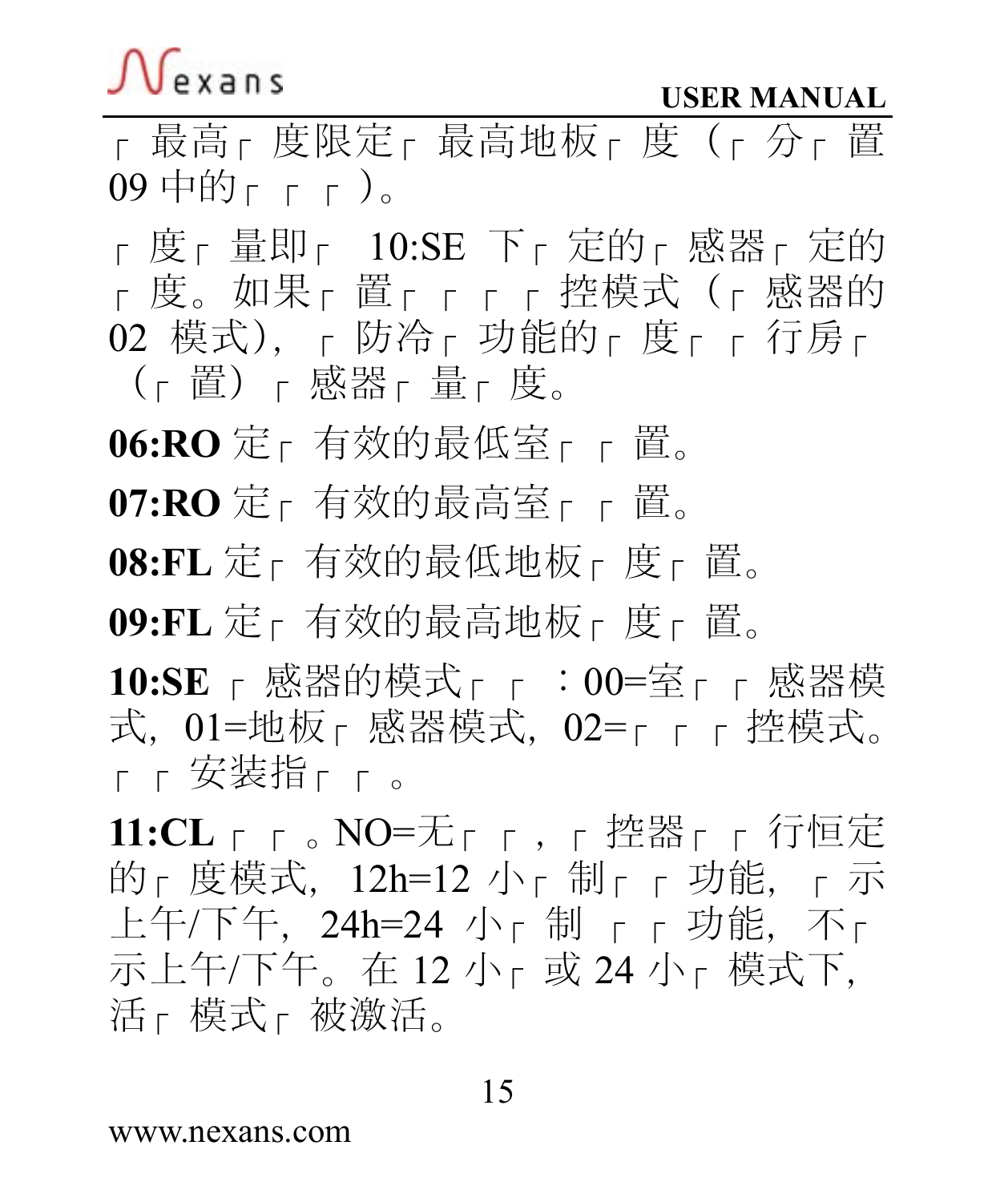$N_{\text{examples}}$ 

**USER MANUAL**

户 最高户 度限定户 最高地板户 度(户 分户 置  $09$  中的 $r$   $r$   $r$   $)$ 。

户 度户 量即户 10:SE 下户 定的户 感器户 定的 户 度。如果户 置户 户 户 户 控模式(户 感器的 02 模式), 「防冷」功能的「度」「行房」 (户 置)户 感器户 量户 度。

06:RO 定<sub>「</sub>有效的最低室<sub>「</sub> 「 置。

**07:RO** 定户 有效的最高室户 户 置。

**08:FL** 定户 有效的最低地板户 度户 置。

**09:FL** 定户 有效的最高地板户 度户 置。

10:SE r 感器的模式 r r : 00=室 r r 感器模 式, 01=地板 г 感器模式, 02= г г г 控模式。 户 户 安装指户 户 。

11:CL r r 。NO=无r r , r 控器 r r 行恒定 的 г 度模式, 12h=12 小 г 制 г г 功能, г 示 上午/下午,24h=24 小」制 」 向 功能,不」 示上午/下午。在 12 小户 或 24 小户 模式下, 活户 模式户 被激活。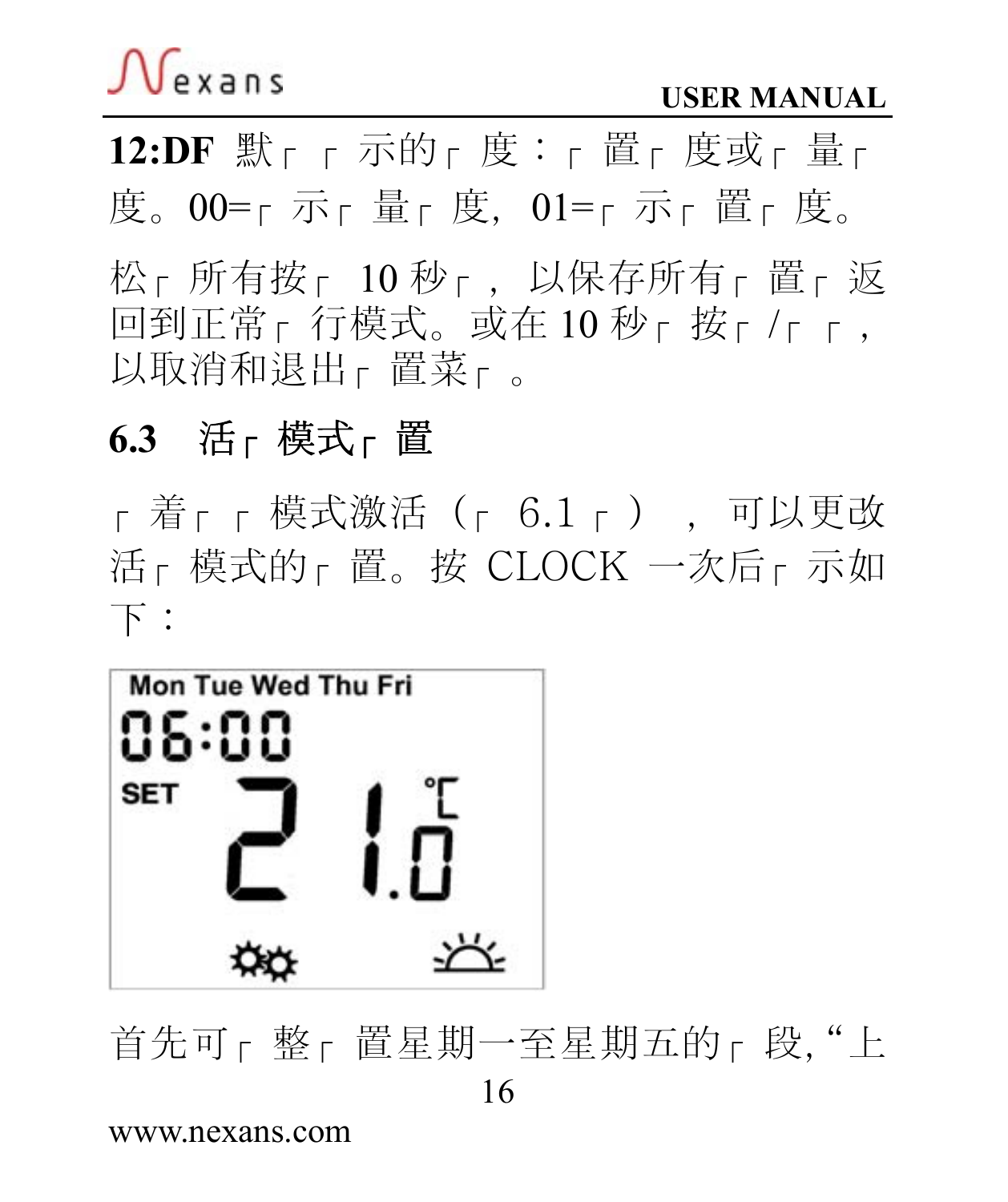**USER MANUAL**

12:DF 默r r 示的 r 度: r 置 r 度或 r 量 r 度。00=户 示户 量户 度,01=户 示户 置户 度。

松」所有按「10 秒」, 以保存所有「置」返 回到正常 - 行模式。或在 10 秒 - 按 - / - -, 以取消和退出」置菜」。

### **6.3** 活户 模式户 置

户 着户 户 模式激活(户 6.1 户 ) ,可以更改 活「模式的」置。按 CLOCK 一次后」示如 下:



16 首先可 - 整 - 置星期一至星期五的 - 段, "上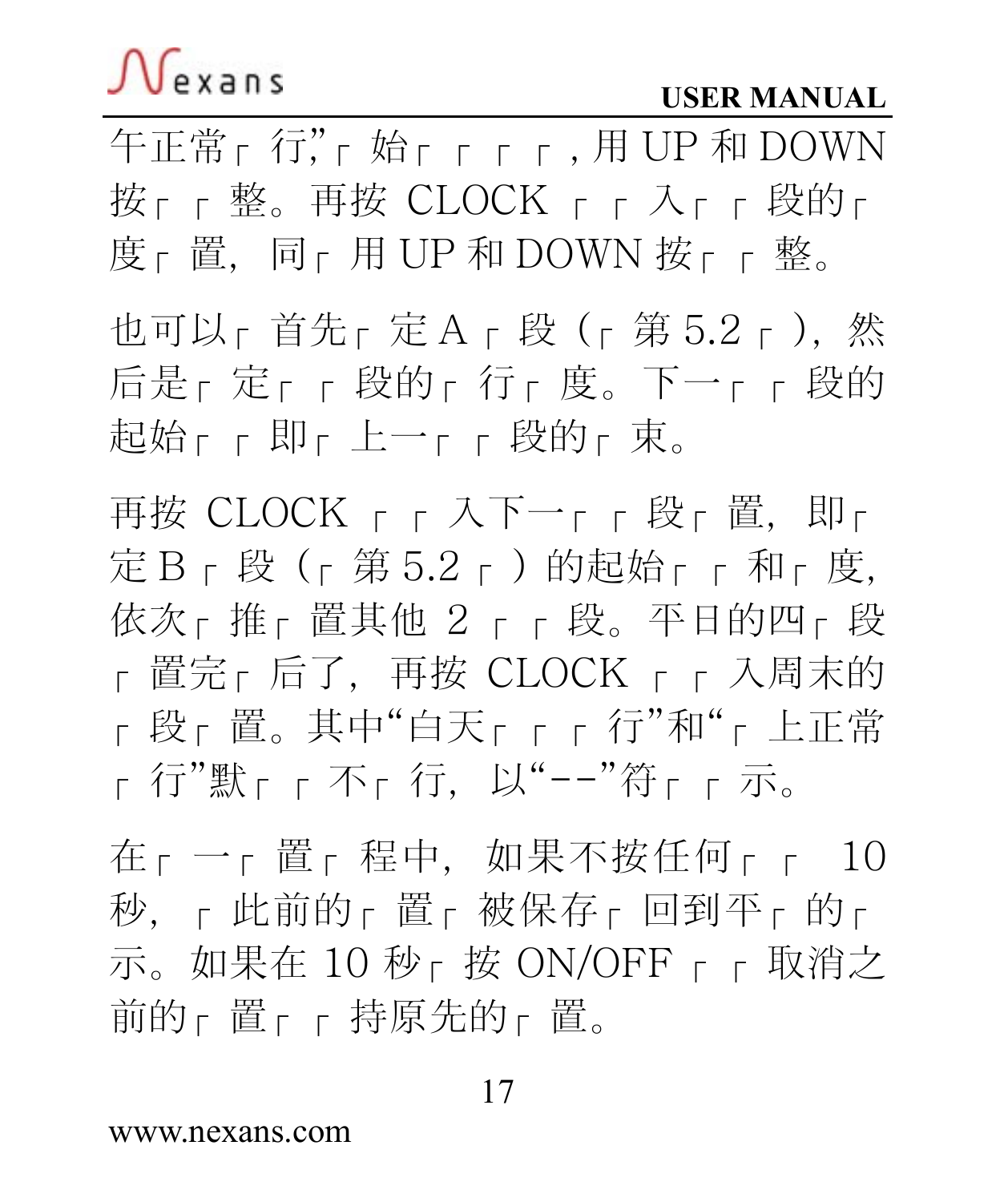午正常r 行"r 始r r r r ,用 UP 和 DOWN 按r r 整。再按 CLOCK r r 入r r 段的r 度 r 置,同 r 用 UP 和 DOWN 按 r r 整。

也可以」首先「定 A 」段 (「第 5.2 」), 然 后是户 定户 户 段的户 行户 度。下一户 户 段的 起始 г г 即 г 上一 г г 段的 г 束。

再按 CLOCK r r 入下一r r 段r 置, 即r 定 B  $\Gamma$  段 ( $\Gamma$  第 5.2  $\Gamma$ ) 的起始 $\Gamma$   $\Gamma$  和 $\Gamma$  度, 依次户 推户 置其他 2 户 户 段。平日的四户 段 户 置完户 后了,再按 CLOCK 户 户 入周末的 户 段户 置。其中"白天户 户 户 行"和"户 上正常 户 行"默户 户 不户 行,以"--"符户 户 示。

在 r 一 r 置 r 程中, 如果不按任何 r r 10 秒, r 此前的r 置r 被保存r 回到平r 的r 示。如果在 10 秒户 按 ON/OFF 户 户 取消之 前的 - 置 - - 持原先的 - 置。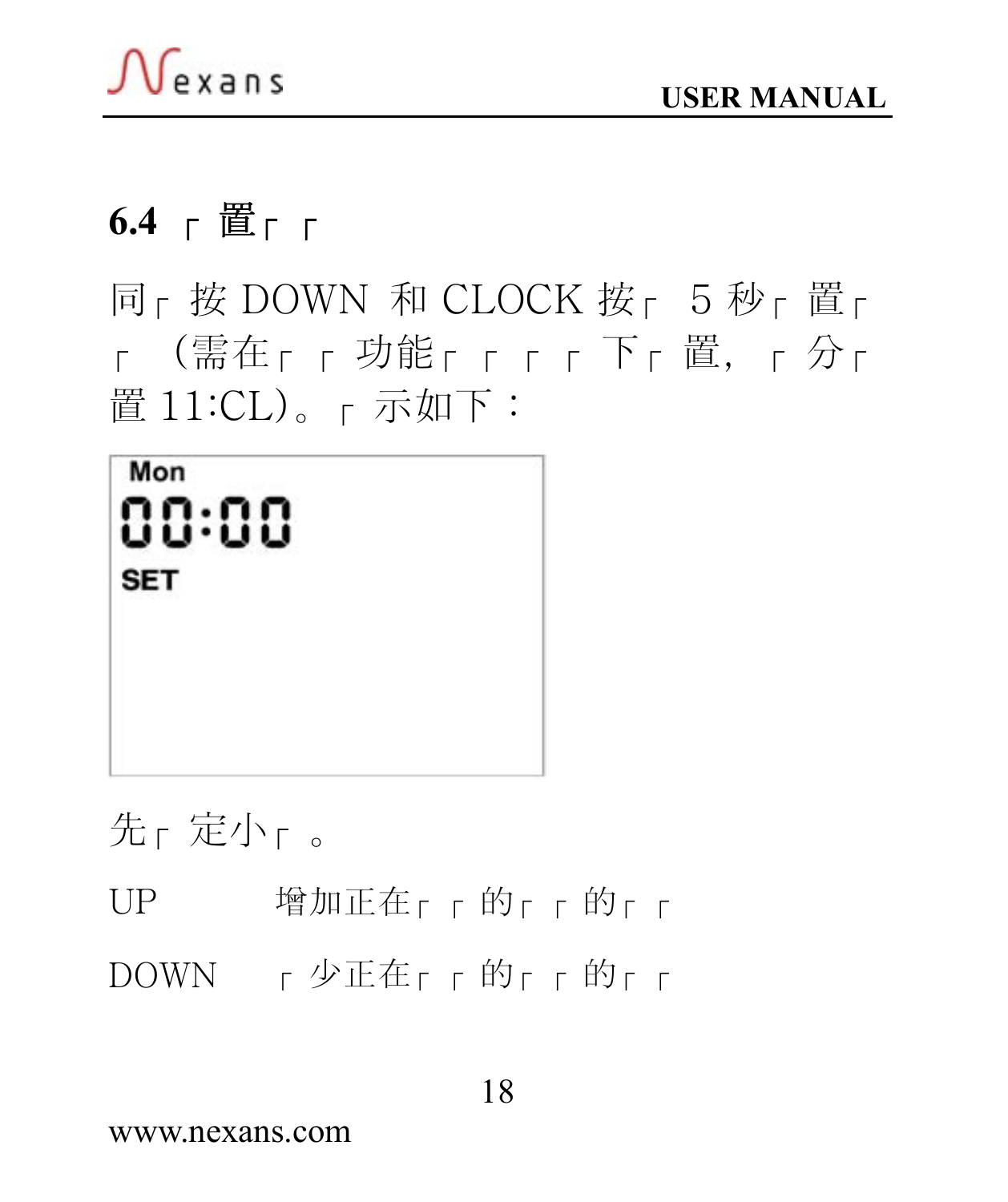# **6.4** 「置「「

同」按 DOWN 和 CLOCK 按」 5 秒」置」 ┌ (需在┌┌ 功能┌┌┌┌ 下┌ 置, ┌ 分┌ 置 11:CL)。<sub>「</sub>示如下:



先」定小」。

UP 增加正在r r 的r r 的r r

DOWN r 少正在r r 的r r 的r r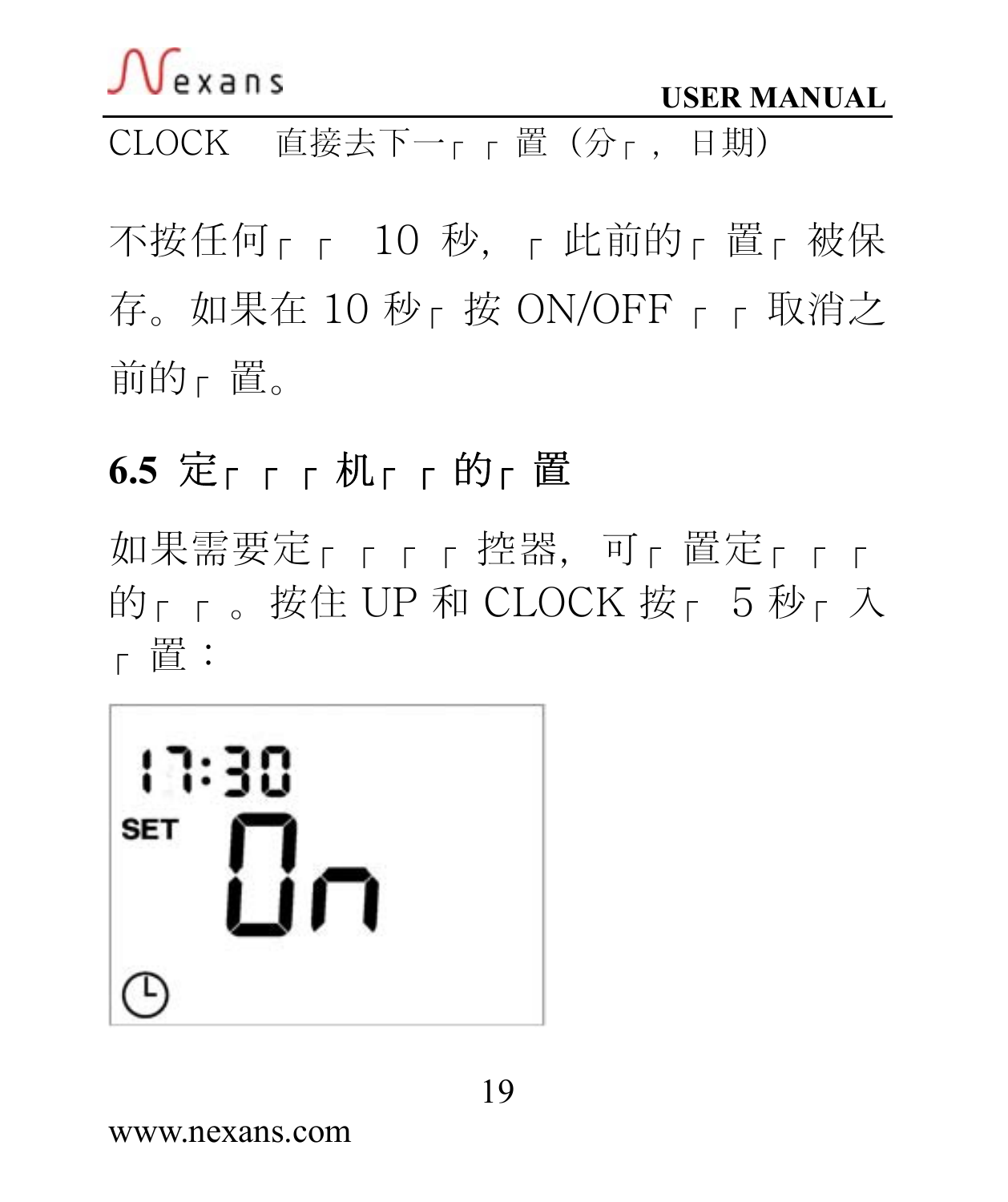# $P X A B S$

**USER MANUAL**

### CLOCK 直接去下一r r 置(分r, 日期)

不按任何 r r 10 秒, r 此前的 r 置 r 被保 存。如果在 10 秒户 按 ON/OFF 户 户 取消之 前的户 置。

# 6.5 定r r r 机r r 的r 置

如果需要定┌┌┌┌ 控器,可┌ 置定┌┌┌ 的r r 。按住 UP 和 CLOCK 按r 5 秒r 入 户 置:

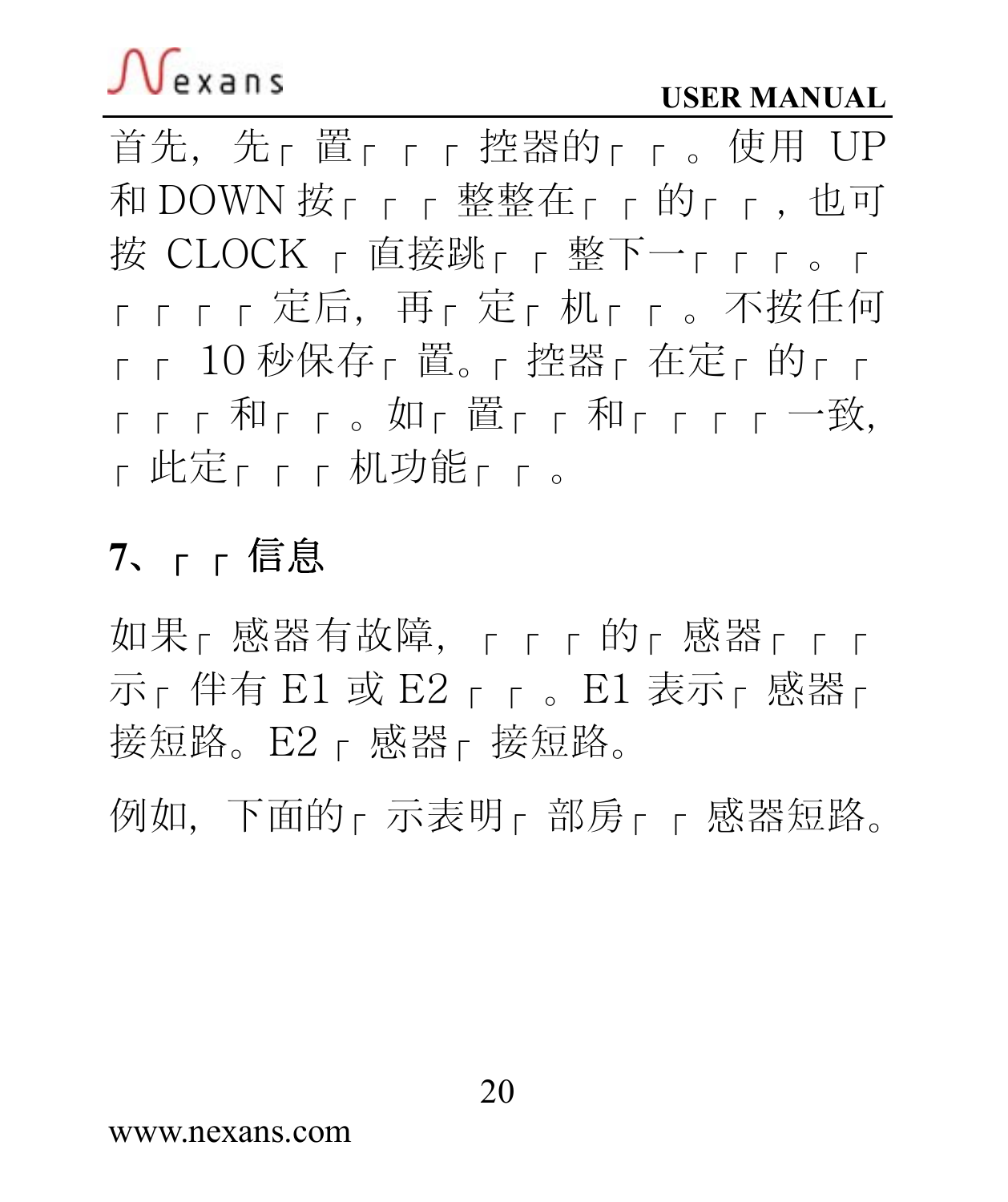**USER MANUAL**

首先. 先「置」「「控器的」」。使用 UP 和 DOWN 按r r r 整整在r r 的r r , 也可 按 CLOCK г 直接跳г г 整下一г г г 。г 户户户户定后,再户 定户 机户 户 。不按任何 户 户 10 秒保存户 置。户 控器户 在定户 的户 户 ┌ ┌ ┌ 和┌ ┌ 。如┌ 置┌ ┌ 和┌ ┌ ┌ ┌ 一致, 户 此定户 户 户 机功能户 户 。

### **7**、户 户 信息

如果г 感器有故障, г г г 的 г 感器 г г г 示 r 伴有 E1 或 E2 r r 。E1 表示 r 感器 r 接短路。E2 户 感器户 接短路。

例如, 下面的 - 示表明 - 部房 - - 感器短路。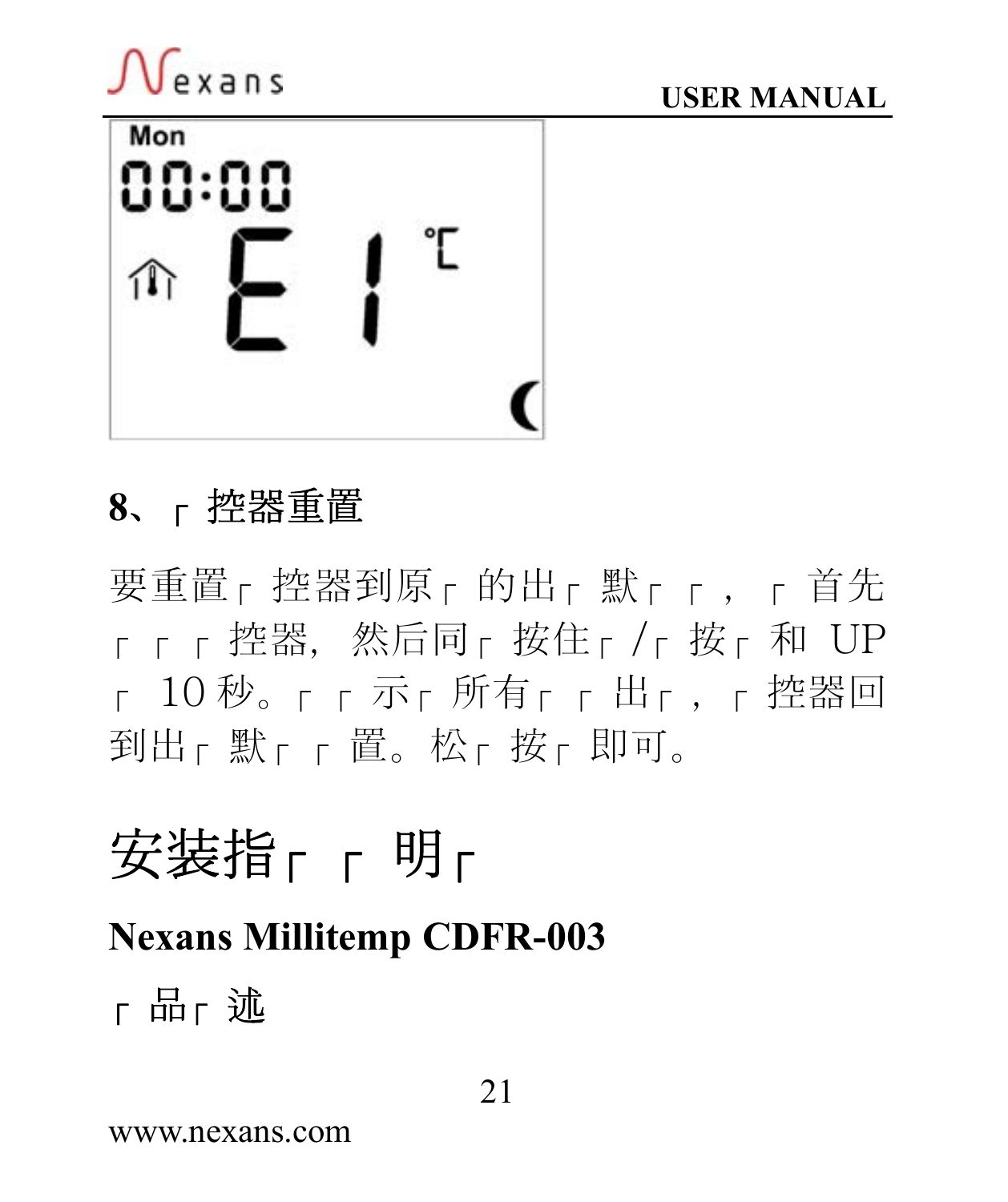

# **8**、户 控器重置

要重置 ┌ 控器到原 ┌ 的出 ┌ 默 ┌ ┌ , ┌ 首先 户 户 户 控器,然后同户 按住户 /户 按户 和 UP 户 10 秒。户 户 示户 所有户 户 出户 ,户 控器回 到出」默」 - 置。松 - 按 - 即可。

# 安装指г г 明г

**Nexans Millitemp CDFR-003** 

# 户 品户 述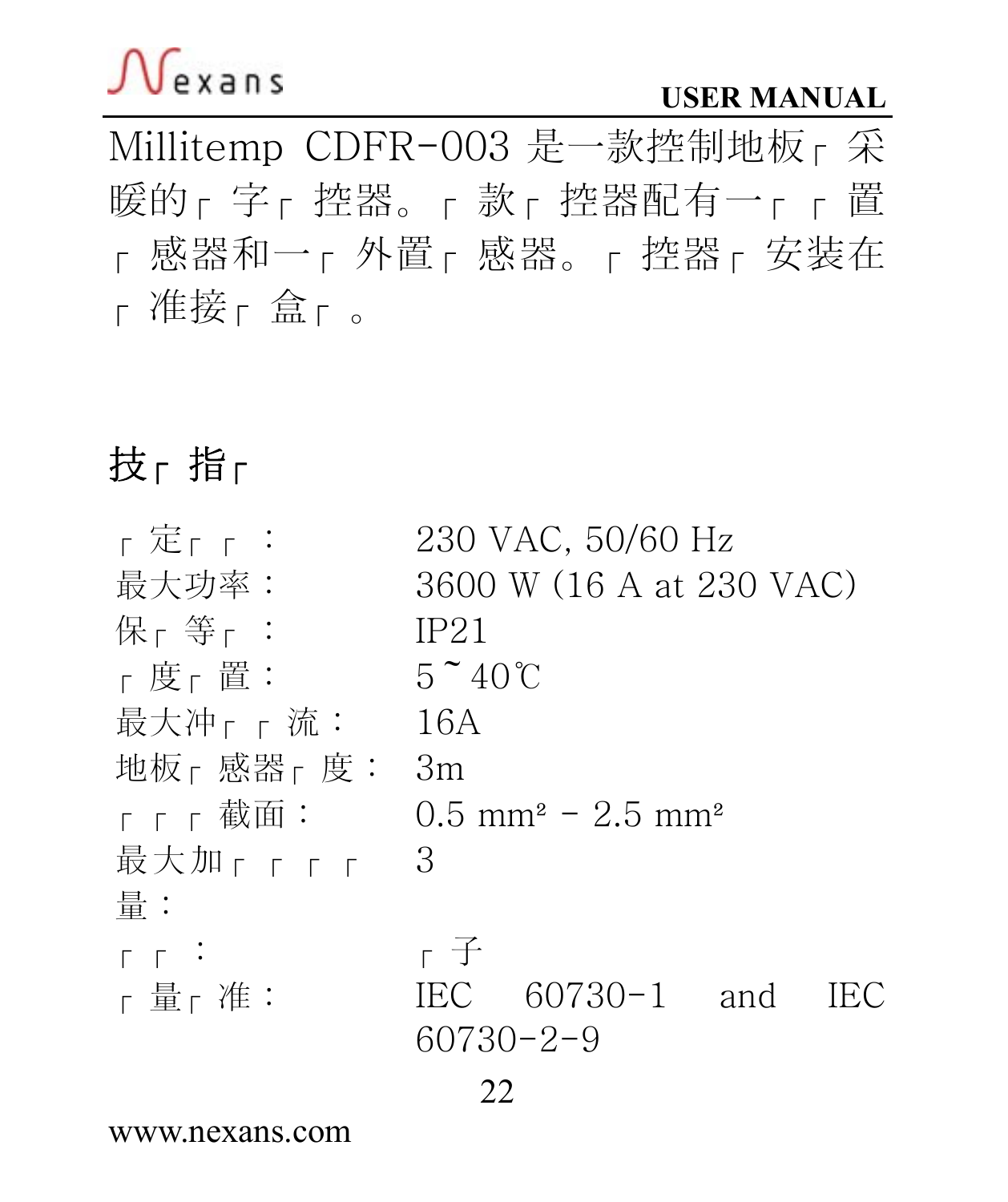#### **USER MANUAL**

Millitemp CDFR-003 是一款控制地板「采 暖的 г 字 г 控器 。 г 款 г 控器配有一 г г 置 户 感器和一户 外置户 感器。户 控器户 安装在 户 准接户 盒户 。

# 技r 指r

| r 定r r :  | 230 VAC, 50/60 Hz                           |
|-----------|---------------------------------------------|
| 最大功率:     | 3600 W (16 A at 230 VAC)                    |
| 保г等г:     | IP21                                        |
| ┌ 度┌ 置:   | $5^{\sim}40^{\circ}$ C                      |
| 最大冲гг流:   | 16A                                         |
| 地板「感器」度:  | 3 <sub>m</sub>                              |
| 「 「 「 截面: | $0.5$ mm <sup>2</sup> – 2.5 mm <sup>2</sup> |
| 最大加rrrr   | 3                                           |
| 量:        |                                             |
| n n P     | r 子                                         |
| 「量」准:     | $60730 - 1$ and<br>IEC<br>IEC.              |
|           | 60730-2-9                                   |
|           |                                             |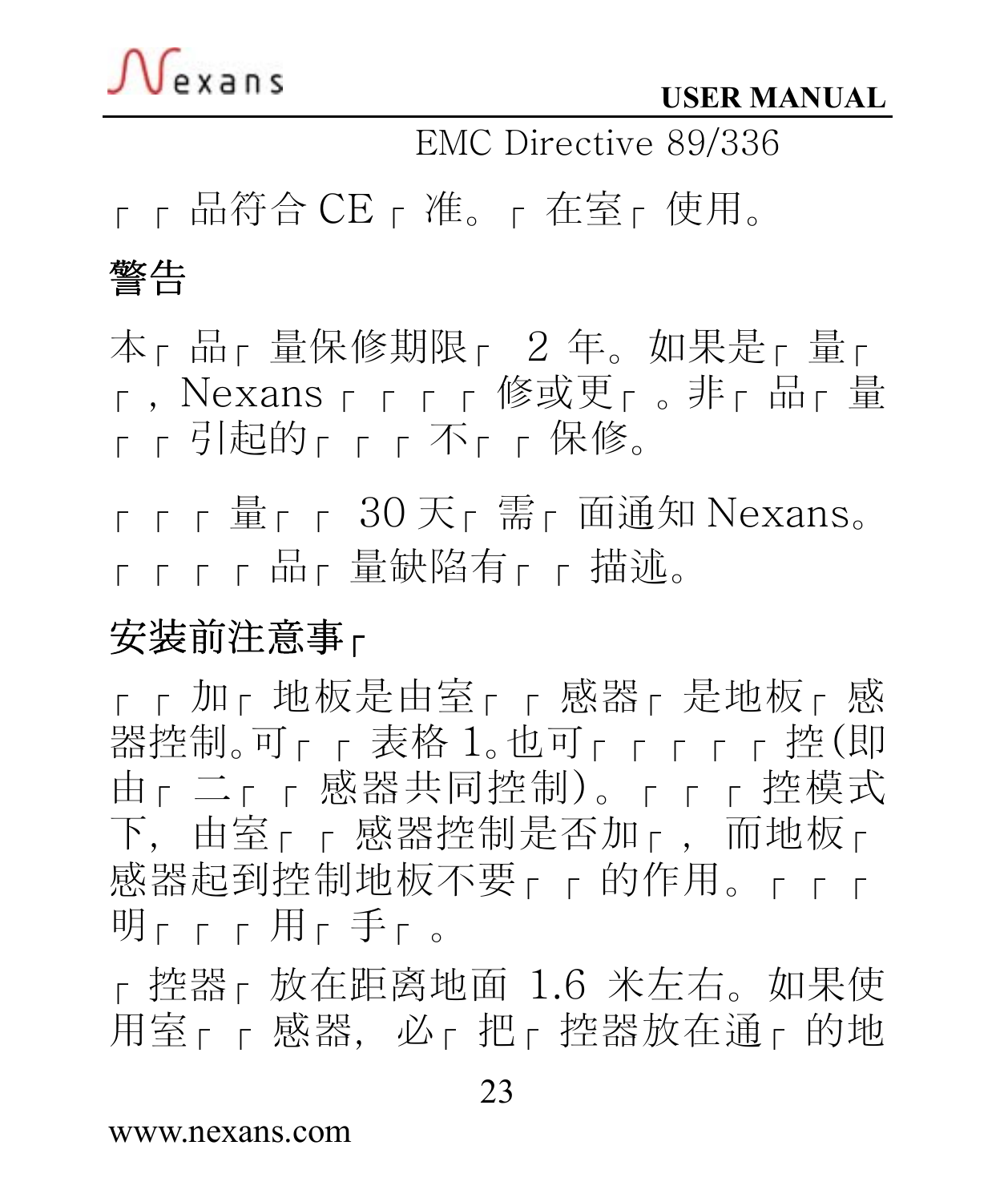**USER MANUAL**

EMC Directive 89/336

户 户 品符合 CE 户 准。户 在室户 使用。

#### 警告

本」品」量保修期限」 2 年。如果是」量」 户 ,Nexans 户 户 户 户 修或更户 。非户 品户 量 户 户 引起的户 户 户 不户 户 保修。

户 户 户 量户 户 30 天户 需户 面通知 Nexans。 户 户 户 户 品户 量缺陷有户 户 描述。

### 安装前注意事「

户 户 加户 地板是由室户 户 感器户 是地板户 感 器控制。可「「表格 1。也可」「「「「」控(即 由 г 二 г г 感器共同控制)。 г г г 控模式 下, 由室」 感器控制是否加」, 而地板」 感器起到控制地板不要 г г 的作用。 г г г 明」 「斤 用」手」。

户 控器户 放在距离地面 1.6 米左右。如果使 用室」 - 感器, 必」把 - 控器放在通 - 的地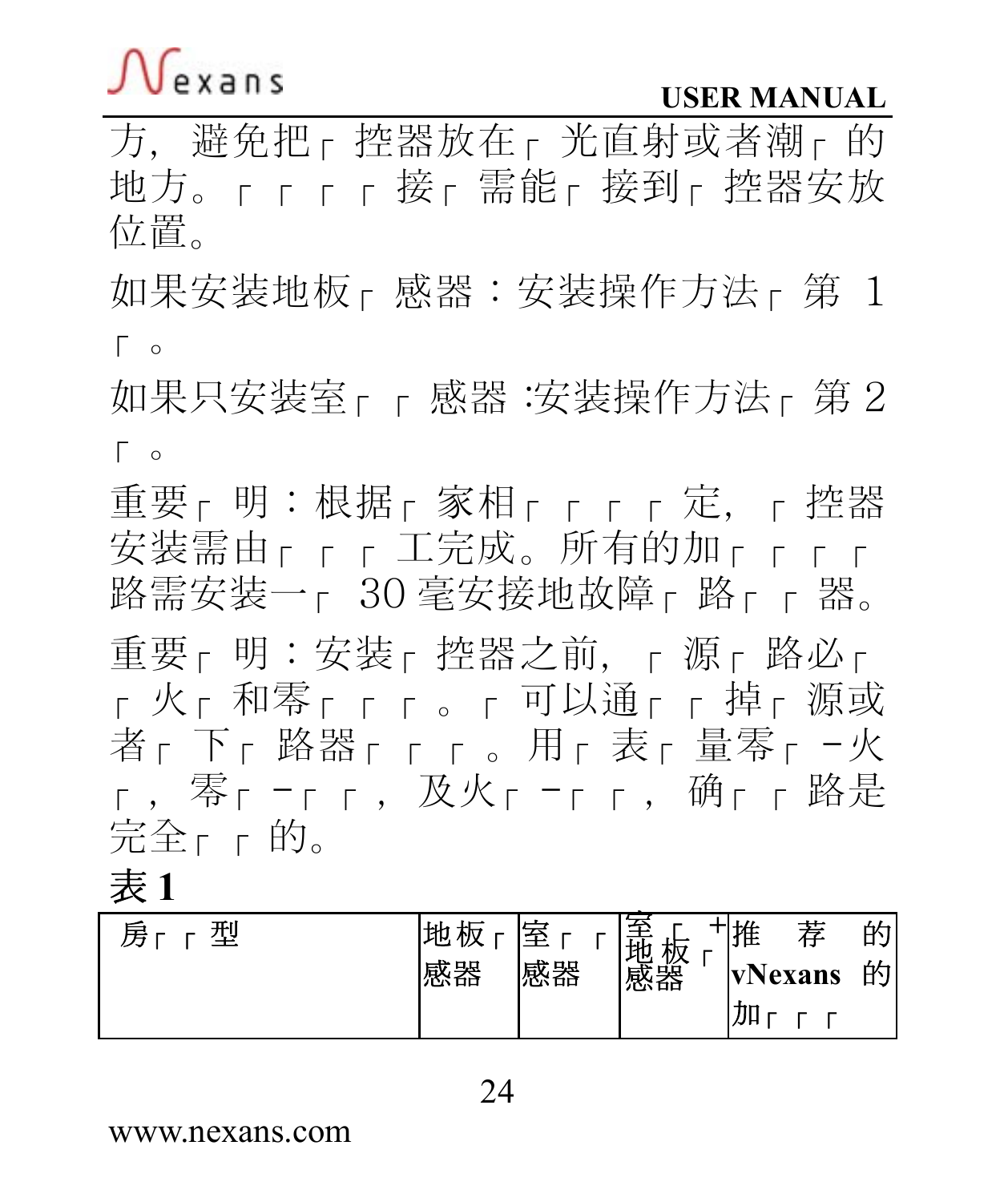#### **USER MANUAL**

方,避免把户 控器放在户 光直射或者潮户 的 地方。户 户 户 户 接户 需能户 接到户 控器安放 位置。

如果安装地板 г 感器: 安装操作方法 г 第 1  $\Gamma$   $\alpha$ 

如果只安装室 г г 感器 :安装操作方法 г 第 2  $\Gamma$   $\circ$ 

重要г明:根据г家相ггг度, г控器 安装需由 r r r 工完成。所有的加 r r r r 路需安装一r 30 毫安接地故障 г 路 г г 器。 重要г明:安装г控器之前, г源г路必г 户 火户 和/户 户 户 。户 可以通户 户 掉户 源或 者」下「路器」」「。用」表」量零」-火 ┌, 零┌ -┌┌, 及火┌ -┌┌, 确┌┌路是 完全户 户 的。

#### 表 **1**

| 型<br>房г<br>- | 地板「室」<br>感器 | -<br>感器 | 薫<br> 越<br> 感器 | 推<br>荐<br>vNexans 的 | 的 |
|--------------|-------------|---------|----------------|---------------------|---|
|              |             |         |                | 加」                  |   |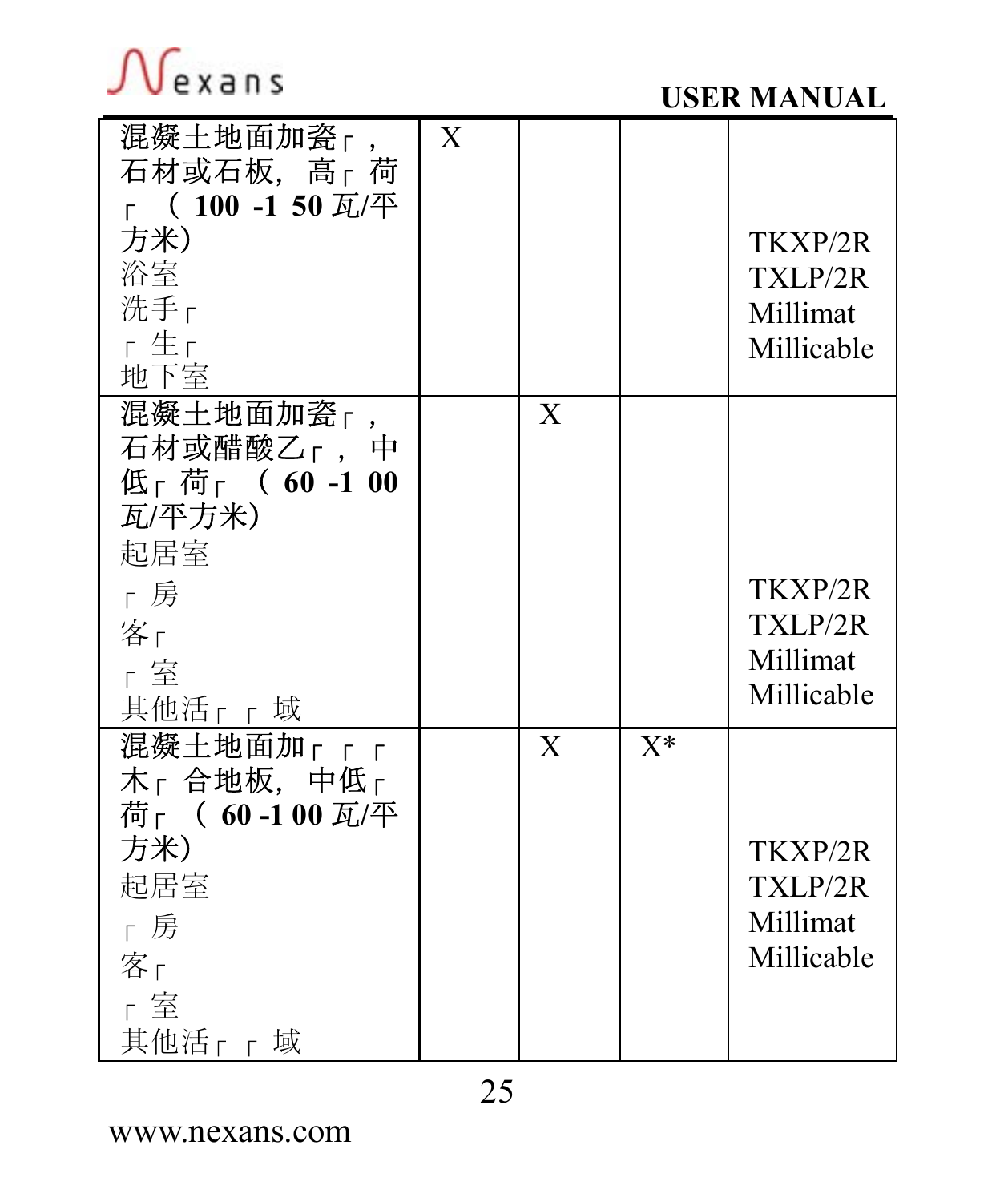**USER MANUAL**

| 混凝土地面加瓷                 | X |   |       |                    |
|-------------------------|---|---|-------|--------------------|
| 石材或石板,高 r 荷             |   |   |       |                    |
| $\Gamma$ (100 -1 50 瓦/平 |   |   |       |                    |
| 方米)<br>浴室               |   |   |       | TKXP/2R<br>TXLP/2R |
| 洗手г                     |   |   |       | Millimat           |
| г 生г                    |   |   |       | Millicable         |
| 地下室                     |   |   |       |                    |
| 混凝土地面加瓷 [,              |   | X |       |                    |
| 石材或醋酸乙  ,中              |   |   |       |                    |
| 低「荷」 (60-100            |   |   |       |                    |
| 瓦/平方米)                  |   |   |       |                    |
| 起居室                     |   |   |       |                    |
| r 房                     |   |   |       | TKXP/2R            |
| 客」                      |   |   |       | TXLP/2R            |
| - 室                     |   |   |       | Millimat           |
| 其他活 r 域                 |   |   |       | Millicable         |
| 混凝土地面加 「 「              |   | X | $X^*$ |                    |
| 木」合地板,中低」               |   |   |       |                    |
| 荷」(60-100瓦/平            |   |   |       |                    |
| 方米)                     |   |   |       | TKXP/2R            |
| 起居室                     |   |   |       | TXLP/2R            |
| r 房                     |   |   |       | Millimat           |
| 客」                      |   |   |       | Millicable         |
| - 室                     |   |   |       |                    |
| 其他活「「域                  |   |   |       |                    |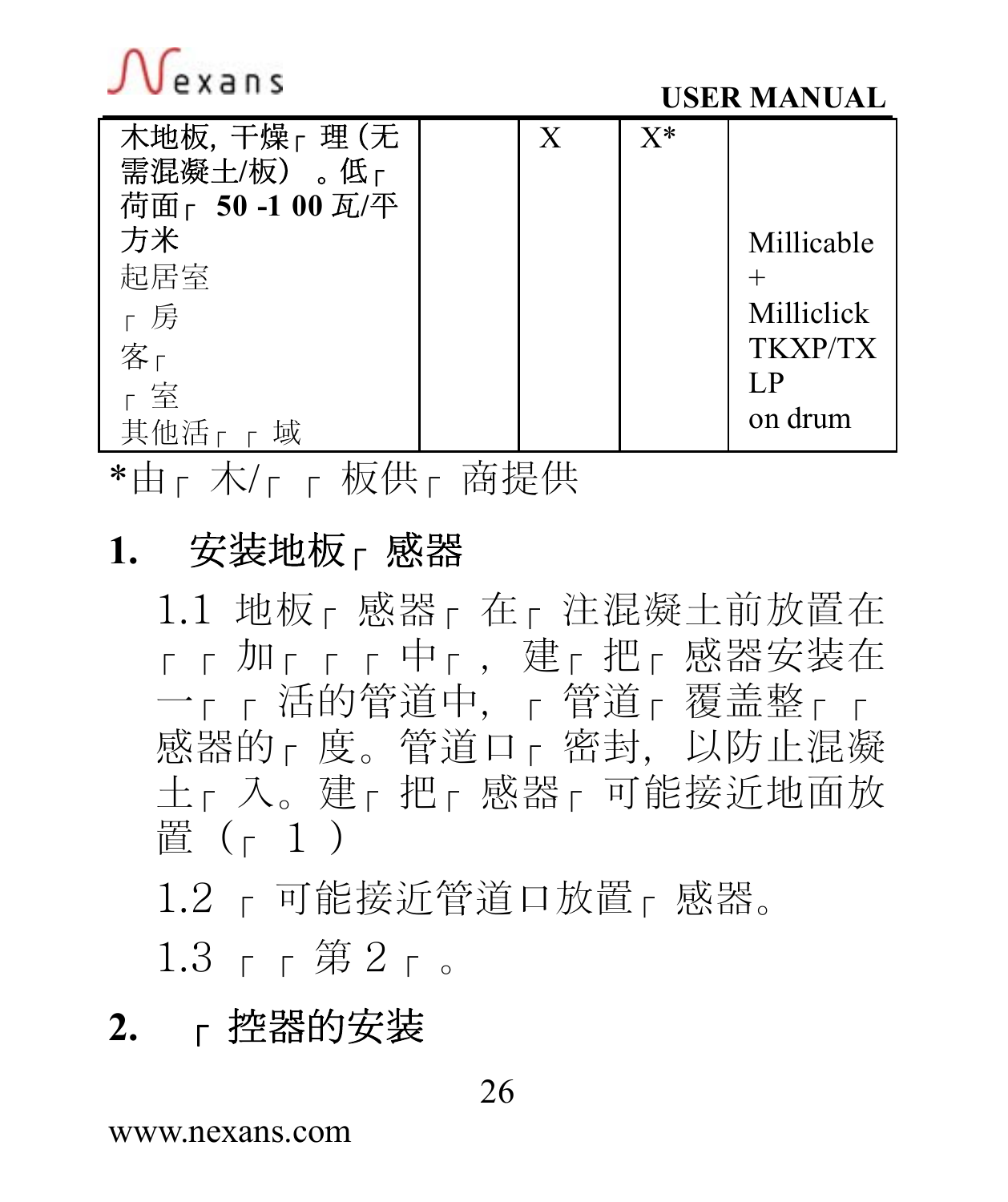**USER MANUAL**

| 木地板, 干燥 r 理 (无<br>需混凝土/板)。低「<br>荷面」50-100瓦/平 |  | X* |                |
|----------------------------------------------|--|----|----------------|
| 方米                                           |  |    | Millicable     |
| 起居室                                          |  |    |                |
| r 房                                          |  |    | Milliclick     |
| 客」                                           |  |    | <b>TKXP/TX</b> |
| - 室                                          |  |    | I P            |
| 其他活「「<br>域                                   |  |    | on drum        |

\*由户 木/户 户 板供户 商提供

### **1.** 安装地板户 感器

1.1 地板户 感器户 在户 注混凝土前放置在 户 户 加户 户 户 中户 ,建户 把户 感器安装在 一 r r 活的管道中, r 管道 r 覆盖整 r r 感器的户 度。管道口户 密封,以防止混凝 土户 入。建户 把户 感器户 可能接近地面放 置(户 1 )

1.2 г 可能接近管道口放置 г 感器。

 $1.3$  г г 第 2 г 。

### **2.** 户 控器的安装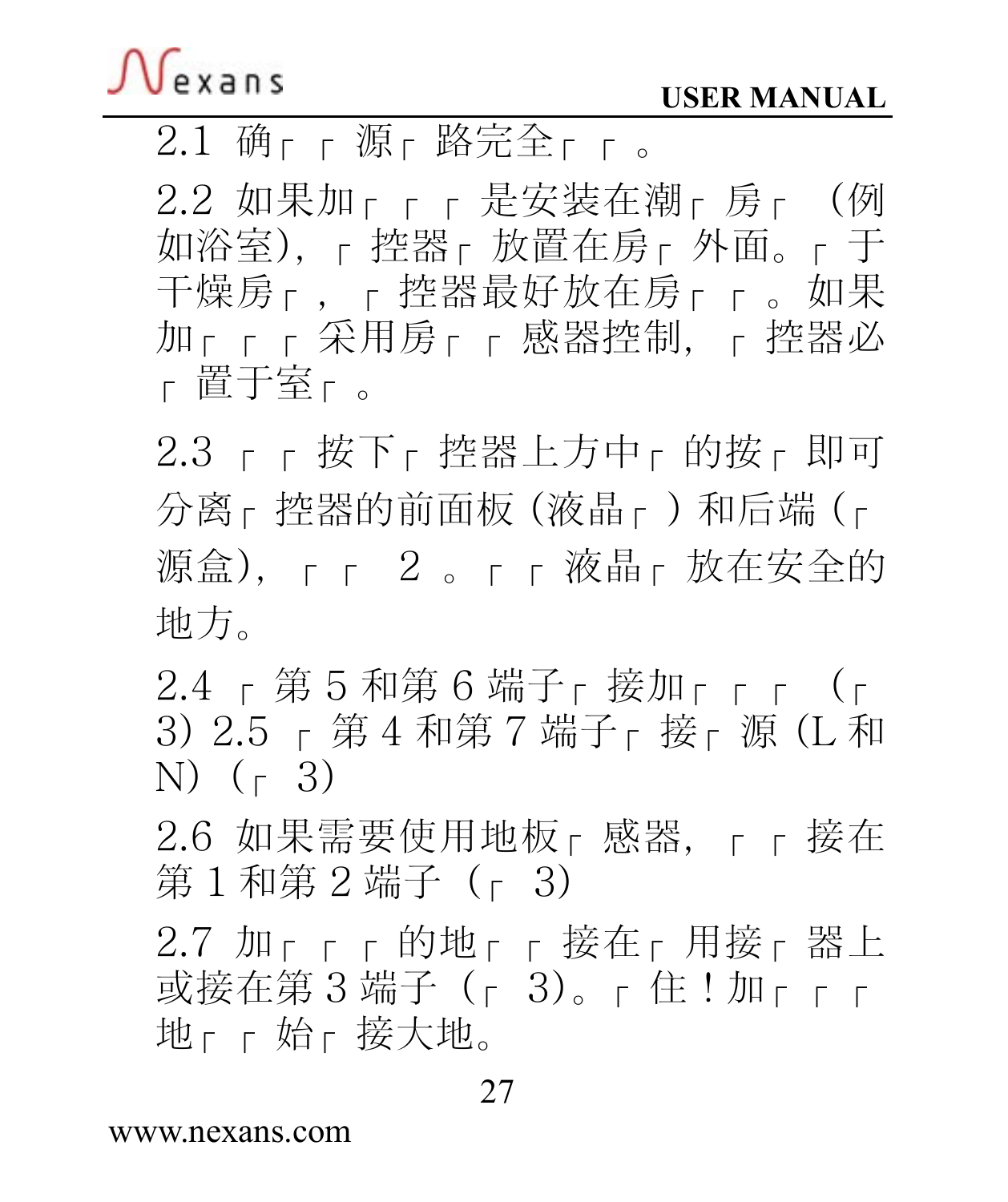2.1 确户 户 源户 路完全户 户 。

2.2 如果加」 г 是安装在潮 г 房 г (例 如浴室), 「控器」放置在房」外面。「于 干燥房 г , г 控器最好放在房 г г 。如果 加」 「斤 采用房」 「 感器控制, 」 控器必 户 置于室户 。

2.3 r r 按下r 控器上方中r 的按r 即可 分离 - 控器的前面板 (液晶 - ) 和后端 ( -源盒), r r 2 。r r 液晶r 放在安全的 地方。

 $2.4$  г 第 5 和第 6 端子 г 接加 г г (г 3) 2.5 r 第 4 和第 7 端子 r 接 r 源 (L 和 N)  $(r 3)$ 

2.6 如果需要使用地板 - 感器, гг接在 第 1 和第 2 端子 (r 3)

2.7 加」 r 的地 r r 接在 r 用接 r 器上 或接在第 3 端子 (r 3)。<sub>「</sub>住!加r r r 地」, 始」接大地。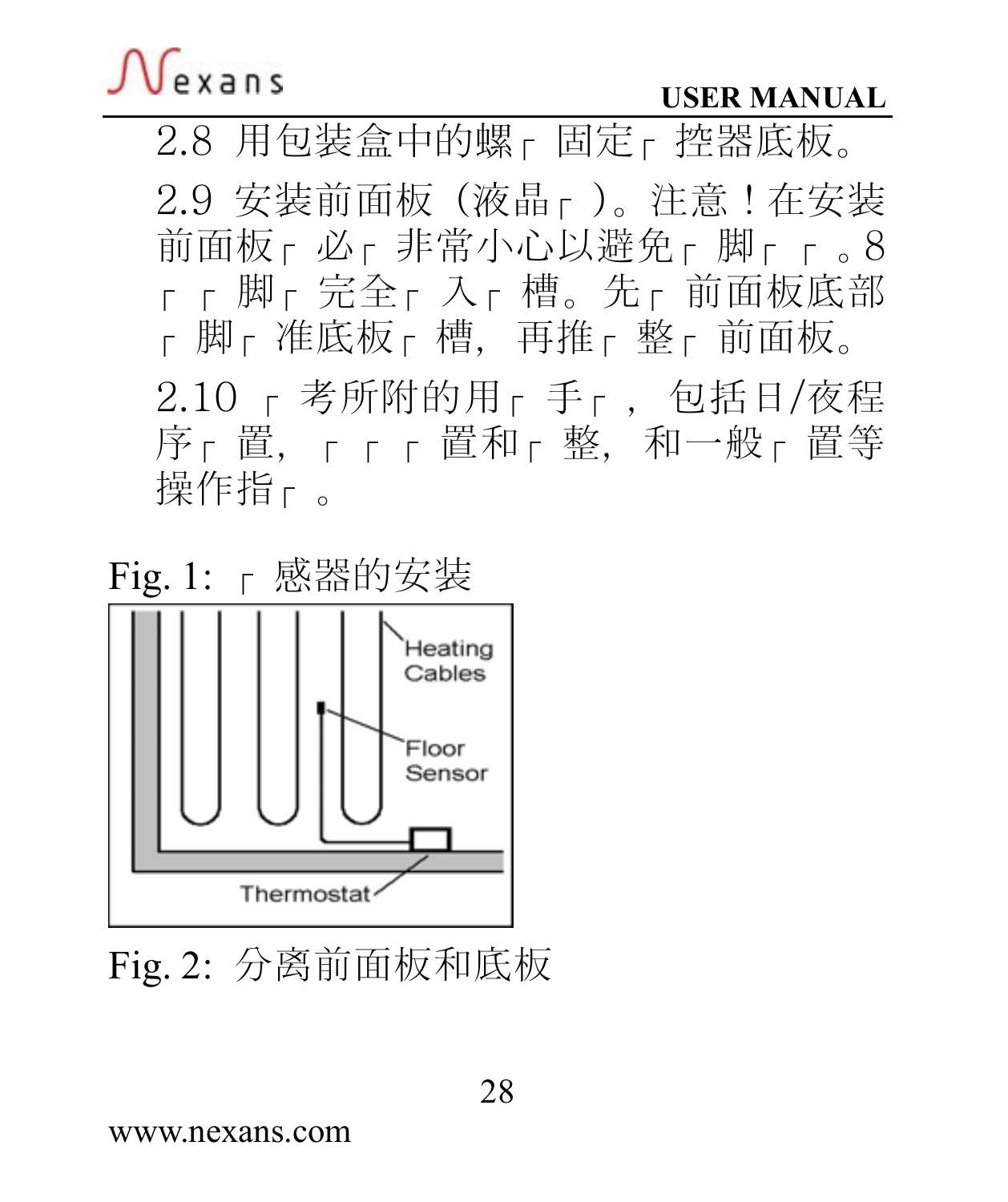**USER MANUAL**

2.8 用包装盒中的螺户 固定户 控器底板。 2.9 安装前面板(液晶户 )。注意!在安装 前面板」必」非常小心以避免」脚」」。8 户 户 脚户 完全户 入户 槽。先户 前面板底部 户 脚户 准底板户 槽,再推户 整户 前面板。

2.10 г 考所附的用 г 手 г , 包括日/夜程 序 - 置, ┌┌┌ 置和┌ 整, 和一般┌ 置等 操作指 r 。

Fig. 1: 户 感器的安装



Fig. 2: 分离前面板和底板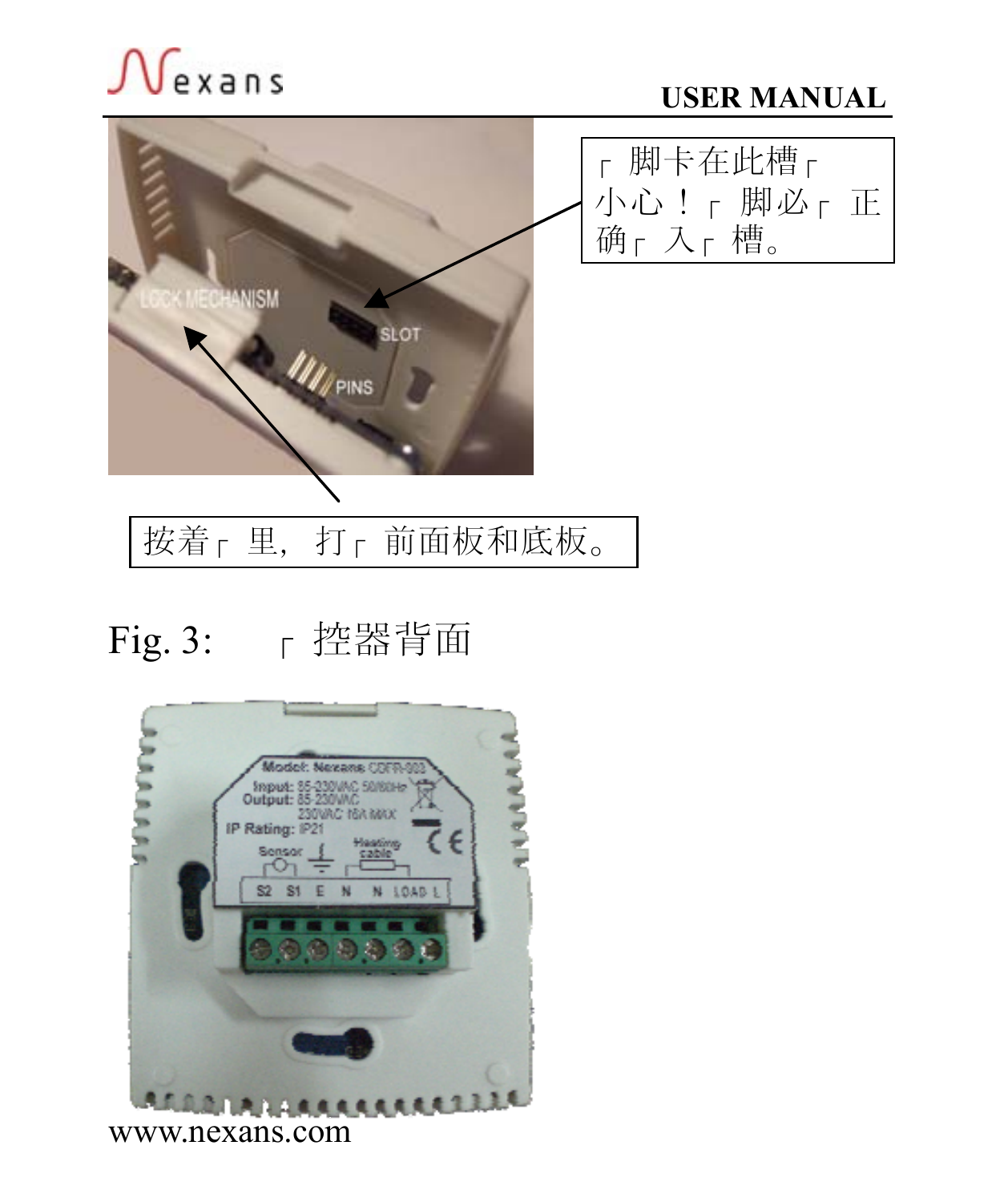# $N_{\text{examples}}$



#### **USER MANUAL**



### 按着「里,打」前面板和底板。

# Fig. 3: 户 控器背面

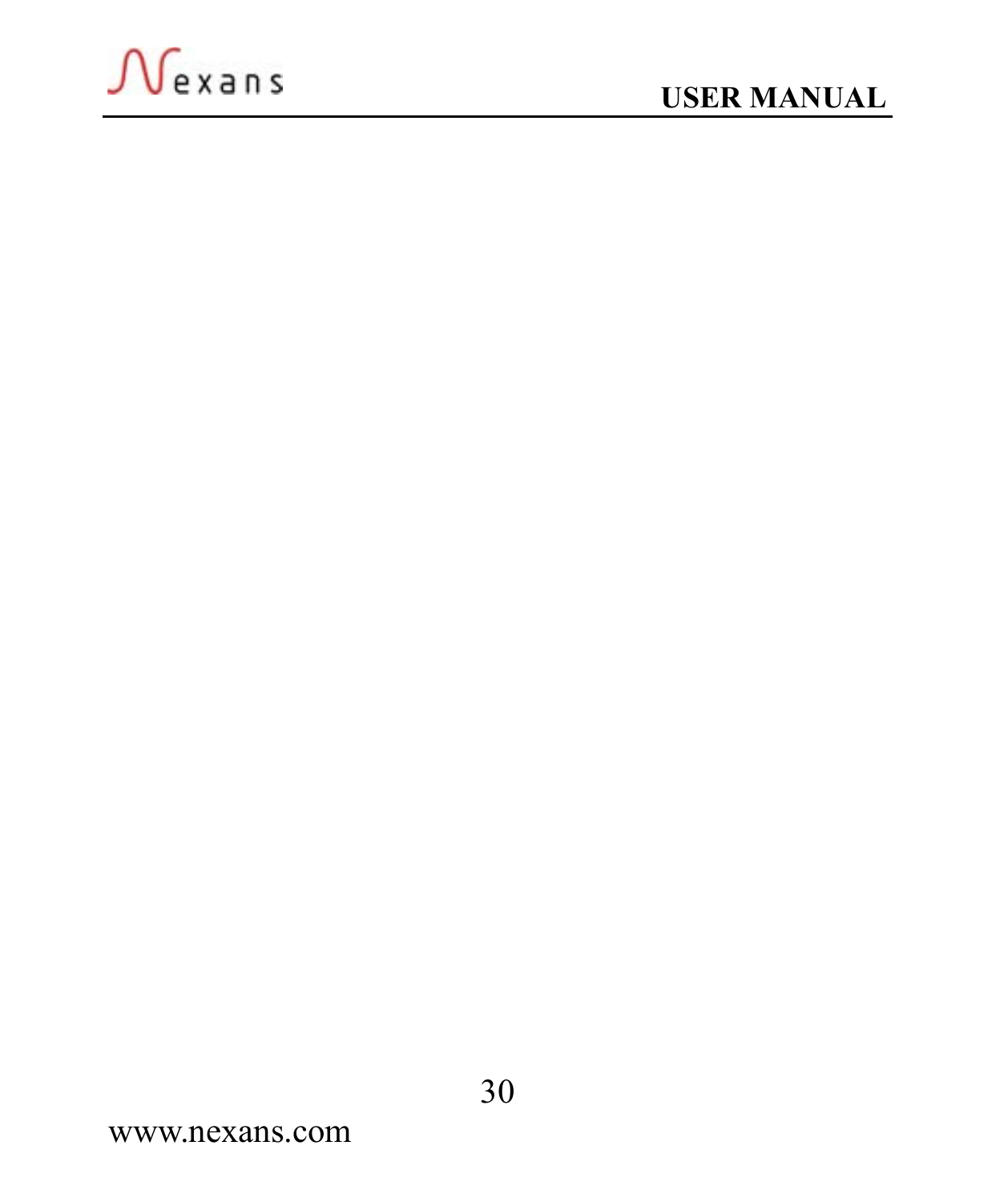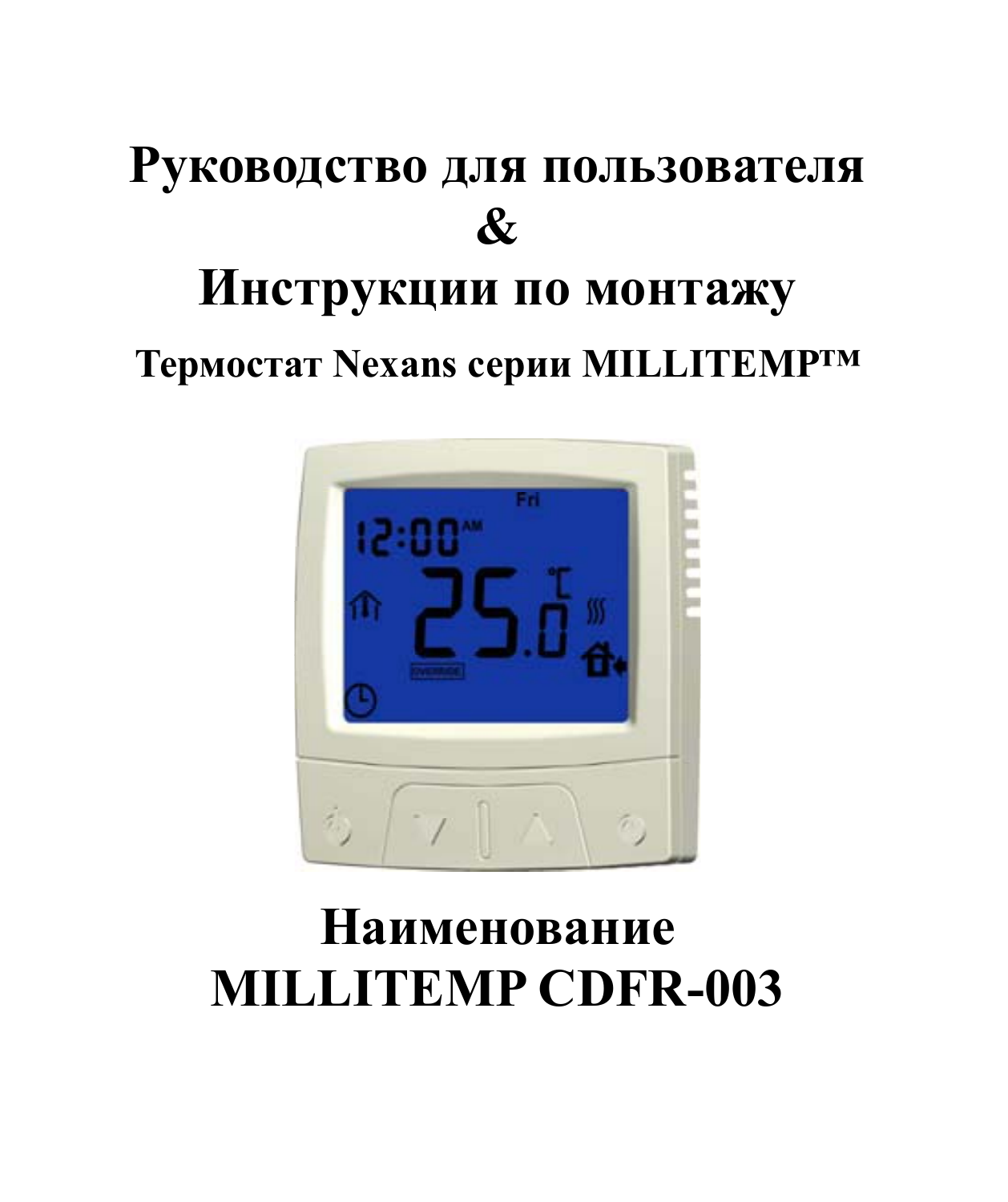# **Руководство для пользователя &**

# **Инструкции по монтажу**

### **Термостат Nexans серии MILLITEMP™**



# **Наименование MILLITEMP CDFR-003**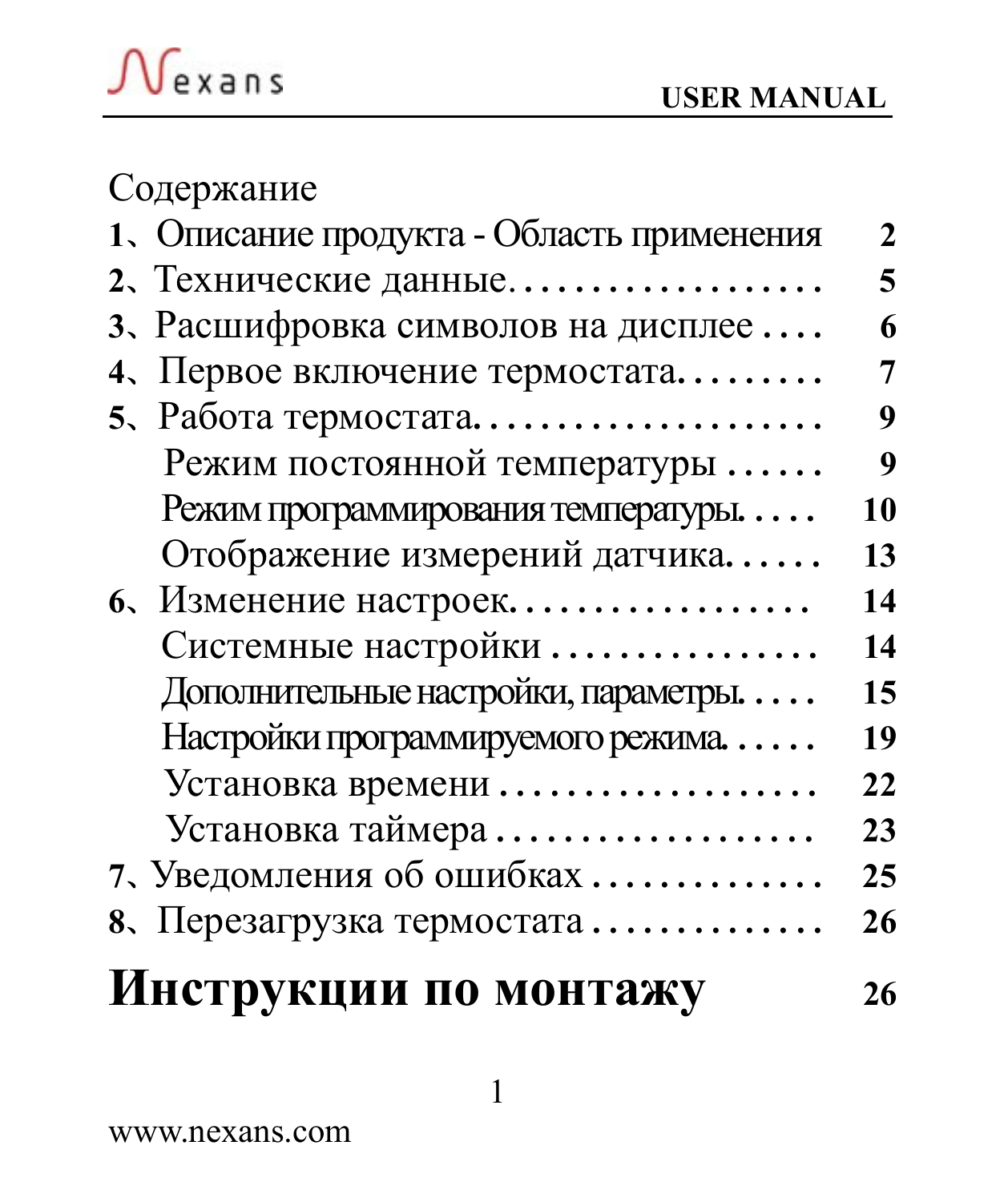### Содержание **1**、Описание продукта - Область применения**<sup>2</sup>**

| 26 | Инструкции по монтажу                     |    |
|----|-------------------------------------------|----|
| 26 | 8. Перезагрузка термостата                |    |
| 25 | 7. Уведомления об ошибках                 |    |
| 23 | Установка таймера                         |    |
| 22 | Установка времени                         |    |
| 19 | Настройки программируемого режима         |    |
| 15 | Дополнительные настройки, параметры       |    |
| 14 | Системные настройки                       |    |
| 14 | Изменение настроек                        | 6. |
| 13 | Отображение измерений датчика             |    |
| 10 | Режим программирования температуры        |    |
| 9  | Режим постоянной температуры              |    |
| 9  | 5. Работа термостата                      |    |
| 7  | 4. Первое включение термостата            |    |
| 6  | 3. Расшифровка символов на дисплее        |    |
| 5  | 2. Технические данные                     |    |
| 2  | 1. Описание продукта - Область применения |    |
|    |                                           |    |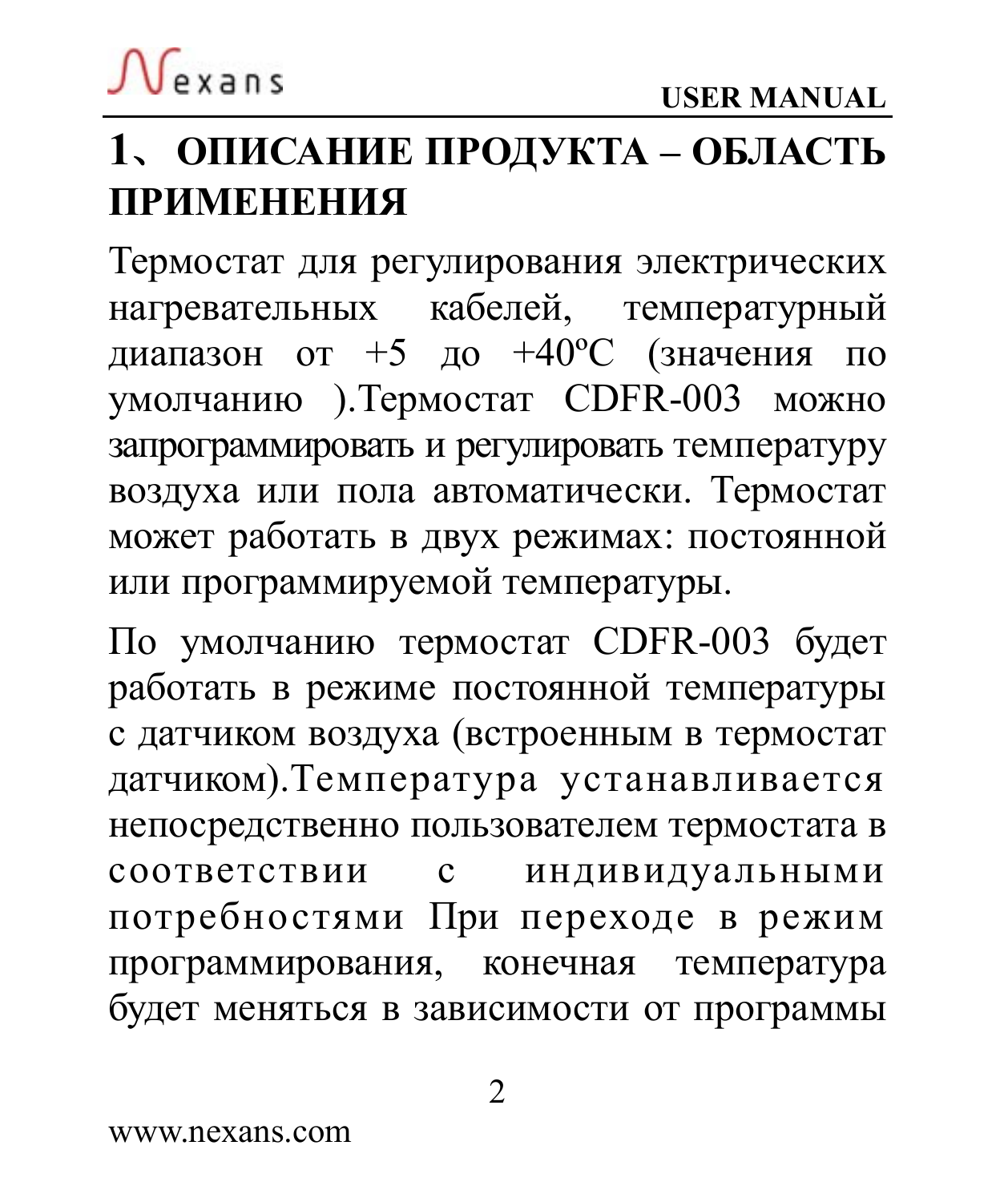$V_{exans}$ 

# **1**、**ОПИСАНИЕ ПРОДУКТА – ОБЛАСТЬ ПРИМЕНЕНИЯ**

Термостат для регулирования электрических нагревательных кабелей, температурный диапазон от +5 до +40ºС (значения по умолчанию ).Термостат CDFR-003 можно запрограммировать и регулировать температуру воздуха или пола автоматически. Термостат может работать в двух режимах: постоянной или программируемой температуры.

По умолчанию термостат CDFR-003 будет работать в режиме постоянной температуры с датчиком воздуха (встроенным в термостат датчиком).Температура устанавливается непосредственно пользователем термостата в соответствии с индивидуальными потребностями При переходе в режим программирования, конечная температура будет меняться в зависимости от программы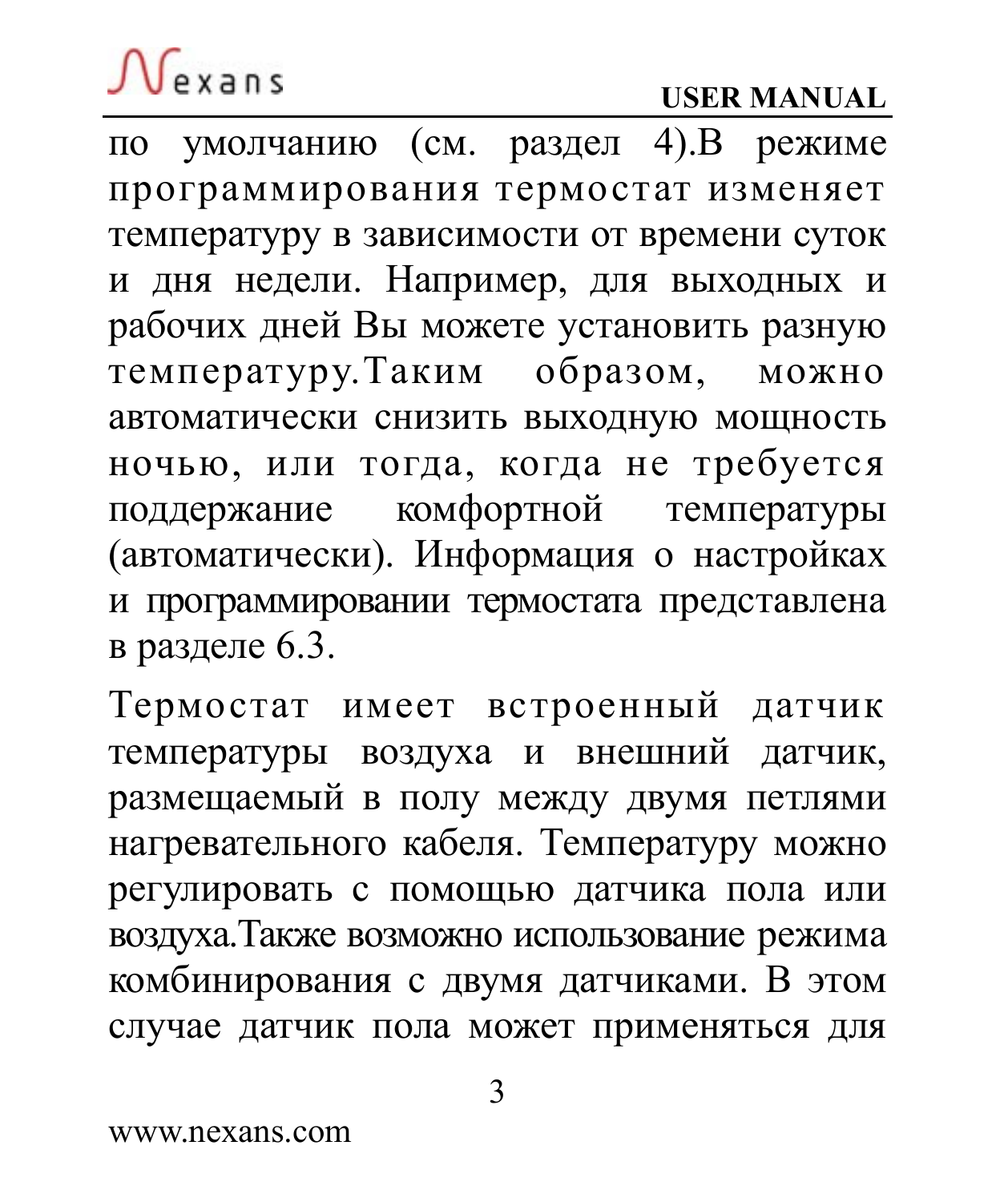по умолчанию (см. раздел 4).В режиме программирования термостат изменяет температуру в зависимости от времени суток и дня недели. Например, для выходных и рабочих дней Вы можете установить разную температуру.Таким образом, можно автоматически снизить выходную мощность ночью, или тогда, когда не требуется поддержание комфортной температуры (автоматически). Информация о настройках и программировании термостата представлена в разделе 6.3.

Термостат имеет встроенный датчик температуры воздуха и внешний датчик, размещаемый в полу между двумя петлями нагревательного кабеля. Температуру можно регулировать с помощью датчика пола или воздуха.Также возможно использование режима комбинирования с двумя датчиками. В этом случае датчик пола может применяться для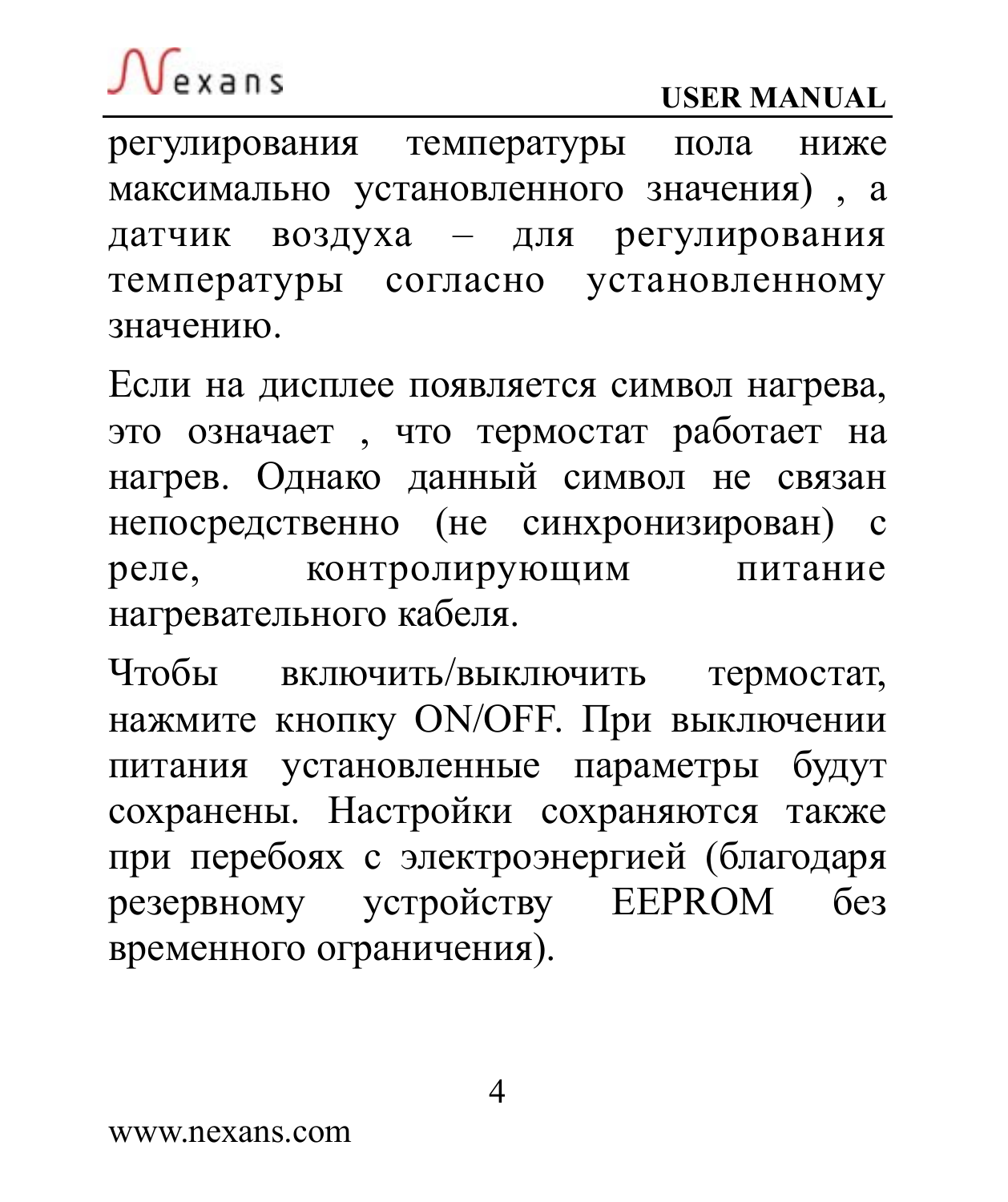регулирования температуры пола ниже максимально установленного значения) , а датчик воздуха – для регулирования температуры согласно установленному значению.

Если на дисплее появляется символ нагрева, это означает , что термостат работает на нагрев. Однако данный символ не связан непосредственно (не синхронизирован) с реле, контролирующим питание нагревательного кабеля.

Чтобы включить/выключить термостат, нажмите кнопку ON/OFF. При выключении питания установленные параметры будут сохранены. Настройки сохраняются также при перебоях с электроэнергией (благодаря резервному устройству EEPROM без временного ограничения).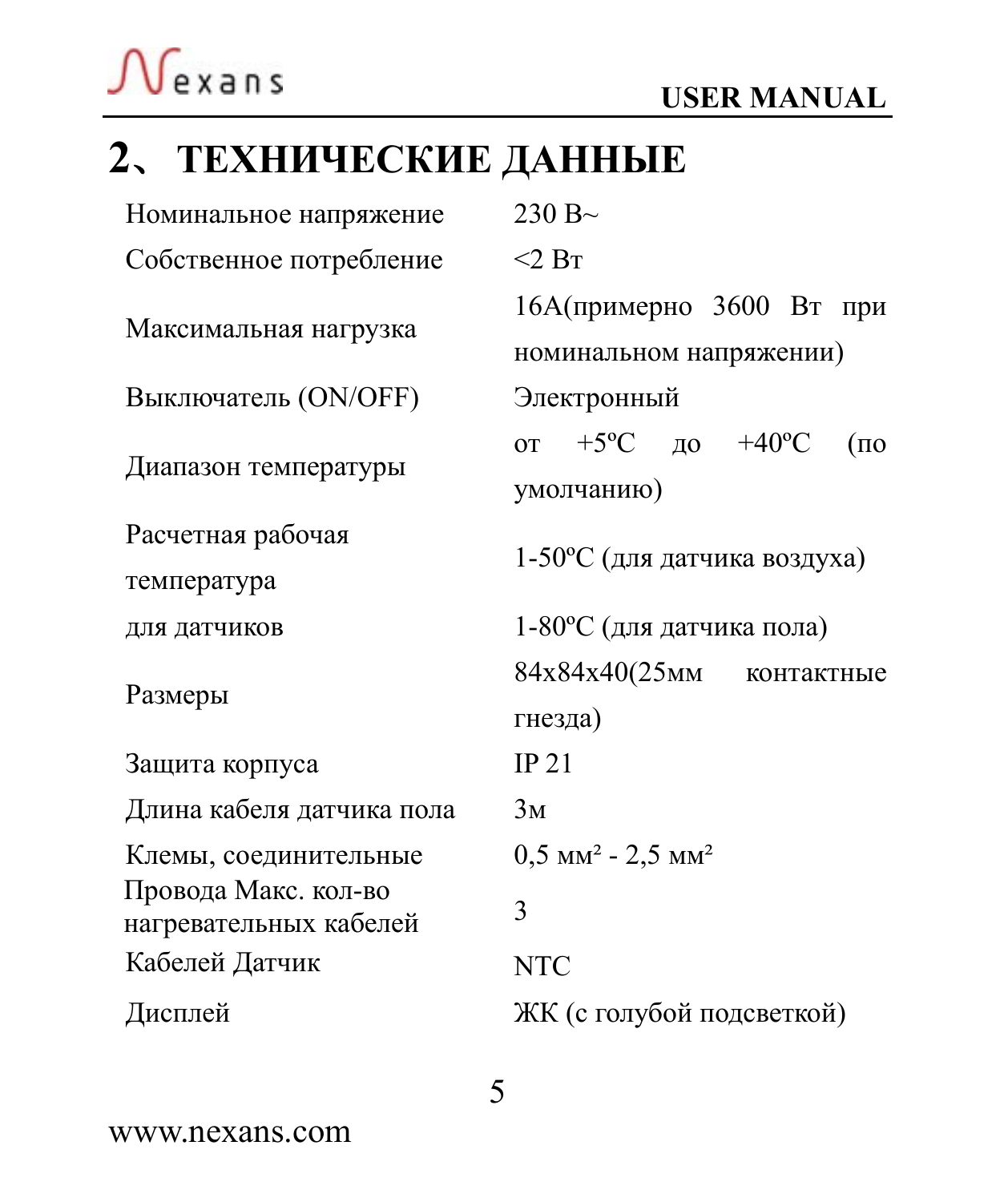# **2**、**ТЕХНИЧЕСКИЕ ДАННЫЕ**

| Номинальное напряжение                         | 230 B $\sim$                                                                        |  |  |  |
|------------------------------------------------|-------------------------------------------------------------------------------------|--|--|--|
| Собственное потребление                        | $<$ 2 B $\tau$                                                                      |  |  |  |
| Максимальная нагрузка                          | 16А(примерно 3600 Вт при<br>номинальном напряжении)                                 |  |  |  |
| Выключатель (ON/OFF)                           | Электронный                                                                         |  |  |  |
| Диапазон температуры                           | $+5^{\circ}$ C $\mu$ <sub>0</sub> $+40^{\circ}$ C<br>(по<br><b>OT</b><br>умолчанию) |  |  |  |
| Расчетная рабочая                              | 1-50°С (для датчика воздуха)                                                        |  |  |  |
| температура                                    |                                                                                     |  |  |  |
| для датчиков                                   | 1-80°С (для датчика пола)                                                           |  |  |  |
| Размеры                                        | 84x84x40(25mm<br>контактные<br>гнезда)                                              |  |  |  |
| Защита корпуса                                 | <b>IP 21</b>                                                                        |  |  |  |
| Длина кабеля датчика пола                      | 3 <sub>M</sub>                                                                      |  |  |  |
| Клемы, соединительные                          | $0.5$ MM <sup>2</sup> - $2.5$ MM <sup>2</sup>                                       |  |  |  |
| Провода Макс. кол-во<br>нагревательных кабелей | 3                                                                                   |  |  |  |
| Кабелей Датчик                                 | <b>NTC</b>                                                                          |  |  |  |
| Дисплей                                        | ЖК (с голубой подсветкой)                                                           |  |  |  |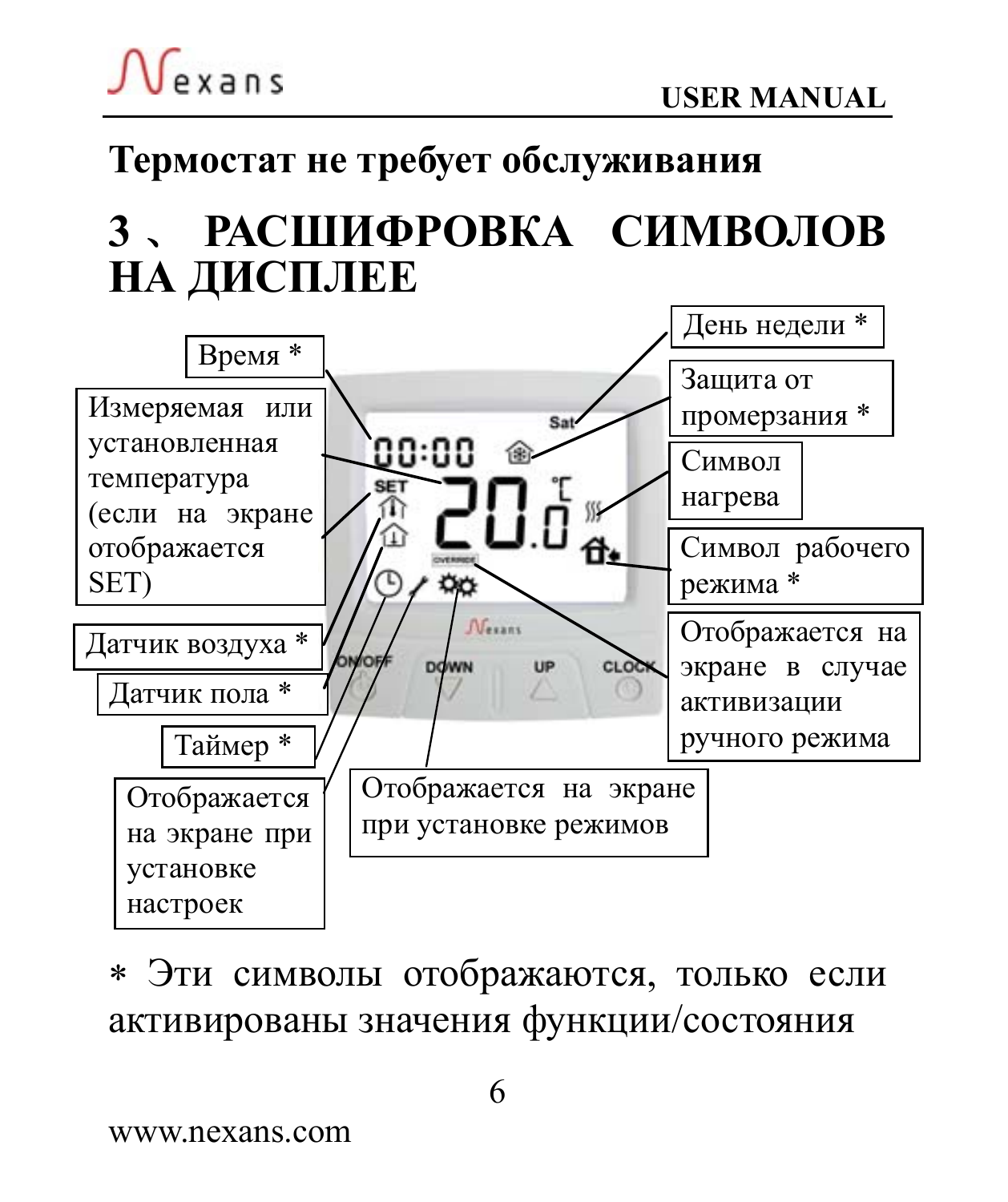### **Термостат не требует обслуживания**

# **3** 、 **РАСШИФРОВКА СИМВОЛОВ НА ДИСПЛЕЕ**



∗ Эти символы отображаются, только если активированы значения функции/состояния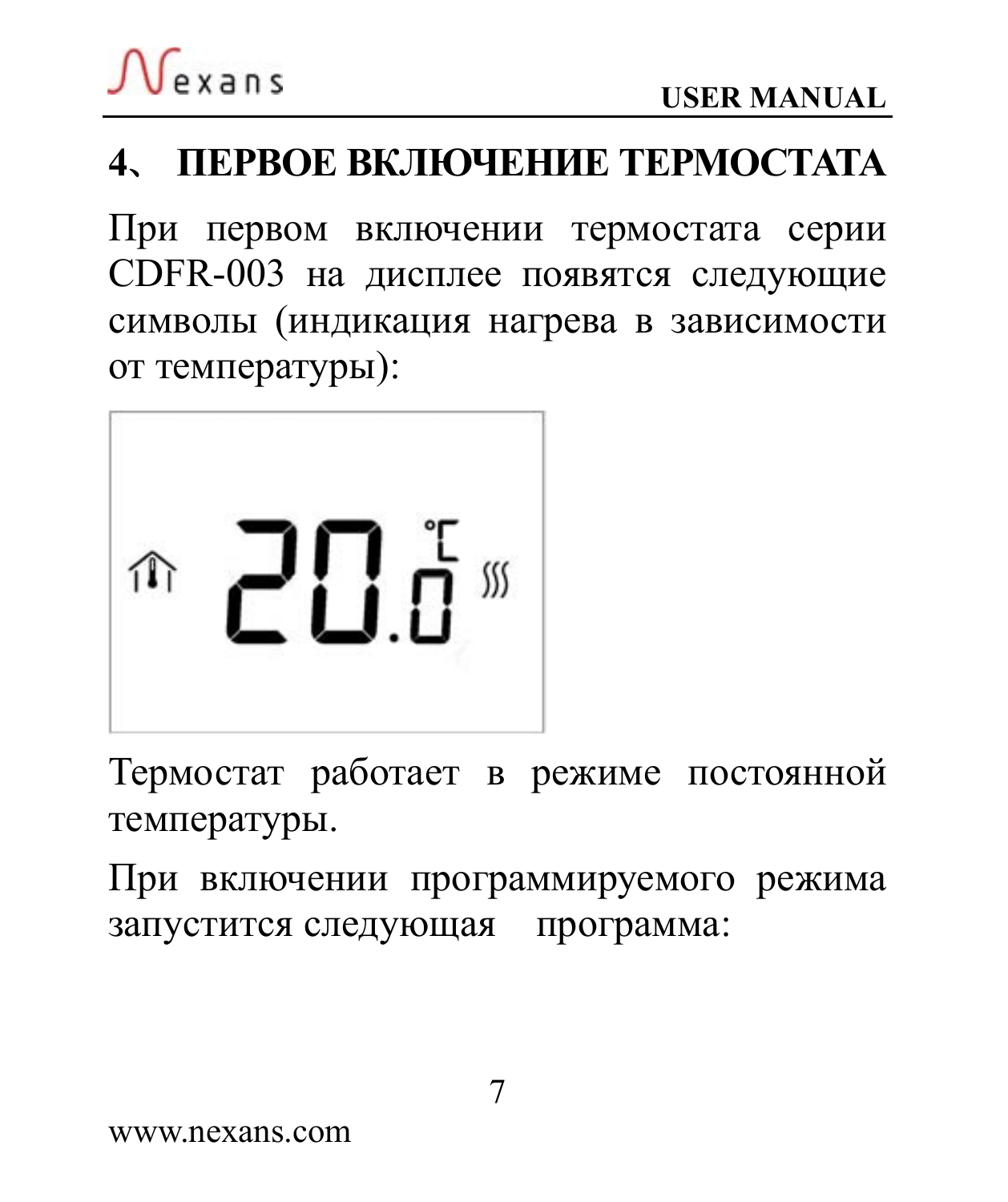### **4**、 **ПЕРВОЕ ВКЛЮЧЕНИЕ ТЕРМОСТАТА**

При первом включении термостата серии CDFR-003 на дисплее появятся следующие символы (индикация нагрева в зависимости от температуры):



Термостат работает в режиме постоянной температуры.

При включении программируемого режима запустится следующая программа: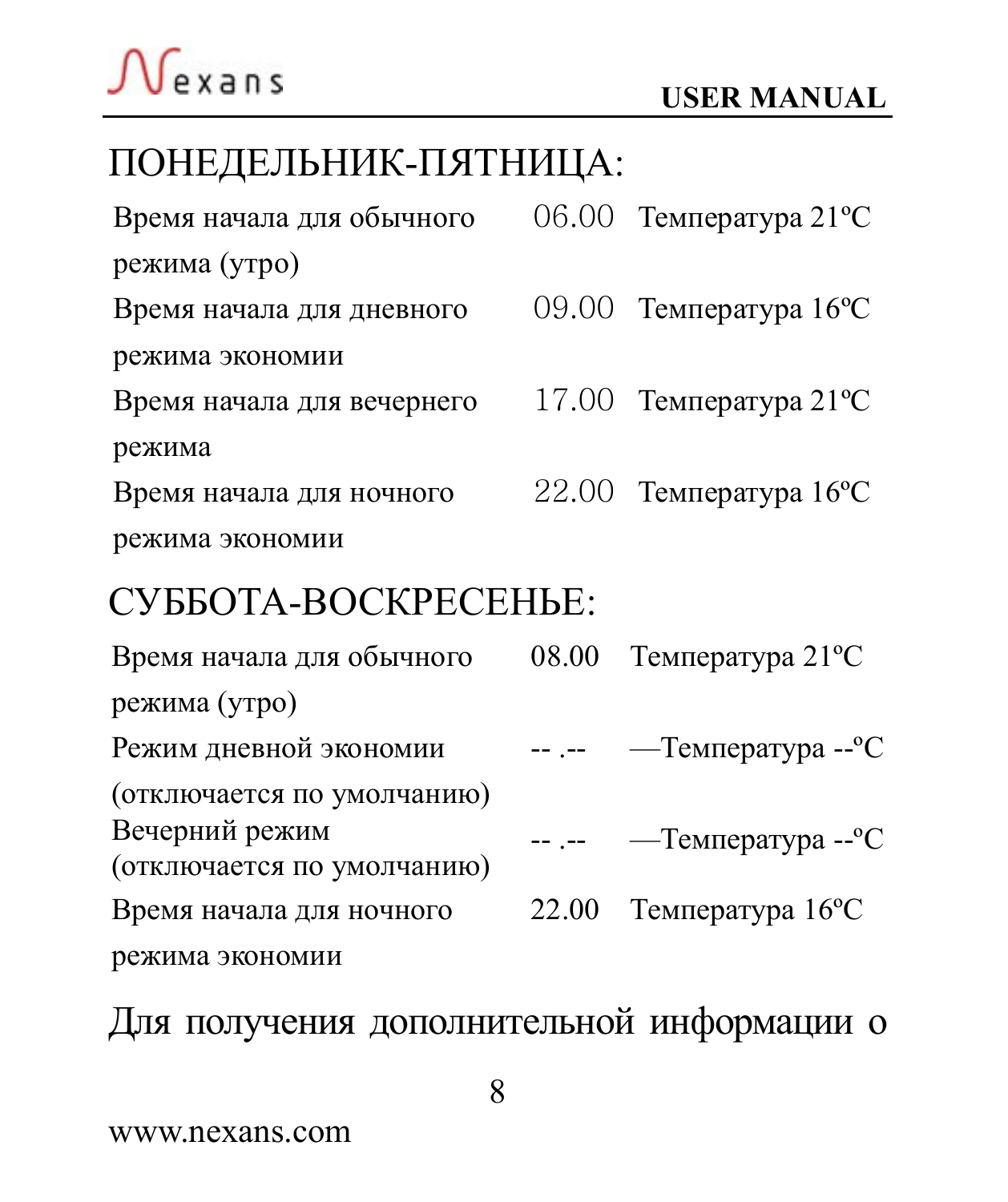# $N_{\text{examples}}$

### ПОНЕДЕЛЬНИК-ПЯТНИЦА:

| Время начала для обычного  | 06.00 Температура 21°С            |
|----------------------------|-----------------------------------|
| режима (утро)              |                                   |
| Время начала для дневного  | 09.00 Температура 16°С            |
| режима экономии            |                                   |
| Время начала для вечернего | 17.00 Температура 21 $^{\circ}$ С |
| режима                     |                                   |
| Время начала для ночного   | 22.00 Температура 16°С            |
| режима экономии            |                                   |

### СУББОТА-ВОСКРЕСЕНЬЕ:

| Время начала для обычного  | 08.00         | Температура 21°С                 |
|----------------------------|---------------|----------------------------------|
| режима (утро)              |               |                                  |
| Режим дневной экономии     | المناسب المسر | — Температура $-$ <sup>°</sup> С |
| (отключается по умолчанию) |               |                                  |
| Вечерний режим             | المعراجة      | — Температура $-$ <sup>°</sup> С |
| (отключается по умолчанию) |               |                                  |
| Время начала для ночного   | 22.00         | Температура 16°С                 |
| режима экономии            |               |                                  |

Для получения дополнительной информации о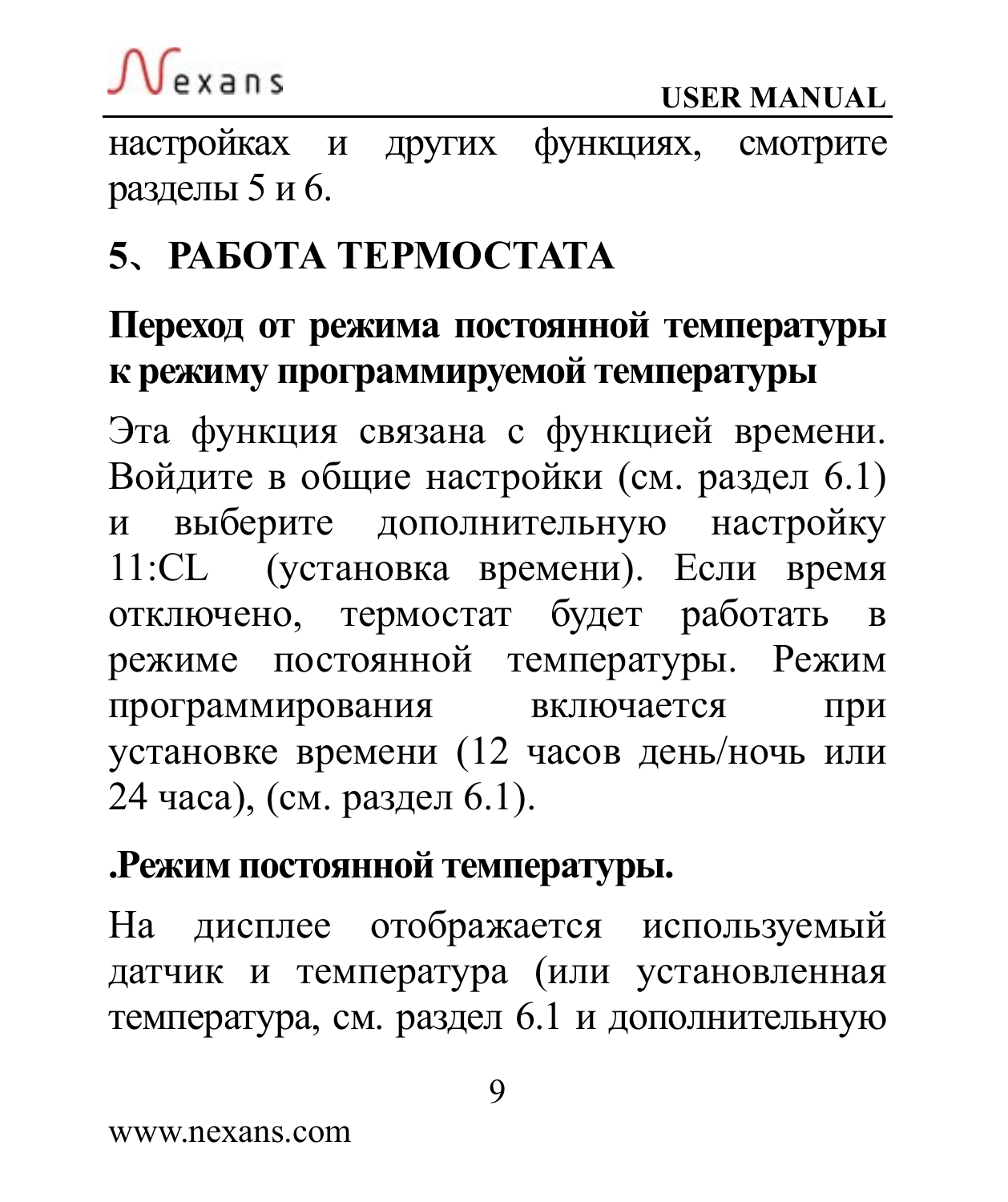$\sqrt{e}$  x ans

настройках и других функциях, смотрите разделы 5 и 6.

### **5**、**РАБОТА ТЕРМОСТАТА**

### **Переход от режима постоянной температуры к режиму программируемой температуры**

Эта функция связана с функцией времени. Войдите в общие настройки (см. раздел 6.1) и выберите дополнительную настройку 11:СL (установка времени). Если время отключено, термостат будет работать в режиме постоянной температуры. Режим программирования включается при установке времени (12 часов день/ночь или 24 часа), (см. раздел 6.1).

#### **.Режим постоянной температуры.**

На дисплее отображается используемый датчик и температура (или установленная температура, см. раздел 6.1 и дополнительную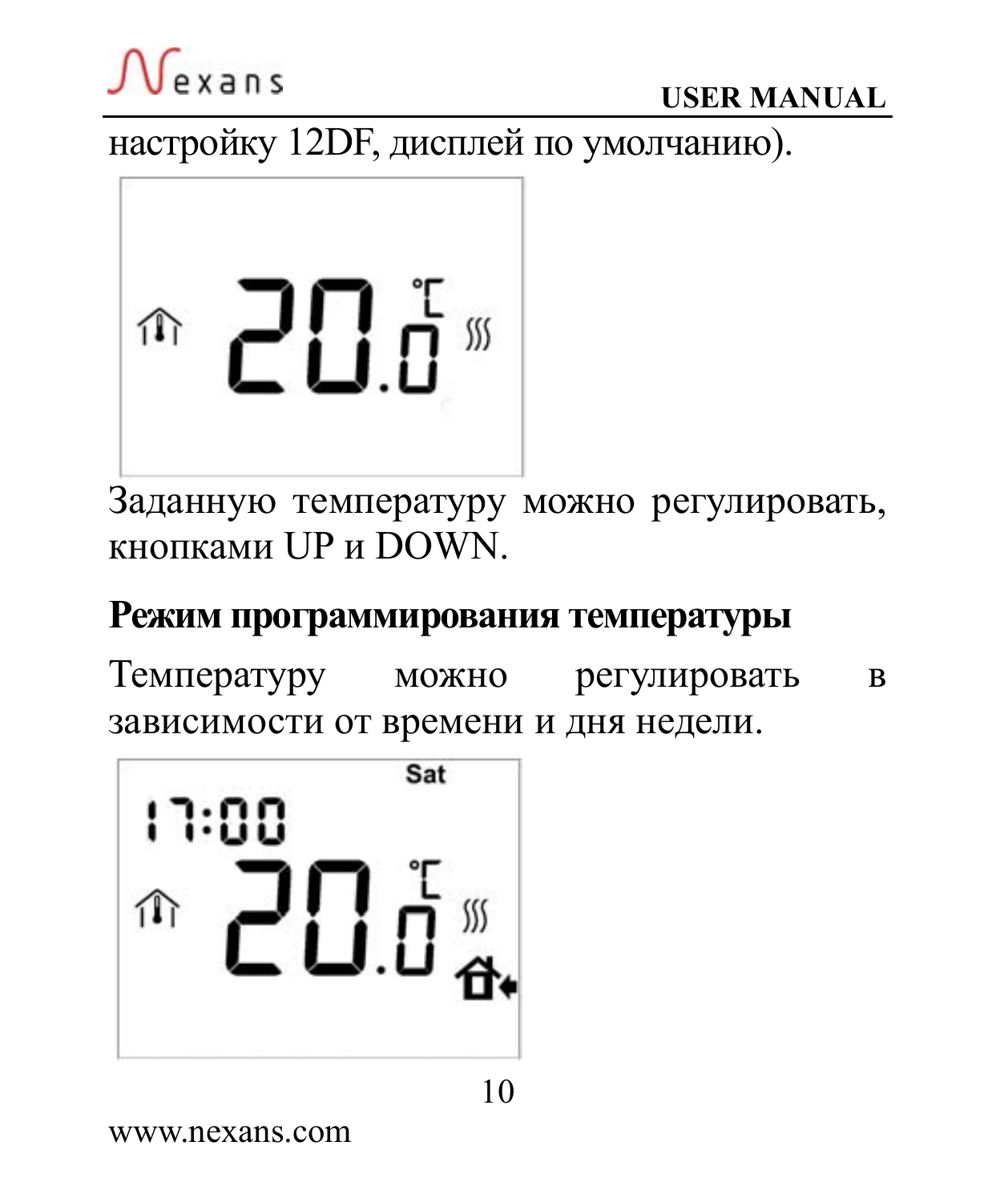# $P$

настройку 12DF, дисплей по умолчанию).



Заданную температуру можно регулировать, кнопками UP и DOWN.

#### **Режим программирования температуры**

Температуру можно регулировать в зависимости от времени и дня недели.

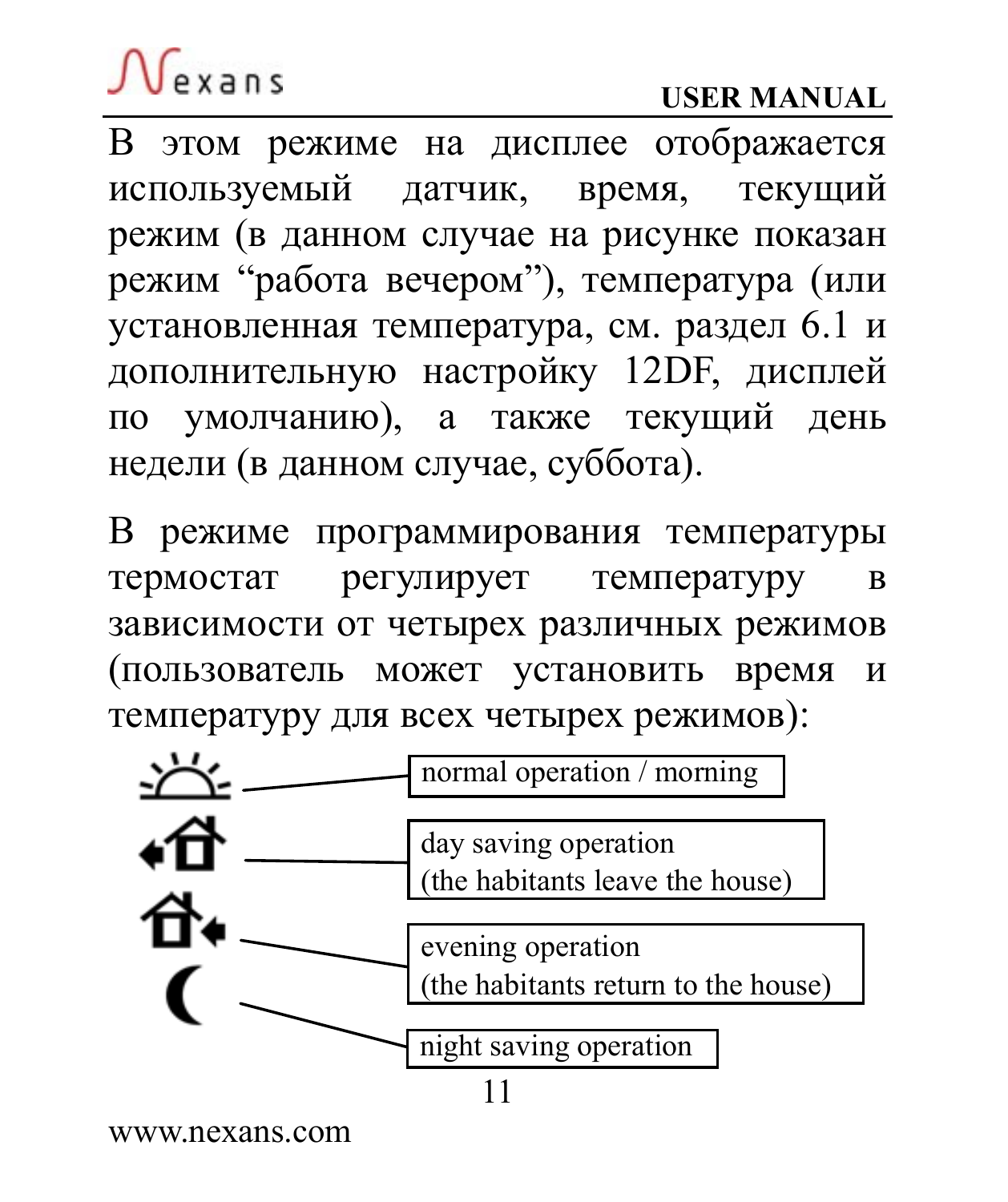.<br>exans

В этом режиме на дисплее отображается используемый датчик, время, текущий режим (в данном случае на рисунке показан режим "работа вечером"), температура (или установленная температура, см. раздел 6.1 и дополнительную настройку 12DF, дисплей по умолчанию), а также текущий день недели (в данном случае, суббота).

В режиме программирования температуры термостат регулирует температуру в зависимости от четырех различных режимов (пользователь может установить время и температуру для всех четырех режимов):

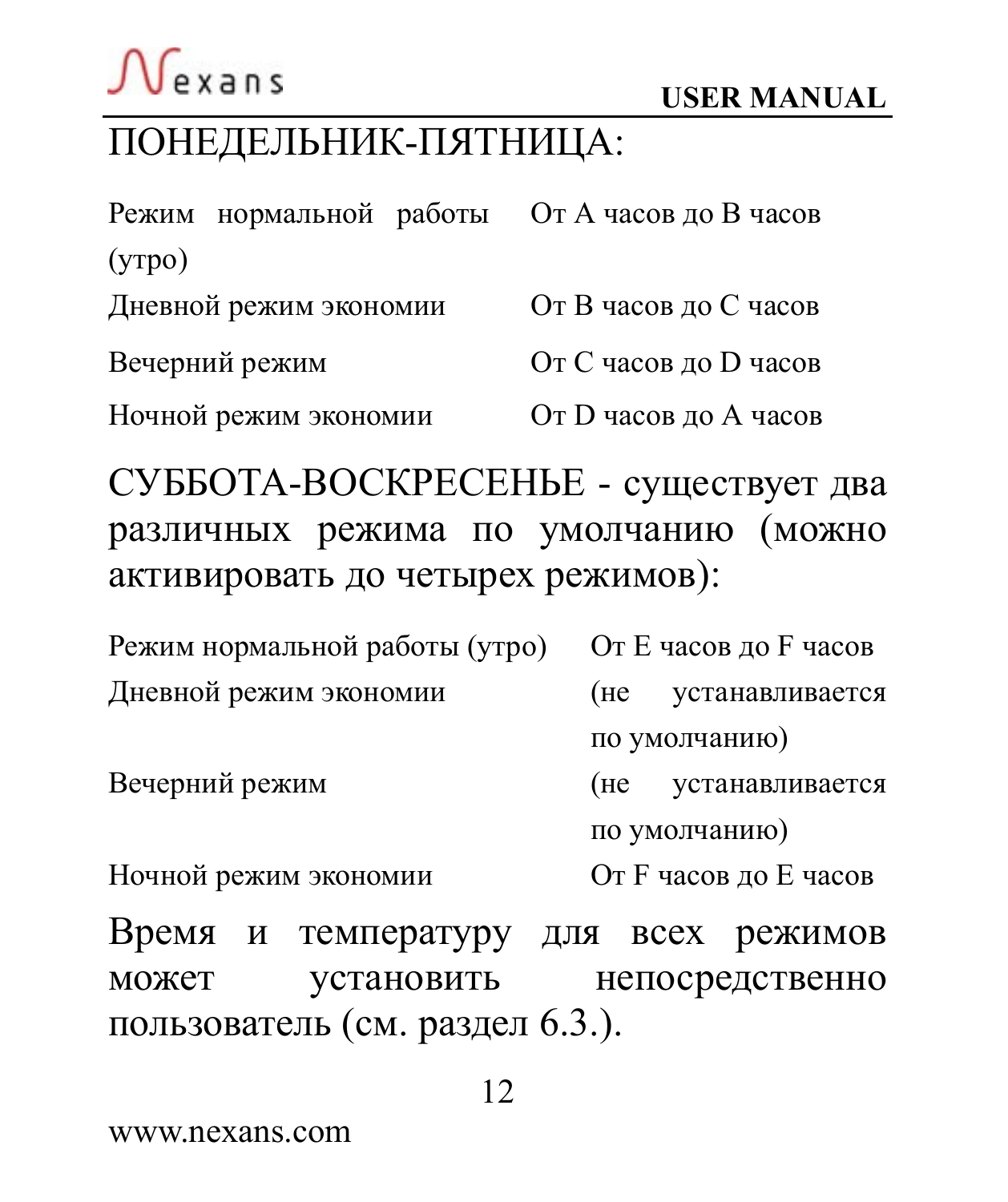### $N_{\text{examples}}$

### ПОНЕДЕЛЬНИК-ПЯТНИЦА:

| Режим нормальной работы | От А часов до В часов |
|-------------------------|-----------------------|
| (v <sub>TPO</sub> )     |                       |
| Дневной режим экономии  | От В часов до С часов |
| Вечерний режим          | От С часов до D часов |
| Ночной режим экономии   | От D часов до А часов |

СУББОТА-ВОСКРЕСЕНЬЕ - существует два различных режима по умолчанию (можно активировать до четырех режимов):

| Режим нормальной работы (утро) | От Е часов до F часов |                 |  |
|--------------------------------|-----------------------|-----------------|--|
| Дневной режим экономии         | (He)                  | устанавливается |  |
|                                |                       | по умолчанию)   |  |
| Вечерний режим                 | (He)                  | устанавливается |  |
|                                | по умолчанию)         |                 |  |
| Ночной режим экономии          | От F часов до Е часов |                 |  |
|                                |                       |                 |  |

Время и температуру для всех режимов может установить непосредственно пользователь (см. раздел 6.3.).

www.nexans.com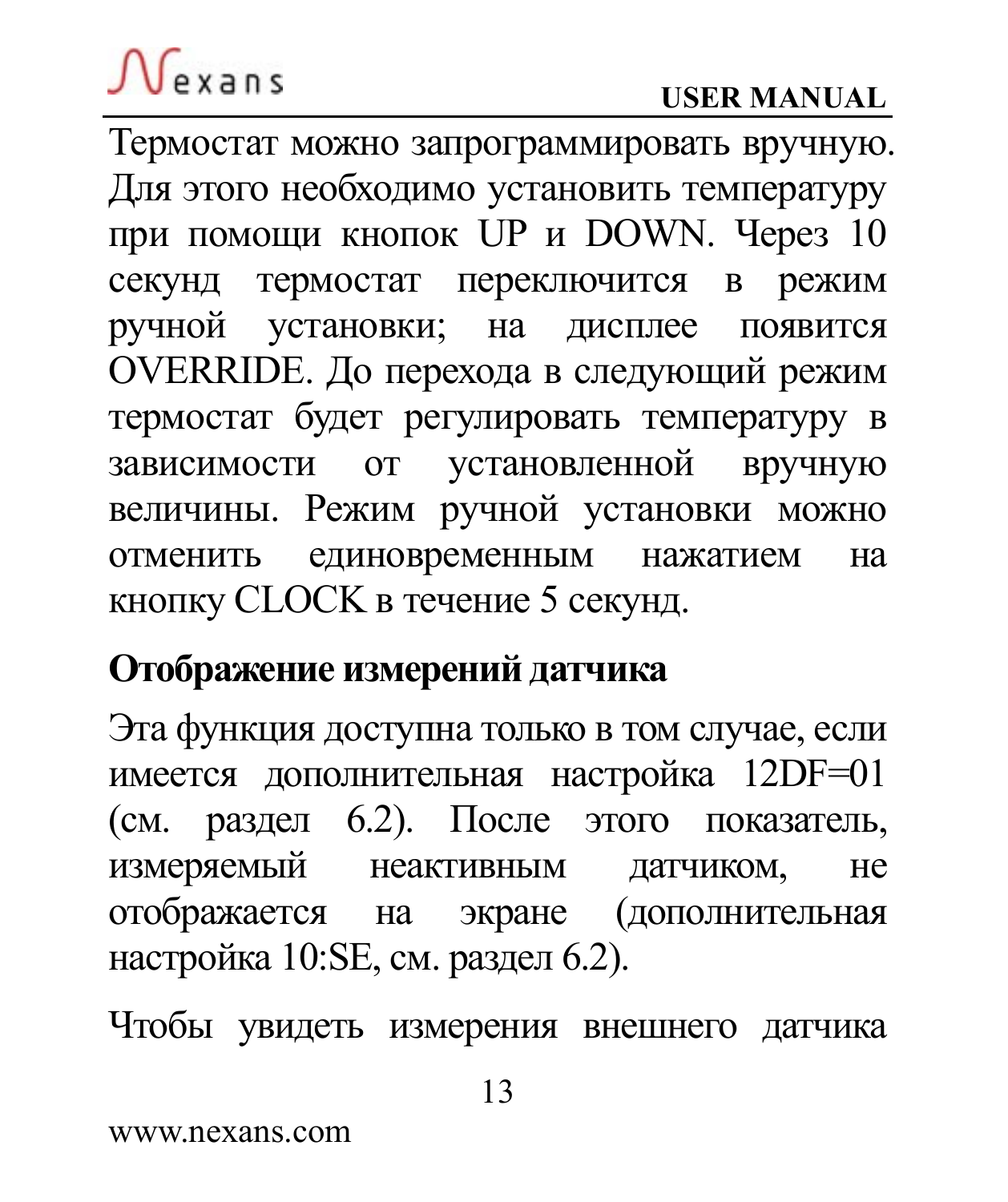# $\sqrt{exans}$

Термостат можно запрограммировать вручную. Для этого необходимо установить температуру при помощи кнопок UP и DOWN. Через 10 секунд термостат переключится в режим ручной установки; на дисплее появится OVERRIDE. До перехода в следующий режим термостат будет регулировать температуру в зависимости от установленной вручную величины. Режим ручной установки можно отменить единовременным нажатием на кнопку CLOCK в течение 5 секунд.

#### **Отображение измерений датчика**

Эта функция доступна только в том случае, если имеется дополнительная настройка 12DF=01 (см. раздел 6.2). После этого показатель, измеряемый неактивным датчиком, не отображается на экране (дополнительная настройка 10:SE, см. раздел 6.2).

Чтобы увидеть измерения внешнего датчика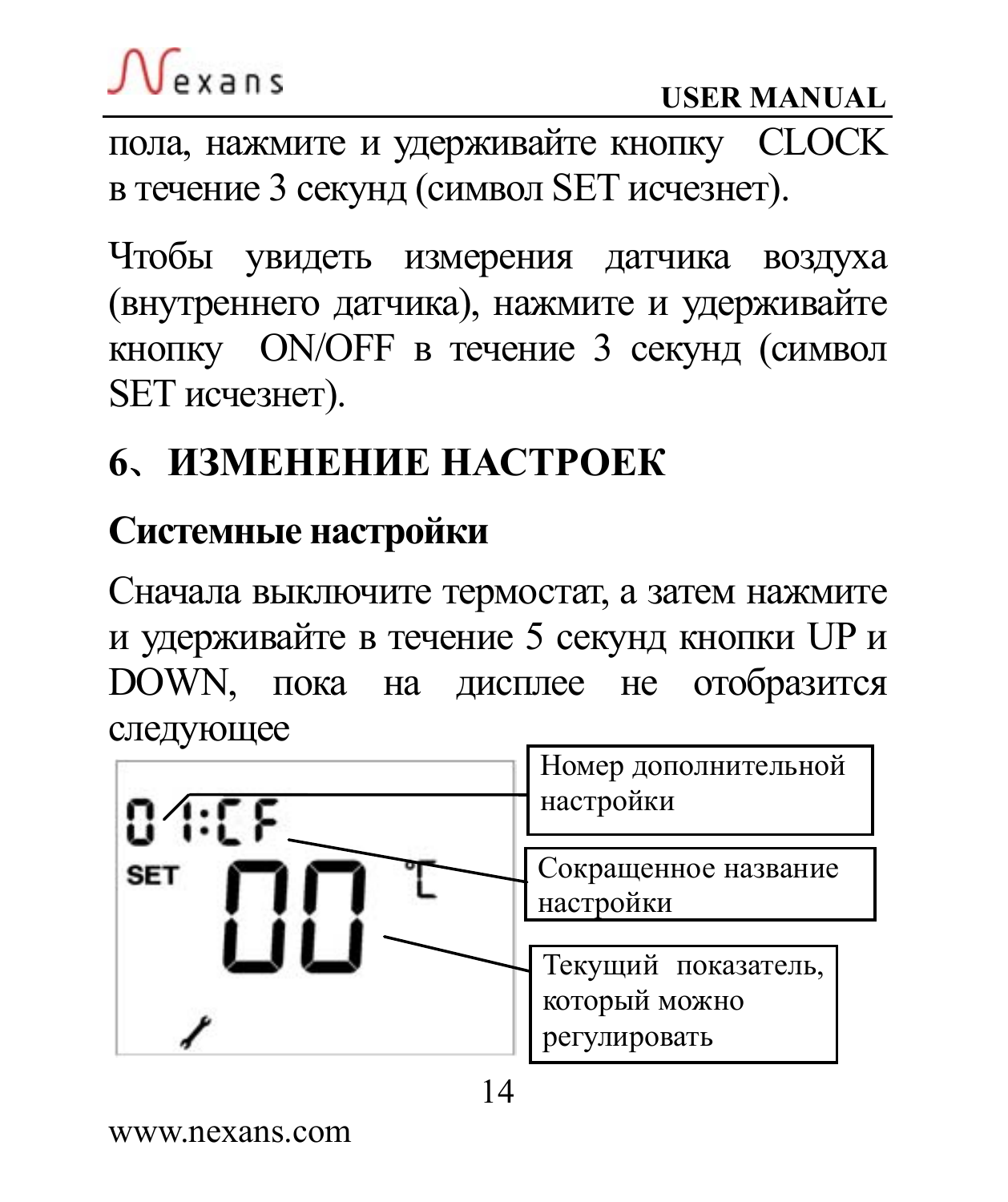### $P X A B S$

**USER MANUAL**

пола, нажмите и удерживайте кнопку CLOCK в течение 3 секунд (символ SET исчезнет).

Чтобы увидеть измерения датчика воздуха (внутреннего датчика), нажмите и удерживайте кнопку ON/OFF в течение 3 секунд (символ SET исчезнет).

### **6**、**ИЗМЕНЕНИЕ НАСТРОЕК**

### **Системные настройки**

Сначала выключите термостат, а затем нажмите и удерживайте в течение 5 секунд кнопки UP и DOWN, пока на дисплее не отобразится следующее

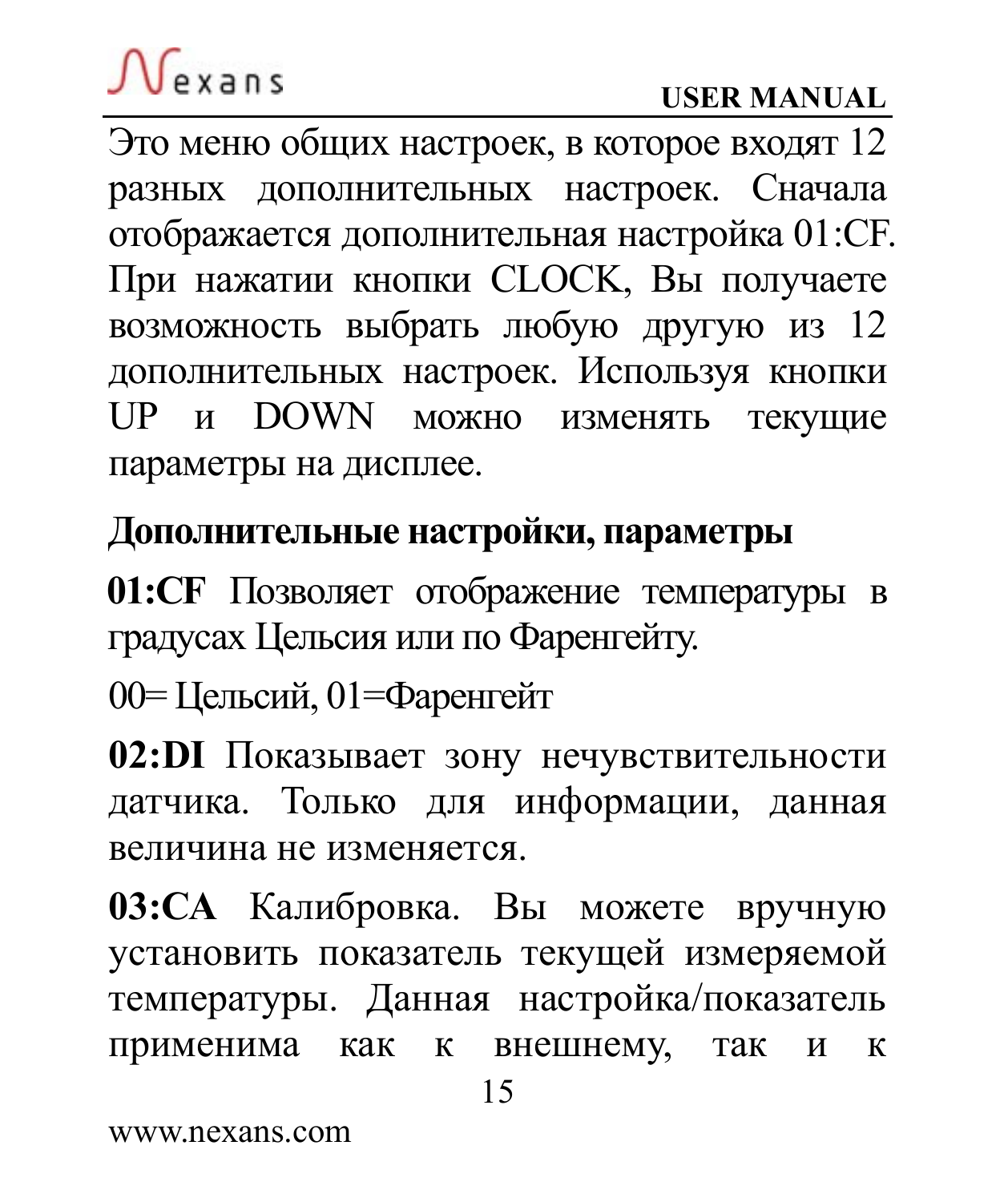# $N_{\text{examples}}$

Это меню общих настроек, в которое входят 12 разных дополнительных настроек. Сначала отображается дополнительная настройка 01:CF. При нажатии кнопки CLOCK, Вы получаете возможность выбрать любую другую из 12 дополнительных настроек. Используя кнопки UP и DOWN можно изменять текущие параметры на дисплее.

#### **Дополнительные настройки, параметры**

**01:CF** Позволяет отображение температуры в градусах Цельсия или по Фаренгейту.

00= Цельсий, 01=Фаренгейт

**02:DI** Показывает зону нечувствительности датчика. Только для информации, данная величина не изменяется.

**03:СА** Калибровка. Вы можете вручную установить показатель текущей измеряемой температуры. Данная настройка/показатель применима как к внешнему, так и к

15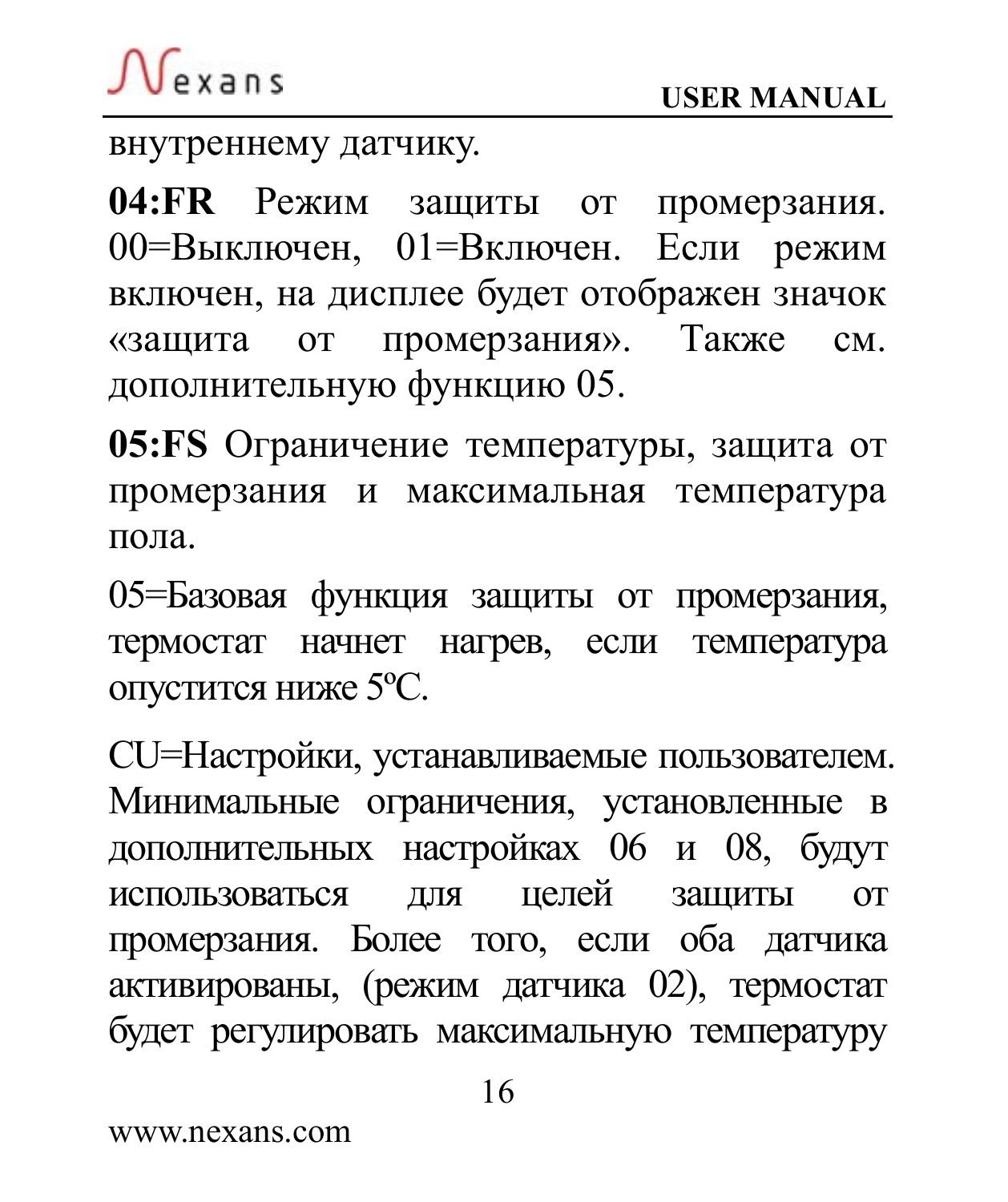внутреннему датчику.

**04:FR** Режим защиты от промерзания. 00=Выключен, 01=Включен. Если режим включен, на дисплее будет отображен значок «защита от промерзания». Также см. дополнительную функцию 05.

**05:FS** Ограничение температуры, защита от промерзания и максимальная температура пола.

05=Базовая функция защиты от промерзания, термостат начнет нагрев, если температура опустится ниже 5ºС.

CU=Настройки, устанавливаемые пользователем. Минимальные ограничения, установленные в дополнительных настройках 06 и 08, будут использоваться для целей защиты от промерзания. Более того, если оба датчика активированы, (режим датчика 02), термостат будет регулировать максимальную температуру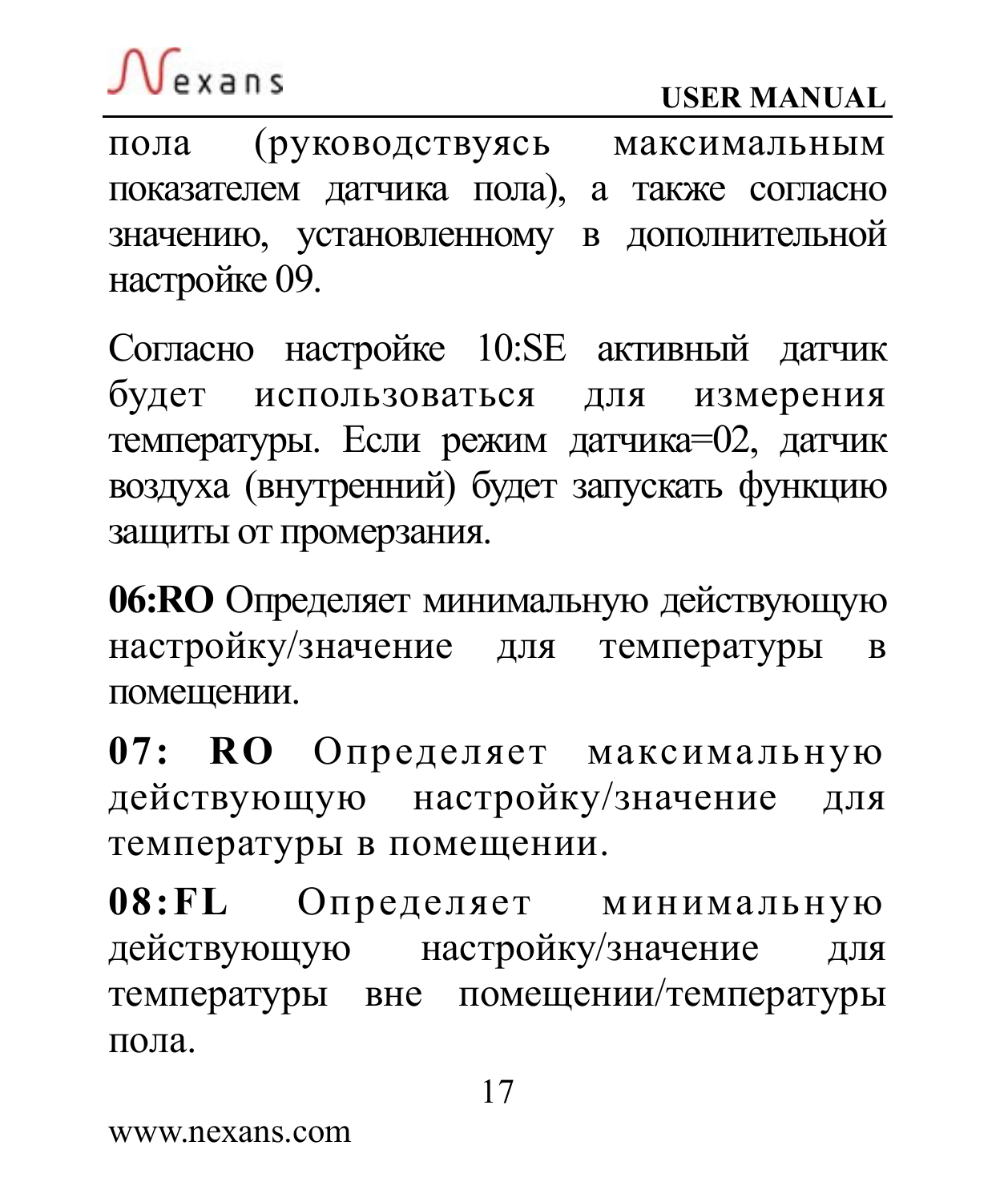$P X A B S$ 

пола (руководствуясь максимальным показателем датчика пола), а также согласно значению, установленному в дополнительной настройке 09.

Согласно настройке 10:SE активный датчик будет использоваться для измерения температуры. Если режим датчика=02, датчик воздуха (внутренний) будет запускать функцию защиты от промерзания.

**06:RO** Определяет минимальную действующую настройку/значение для температуры в помещении.

**07: RO** Определяет максимальную действующую настройку/значение для температуры в помещении.

**08:FL** Определяет минимальную действующую настройку/значение для температуры вне помещении/температуры пола.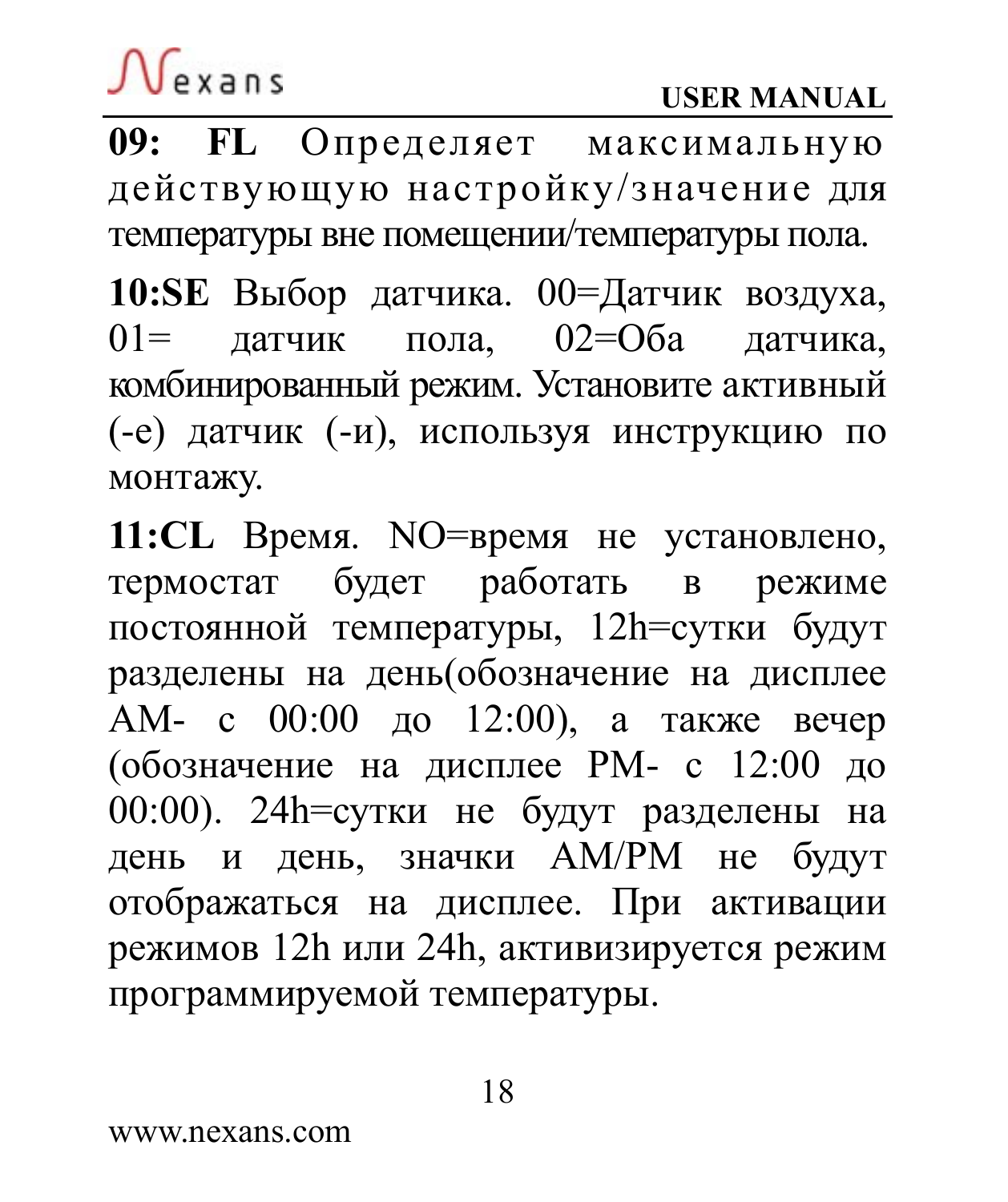$V_{exans}$ 

**09: FL** Определяет максимальную действующую настройку/значение для температуры вне помещении/температуры пола.

**10:SE** Выбор датчика. 00=Датчик воздуха, 01= датчик пола, 02=Оба датчика, комбинированный режим. Установите активный (-е) датчик (-и), используя инструкцию по монтажу.

**11:CL** Время. NO=время не установлено, термостат будет работать в режиме постоянной температуры, 12h=сутки будут разделены на день(обозначение на дисплее АМ- с 00:00 до 12:00), а также вечер (обозначение на дисплее РМ- с 12:00 до 00:00). 24h=сутки не будут разделены на день и день, значки АМ/РМ не будут отображаться на дисплее. При активации режимов 12h или 24h, активизируется режим программируемой температуры.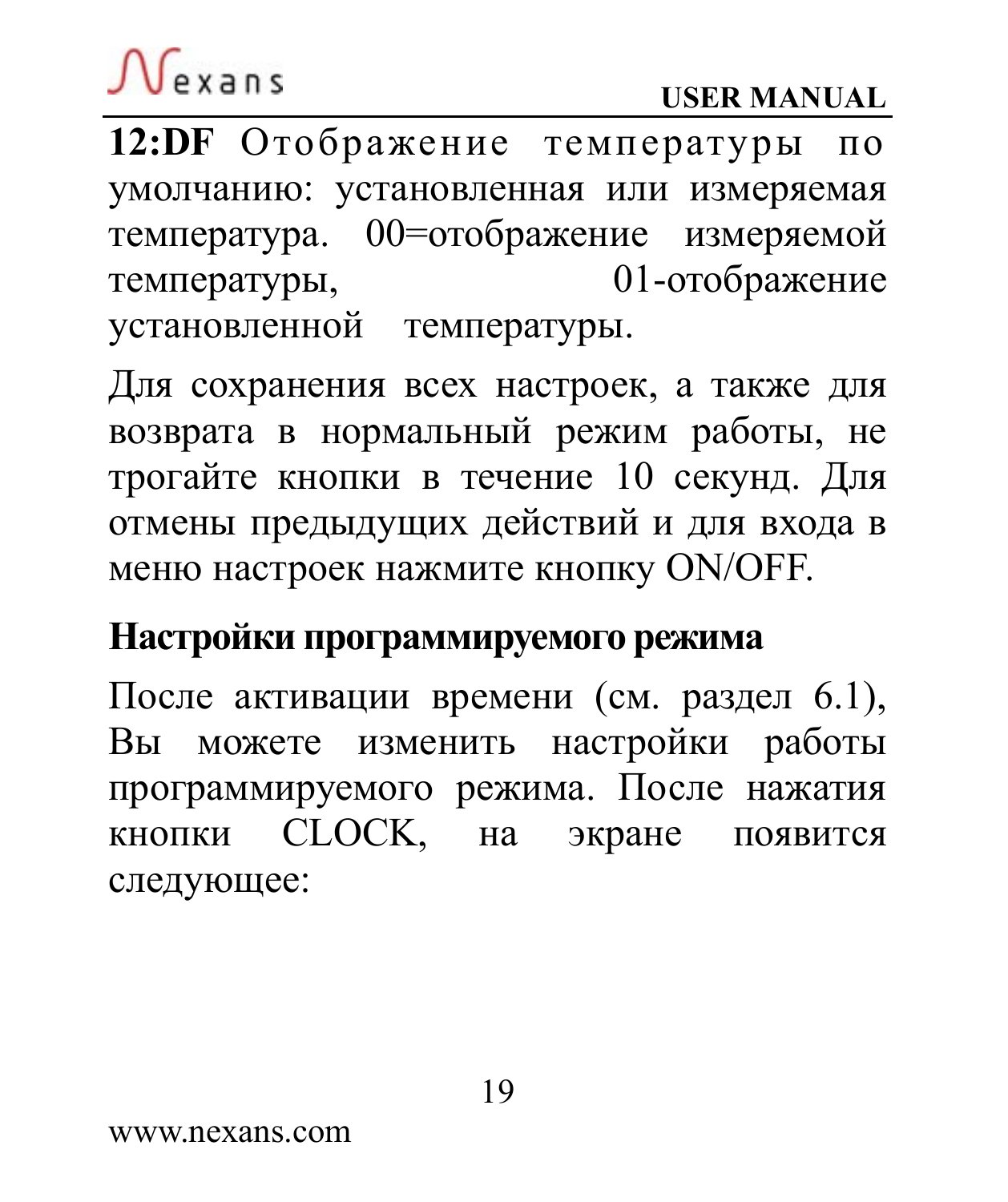$N_{\text{examples}}$ 

**12:DF** Отображение температуры по умолчанию: установленная или измеряемая температура. 00=отображение измеряемой температуры, 01-отображение установленной температуры.

Для сохранения всех настроек, а также для возврата в нормальный режим работы, не трогайте кнопки в течение 10 секунд. Для отмены предыдущих действий и для входа в меню настроек нажмите кнопку ON/OFF.

#### **Настройки программируемого режима**

После активации времени (см. раздел 6.1), Вы можете изменить настройки работы программируемого режима. После нажатия кнопки CLOCK, на экране появится следующее: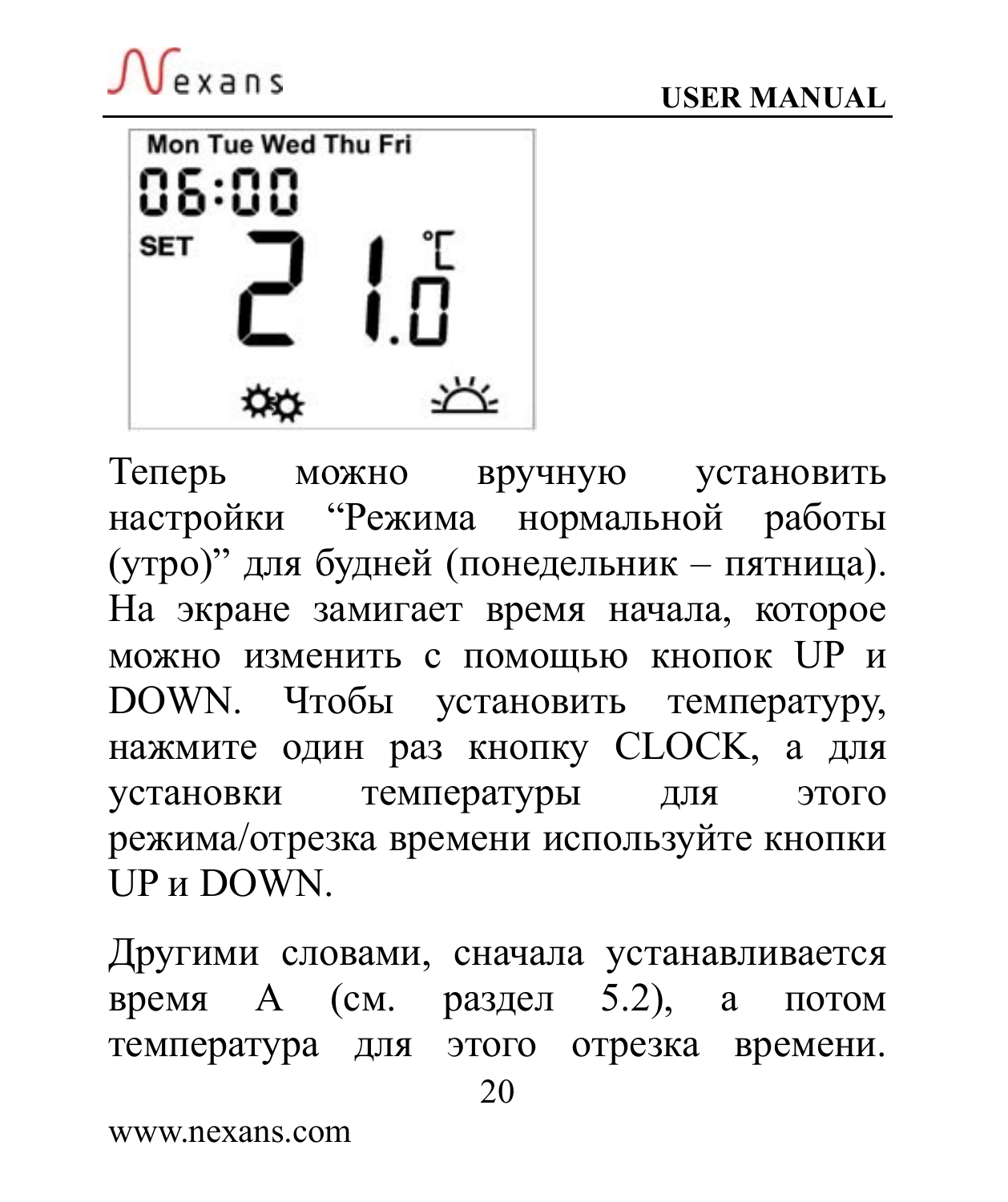

Теперь можно вручную установить настройки "Режима нормальной работы (утро)" для будней (понедельник – пятница). На экране замигает время начала, которое можно изменить с помощью кнопок UP и DOWN. Чтобы установить температуру, нажмите один раз кнопку CLOCK, а для установки температуры для этого режима/отрезка времени используйте кнопки UP и DOWN.

20 Другими словами, сначала устанавливается время А (см. раздел 5.2), а потом температура для этого отрезка времени.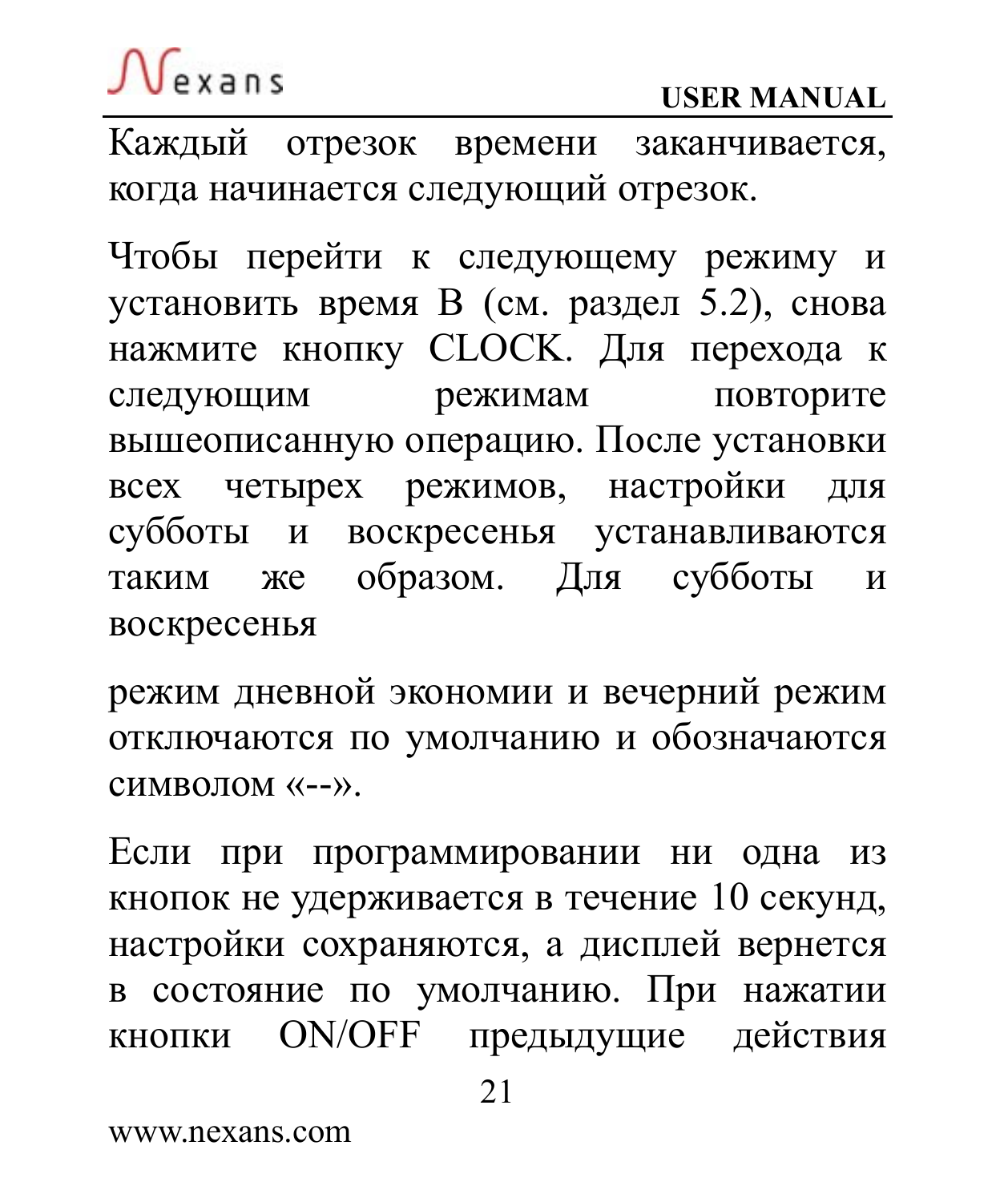exans

**USER MANUAL**

Каждый отрезок времени заканчивается, когда начинается следующий отрезок.

Чтобы перейти к следующему режиму и установить время В (см. раздел 5.2), снова нажмите кнопку CLOCK. Для перехода к следующим режимам повторите вышеописанную операцию. После установки всех четырех режимов, настройки для субботы и воскресенья устанавливаются таким же образом. Для субботы и воскресенья

режим дневной экономии и вечерний режим отключаются по умолчанию и обозначаются символом «--».

Если при программировании ни одна из кнопок не удерживается в течение 10 секунд, настройки сохраняются, а дисплей вернется в состояние по умолчанию. При нажатии кнопки ON/OFF предыдущие действия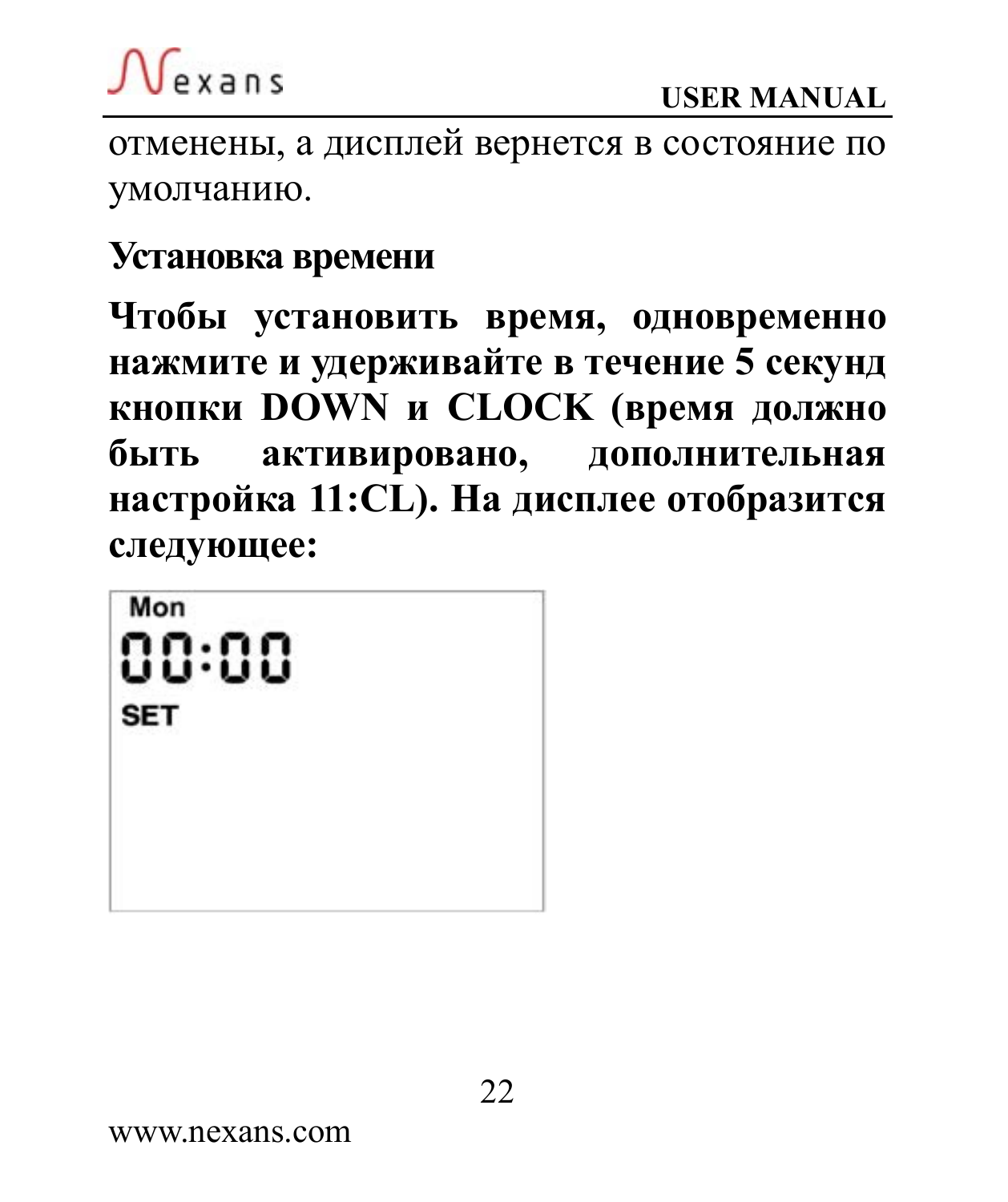### $\sqrt{P}$

отменены, а дисплей вернется в состояние по умолчанию.

#### **Установка времени**

**Чтобы установить время, одновременно нажмите и удерживайте в течение 5 секунд кнопки DOWN и CLOCK (время должно быть активировано, дополнительная настройка 11:СL). На дисплее отобразится следующее:**

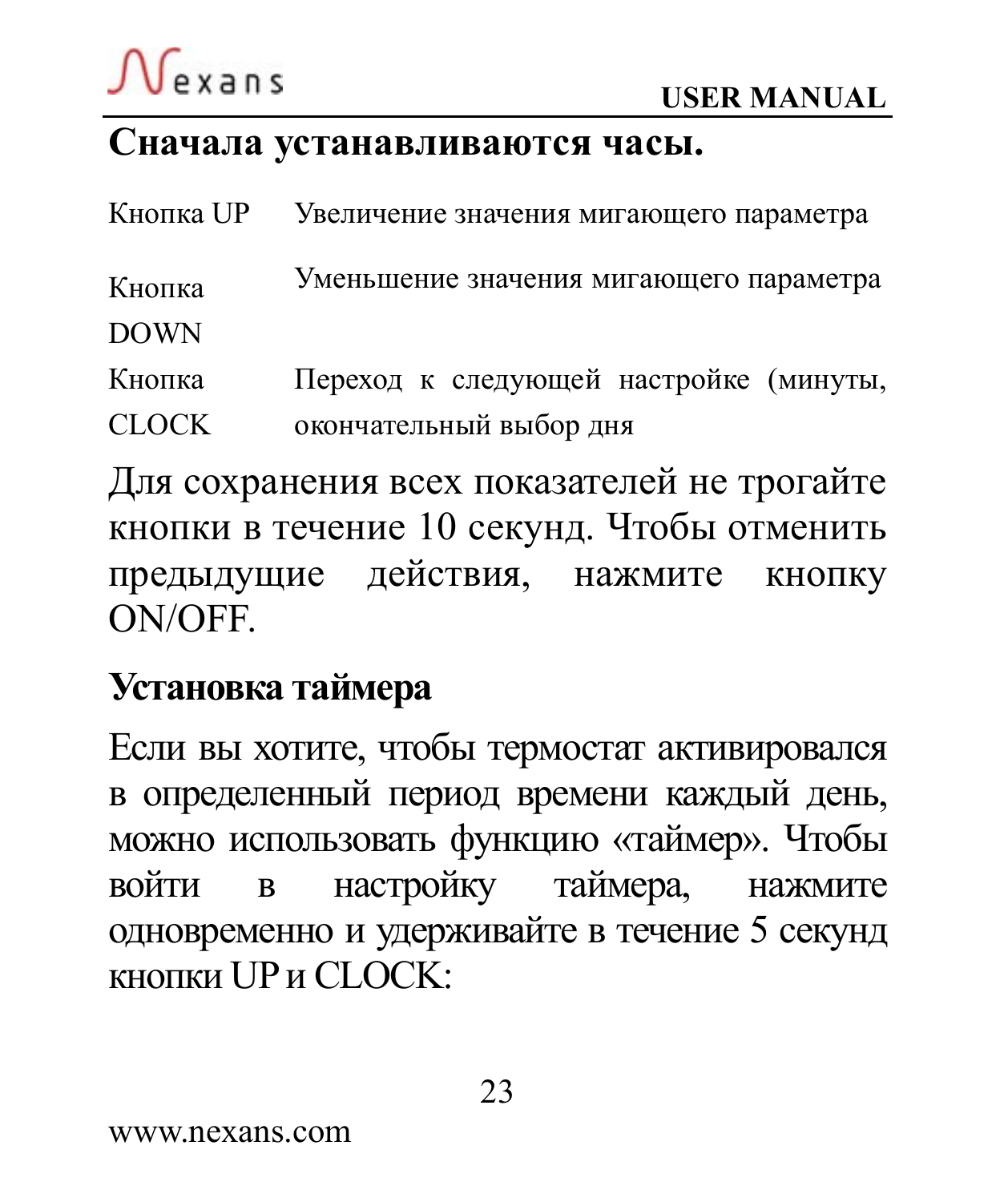# $\Lambda$ exans

#### **Сначала устанавливаются часы.**

| Кнопка UP    | Увеличение значения мигающего параметра |
|--------------|-----------------------------------------|
| Кнопка       | Уменьшение значения мигающего параметра |
| <b>DOWN</b>  |                                         |
| Кнопка       | Переход к следующей настройке (минуты,  |
| <b>CLOCK</b> | окончательный выбор дня                 |

Для сохранения всех показателей не трогайте кнопки в течение 10 секунд. Чтобы отменить предыдущие действия, нажмите кнопку ON/OFF.

#### **Установка таймера**

Если вы хотите, чтобы термостат активировался в определенный период времени каждый день, можно использовать функцию «таймер». Чтобы войти в настройку таймера, нажмите одновременно и удерживайте в течение 5 секунд кнопки UP и CLOCK: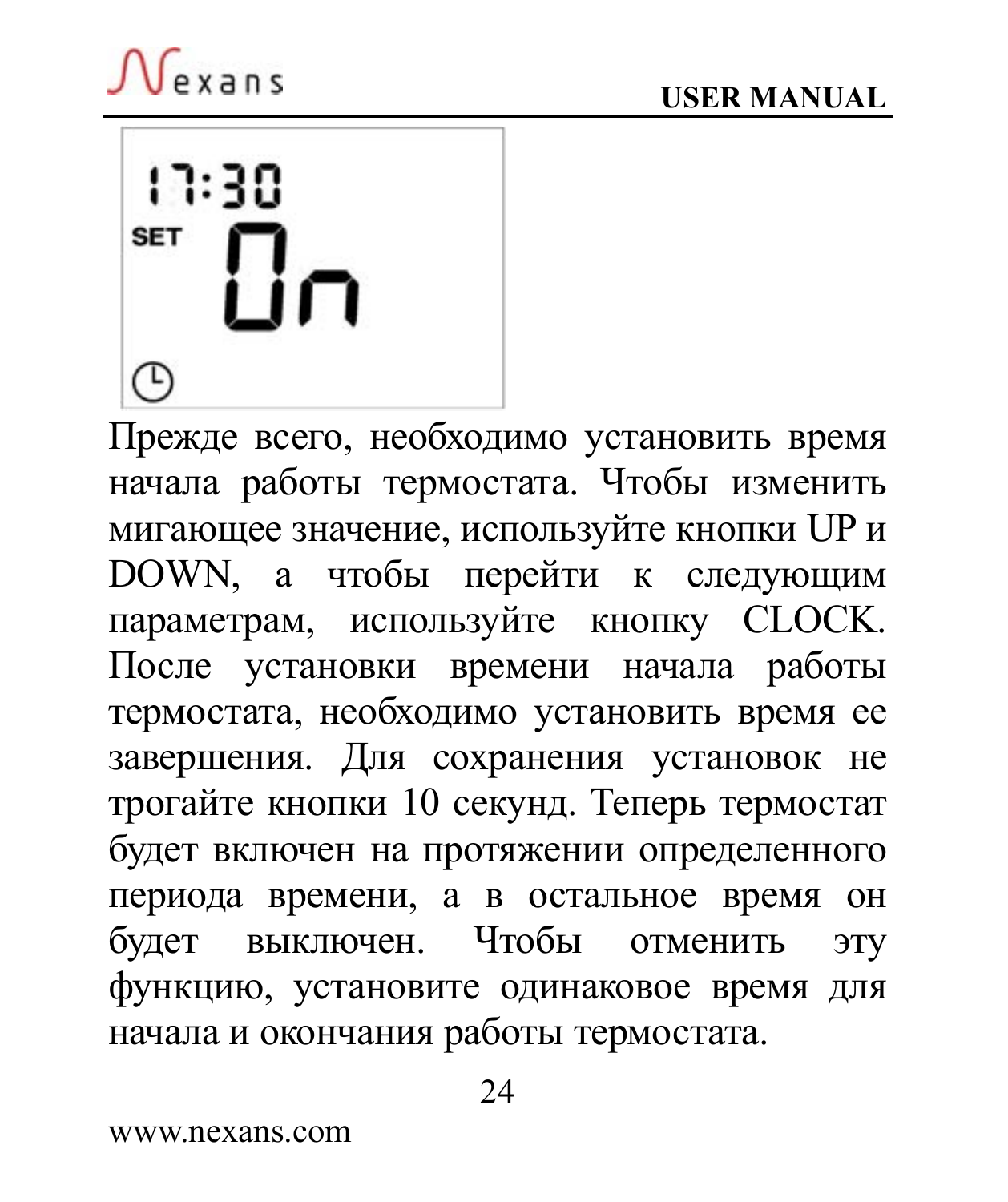# $PX=0.5$

# 17:30 **SET**

Прежде всего, необходимо установить время начала работы термостата. Чтобы изменить мигающее значение, используйте кнопки UP и DOWN, а чтобы перейти к следующим параметрам, используйте кнопку CLOCK. После установки времени начала работы термостата, необходимо установить время ее завершения. Для сохранения установок не трогайте кнопки 10 секунд. Теперь термостат будет включен на протяжении определенного периода времени, а в остальное время он будет выключен. Чтобы отменить эту функцию, установите одинаковое время для начала и окончания работы термостата.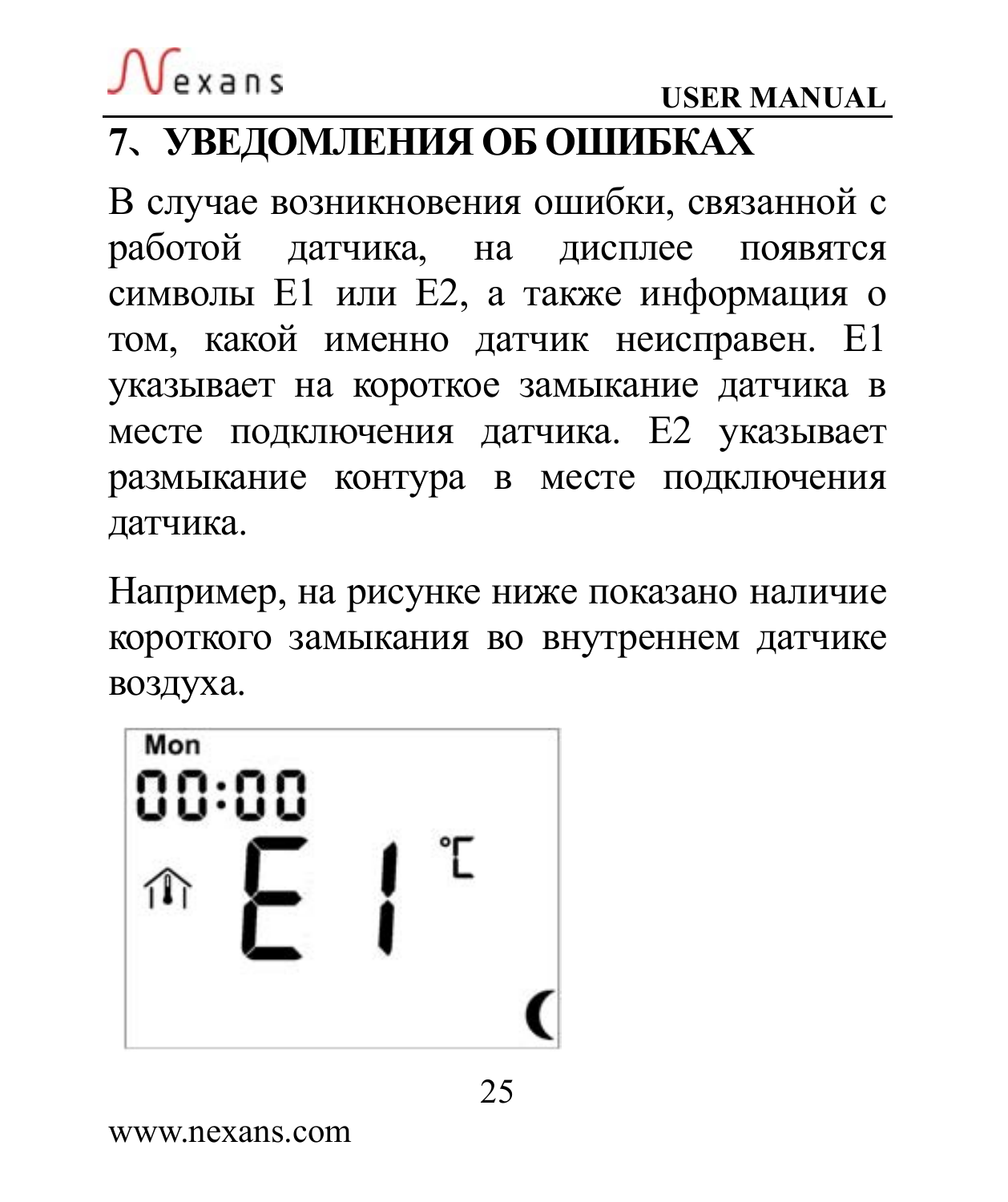-<br>exans

### **7**、**УВЕДОМЛЕНИЯ ОБ ОШИБКАХ**

В случае возникновения ошибки, связанной с работой датчика, на дисплее появятся символы Е1 или Е2, а также информация о том, какой именно датчик неисправен. Е1 указывает на короткое замыкание датчика в месте подключения датчика. Е2 указывает размыкание контура в месте подключения датчика.

Например, на рисунке ниже показано наличие короткого замыкания во внутреннем датчике воздуха.

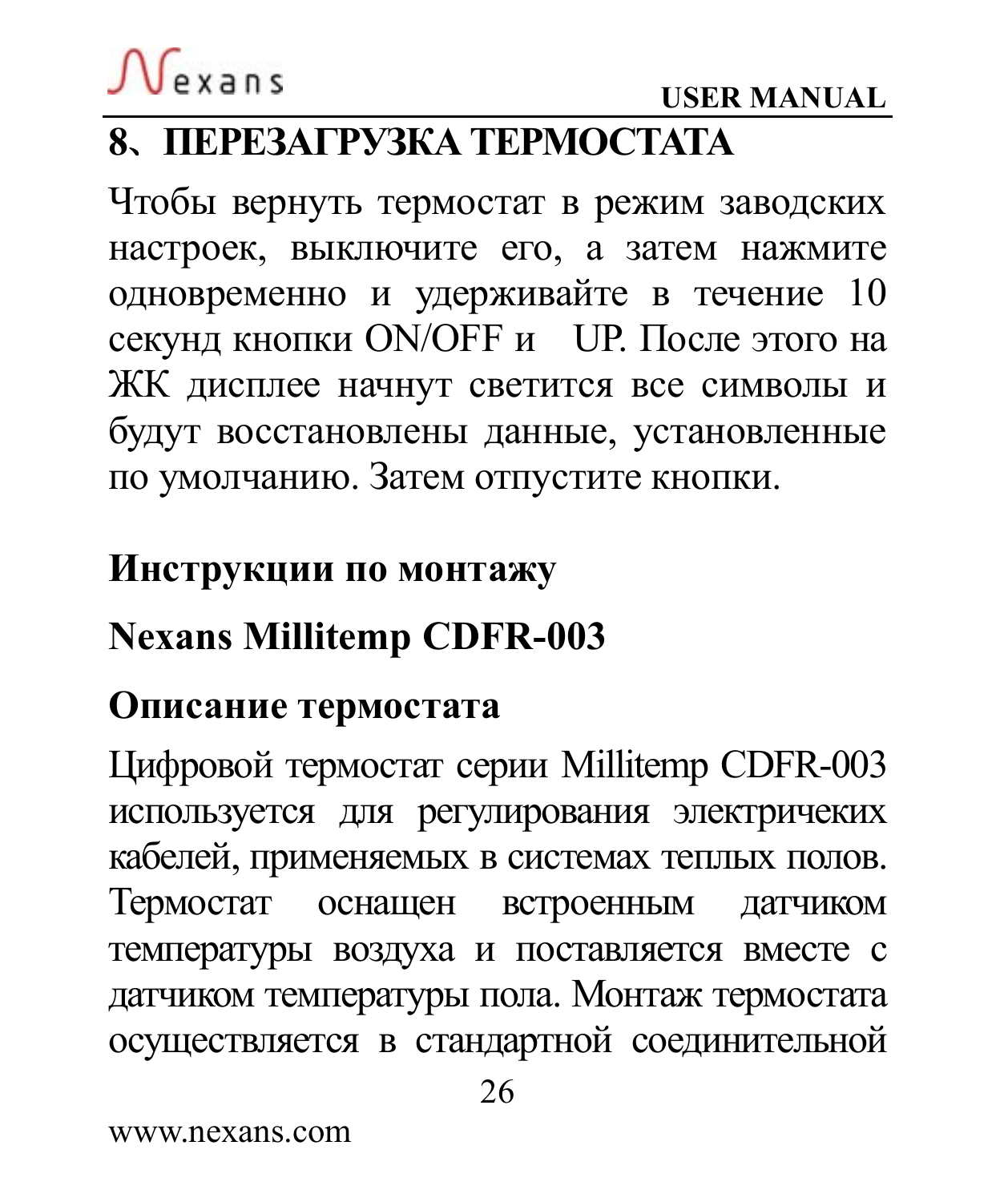$\Lambda$ exans

### **8**、**ПЕРЕЗАГРУЗКА ТЕРМОСТАТА**

Чтобы вернуть термостат в режим заводских настроек, выключите его, а затем нажмите одновременно и удерживайте в течение 10 секунд кнопки ON/OFF и UP. После этого на ЖК дисплее начнут светится все символы и будут восстановлены данные, установленные по умолчанию. Затем отпустите кнопки.

#### **Инструкции по монтажу**

### **Nexans Millitemp CDFR-003**

#### **Описание термостата**

Цифровой термостат серии Millitemp CDFR-003 используется для регулирования электричеких кабелей, применяемых в системах теплых полов. Термостат оснащен встроенным датчиком температуры воздуха и поставляется вместе с датчиком температуры пола. Монтаж термостата осуществляется в стандартной соединительной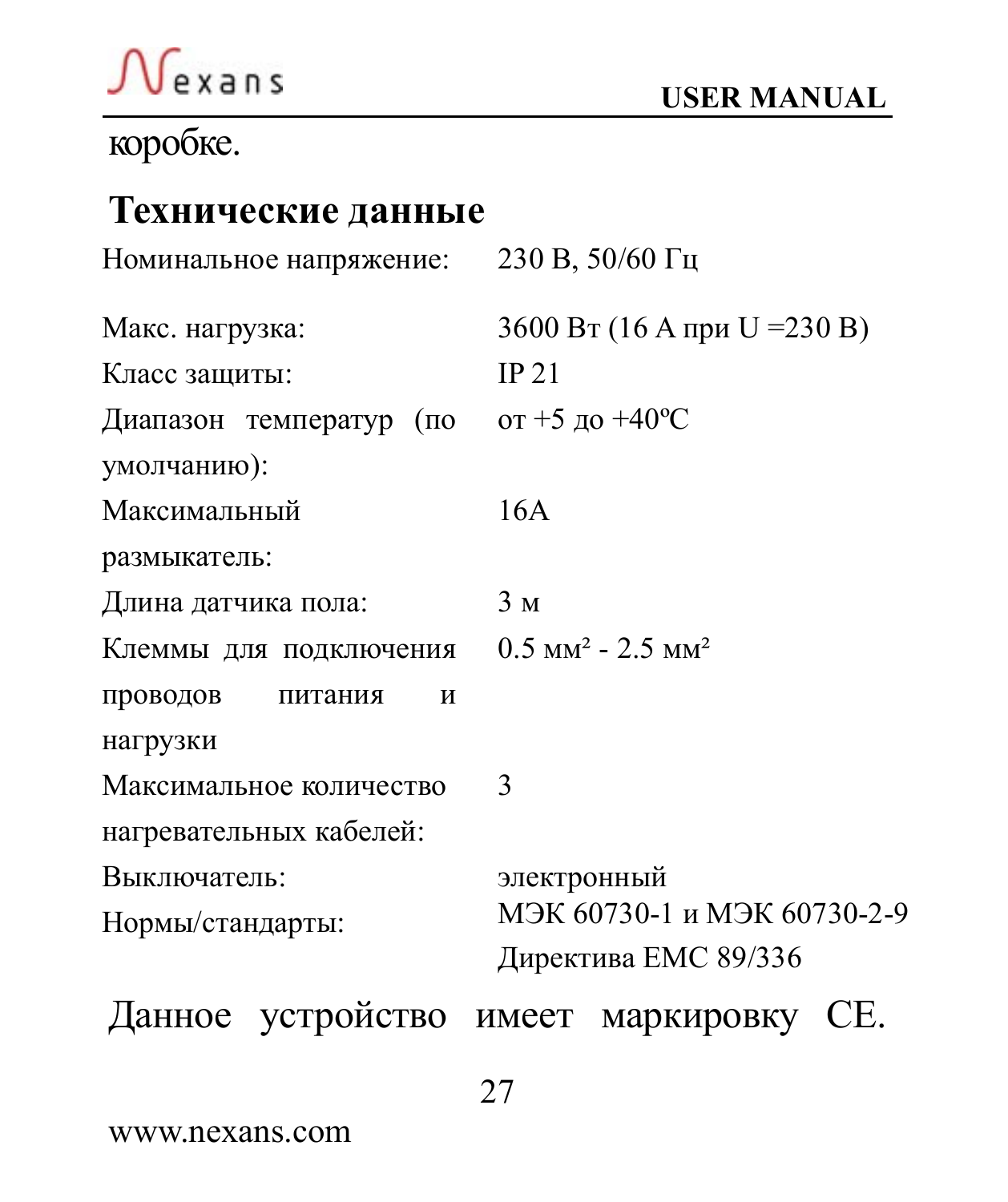### $N$ exans

**USER MANUAL**

коробке.

#### **Технические данные**

| Номинальное напряжение:  | 230 В, 50/60 Гц                        |  |  |  |
|--------------------------|----------------------------------------|--|--|--|
| Макс. нагрузка:          | 3600 BT $(16 A \pi p \mu U = 230 B)$   |  |  |  |
| Класс защиты:            | IP <sub>21</sub>                       |  |  |  |
| Диапазон температур (по  | от +5 до +40°С                         |  |  |  |
| умолчанию):              |                                        |  |  |  |
| Максимальный             | 16A                                    |  |  |  |
| размыкатель:             |                                        |  |  |  |
| Длина датчика пола:      | 3 <sub>M</sub>                         |  |  |  |
| Клеммы для подключения   | $0.5 \text{ MM}^2 - 2.5 \text{ MM}^2$  |  |  |  |
| проводов<br>И<br>питания |                                        |  |  |  |
| нагрузки                 |                                        |  |  |  |
| Максимальное количество  | 3                                      |  |  |  |
| нагревательных кабелей:  |                                        |  |  |  |
| Выключатель:             | электронный                            |  |  |  |
| Нормы/стандарты:         | МЭК 60730-1 и МЭК 60730-2-9            |  |  |  |
|                          | Директива ЕМС 89/336                   |  |  |  |
|                          | Данное устройство имеет маркировку СЕ. |  |  |  |
|                          | 27                                     |  |  |  |

www.nexans.com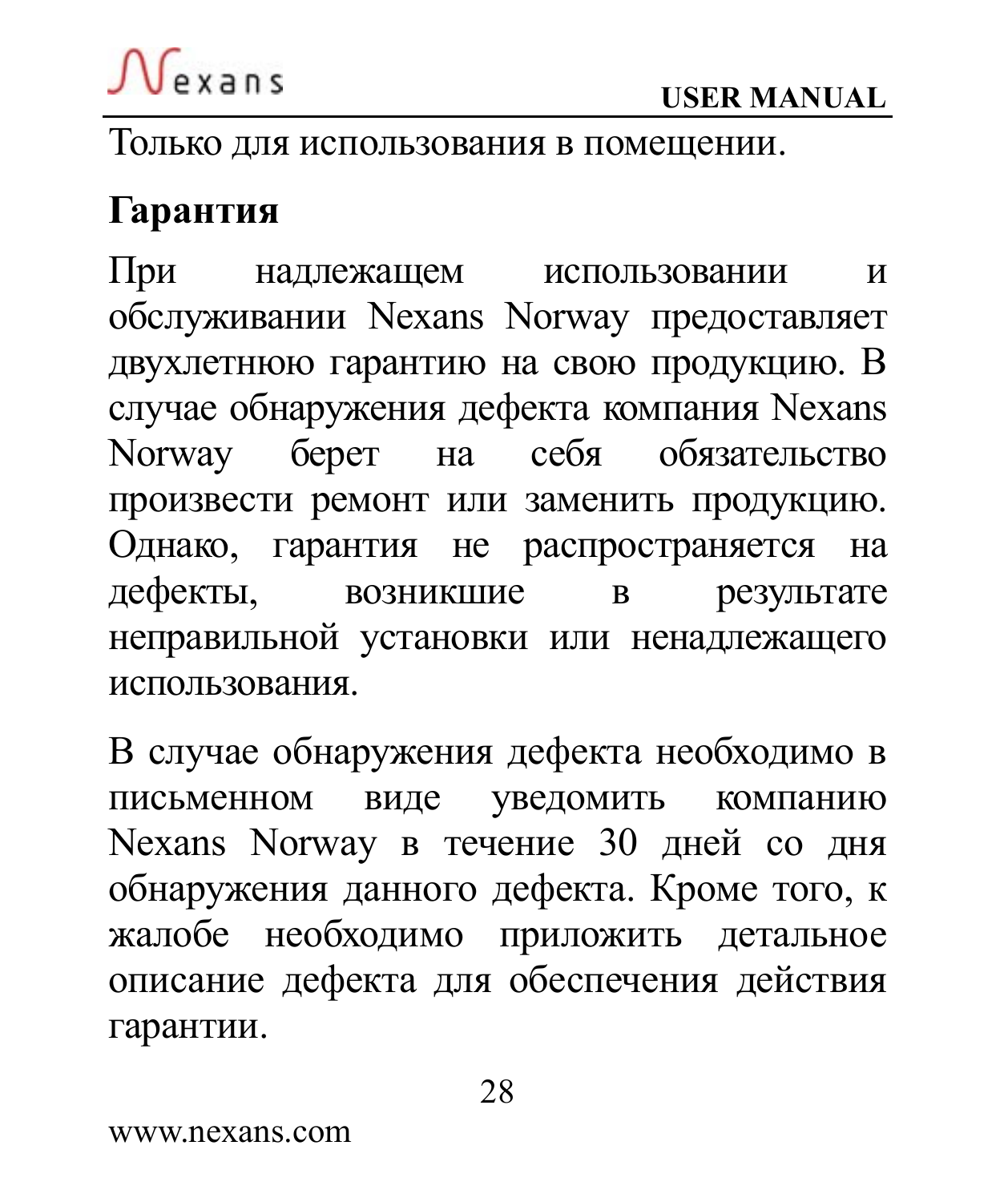### $\sqrt{exans}$

Только для использования в помещении.

#### **Гарантия**

При надлежащем использовании и обслуживании Nexans Norway предоставляет двухлетнюю гарантию на свою продукцию. В случае обнаружения дефекта компания Nexans Norway берет на себя обязательство произвести ремонт или заменить продукцию. Однако, гарантия не распространяется на дефекты, возникшие в результате неправильной установки или ненадлежащего использования.

В случае обнаружения дефекта необходимо в письменном виде уведомить компанию Nexans Norway в течение 30 дней со дня обнаружения данного дефекта. Кроме того, к жалобе необходимо приложить детальное описание дефекта для обеспечения действия гарантии.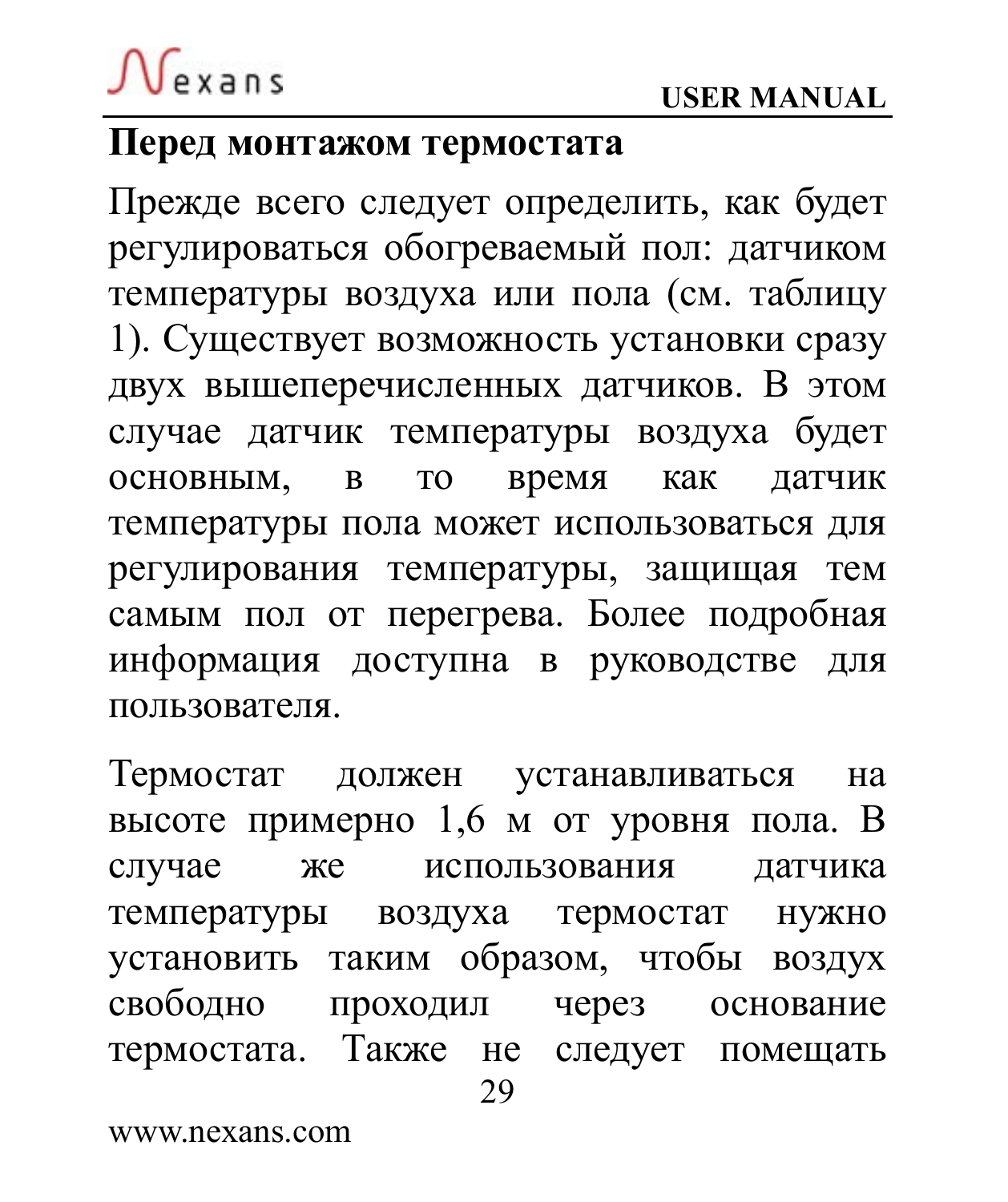### $V_{exans}$

#### **Перед монтажом термостата**

Прежде всего следует определить, как будет регулироваться обогреваемый пол: датчиком температуры воздуха или пола (см. таблицу 1). Существует возможность установки сразу двух вышеперечисленных датчиков. В этом случае датчик температуры воздуха будет основным, в то время как датчик температуры пола может использоваться для регулирования температуры, защищая тем самым пол от перегрева. Более подробная информация доступна в руководстве для пользователя.

29 Термостат должен устанавливаться на высоте примерно 1,6 м от уровня пола. В случае же использования датчика температуры воздуха термостат нужно установить таким образом, чтобы воздух свободно проходил через основание термостата. Также не следует помещать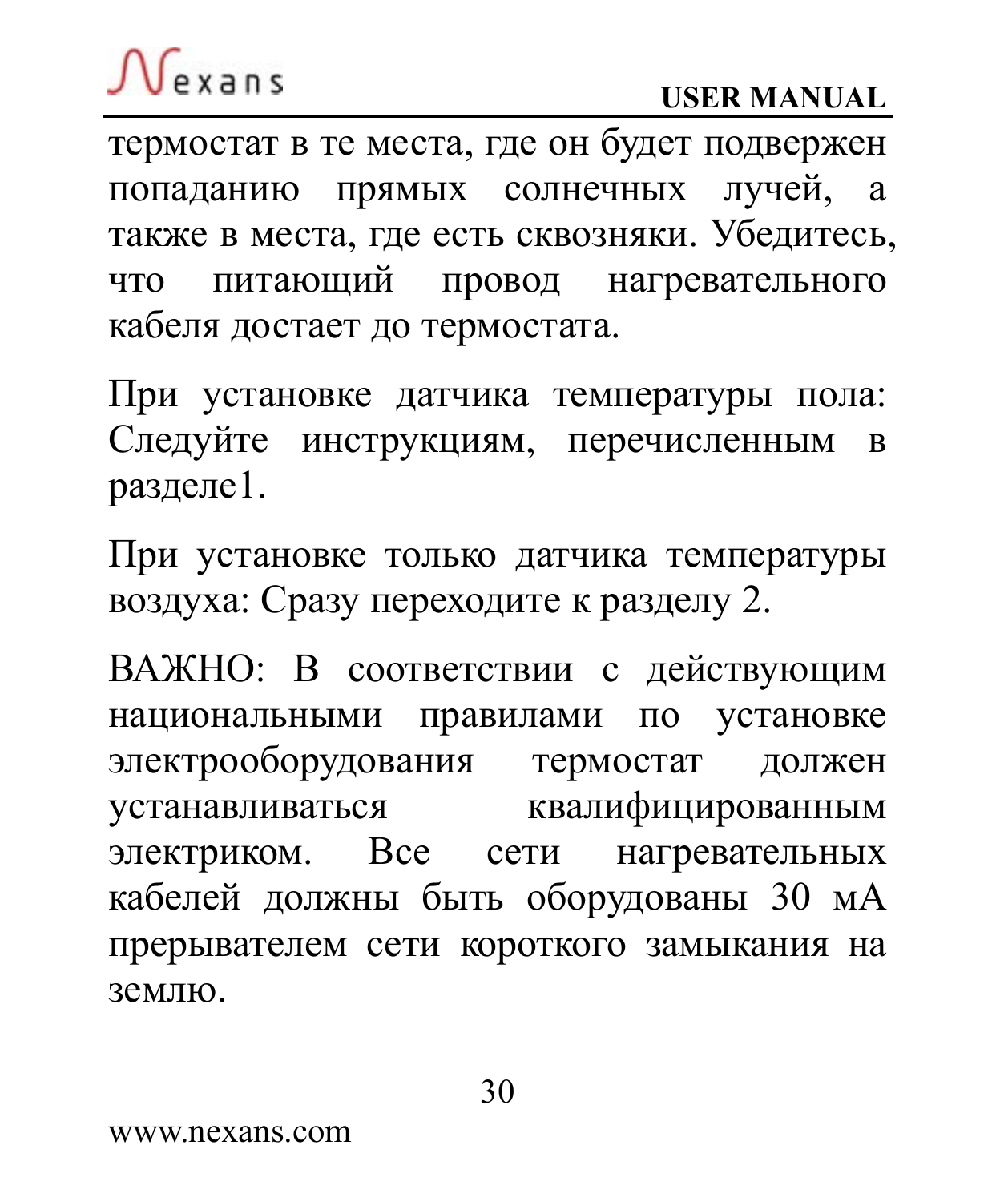термостат в те места, где он будет подвержен попаданию прямых солнечных лучей, а также в места, где есть сквозняки. Убедитесь, что питающий провод нагревательного кабеля достает до термостата.

При установке датчика температуры пола: Следуйте инструкциям, перечисленным в разделе1.

При установке только датчика температуры воздуха: Сразу переходите к разделу 2.

ВАЖНО: В соответствии с действующим национальными правилами по установке электрооборудования термостат должен устанавливаться квалифицированным электриком. Все сети нагревательных кабелей должны быть оборудованы 30 мА прерывателем сети короткого замыкания на землю.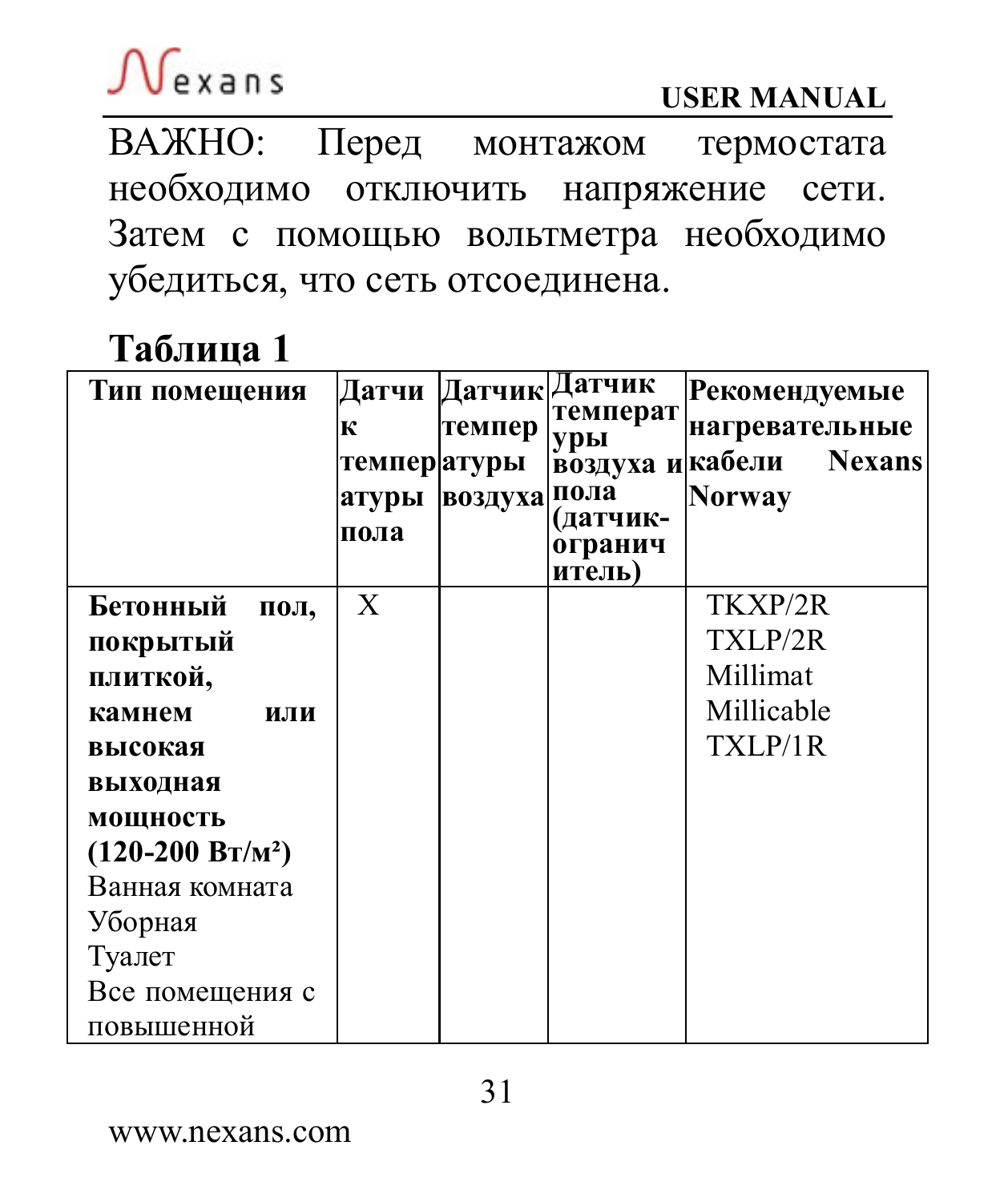### $N_{\text{examples}}$

ВАЖНО: Перед монтажом термостата необходимо отключить напряжение сети. Затем с помощью вольтметра необходимо убедиться, что сеть отсоединена.

### **Таблица 1**

| Тип помещения                                                                                                                                                                               | К<br>температуры<br>атуры<br>пола | Датчи Датчик<br>темпер<br>воздуха пола | Латчик<br>температ<br>уры<br>воздуха и кабели<br>(латчик-<br>огранич<br>итель) | Рекомендуемые<br>нагревательные<br><b>Nexans</b><br><b>Norway</b> |
|---------------------------------------------------------------------------------------------------------------------------------------------------------------------------------------------|-----------------------------------|----------------------------------------|--------------------------------------------------------------------------------|-------------------------------------------------------------------|
| Бетонный<br>пол,<br>покрытый<br>плиткой,<br>камнем<br>или<br>высокая<br>выходная<br>мощность<br>$(120-200 B_T/m^2)$<br>Ванная комната<br>Уборная<br>Туалет<br>Все помещения с<br>повышенной | X                                 |                                        |                                                                                | TKXP/2R<br>TXLP/2R<br>Millimat<br>Millicable<br>TXLP/1R           |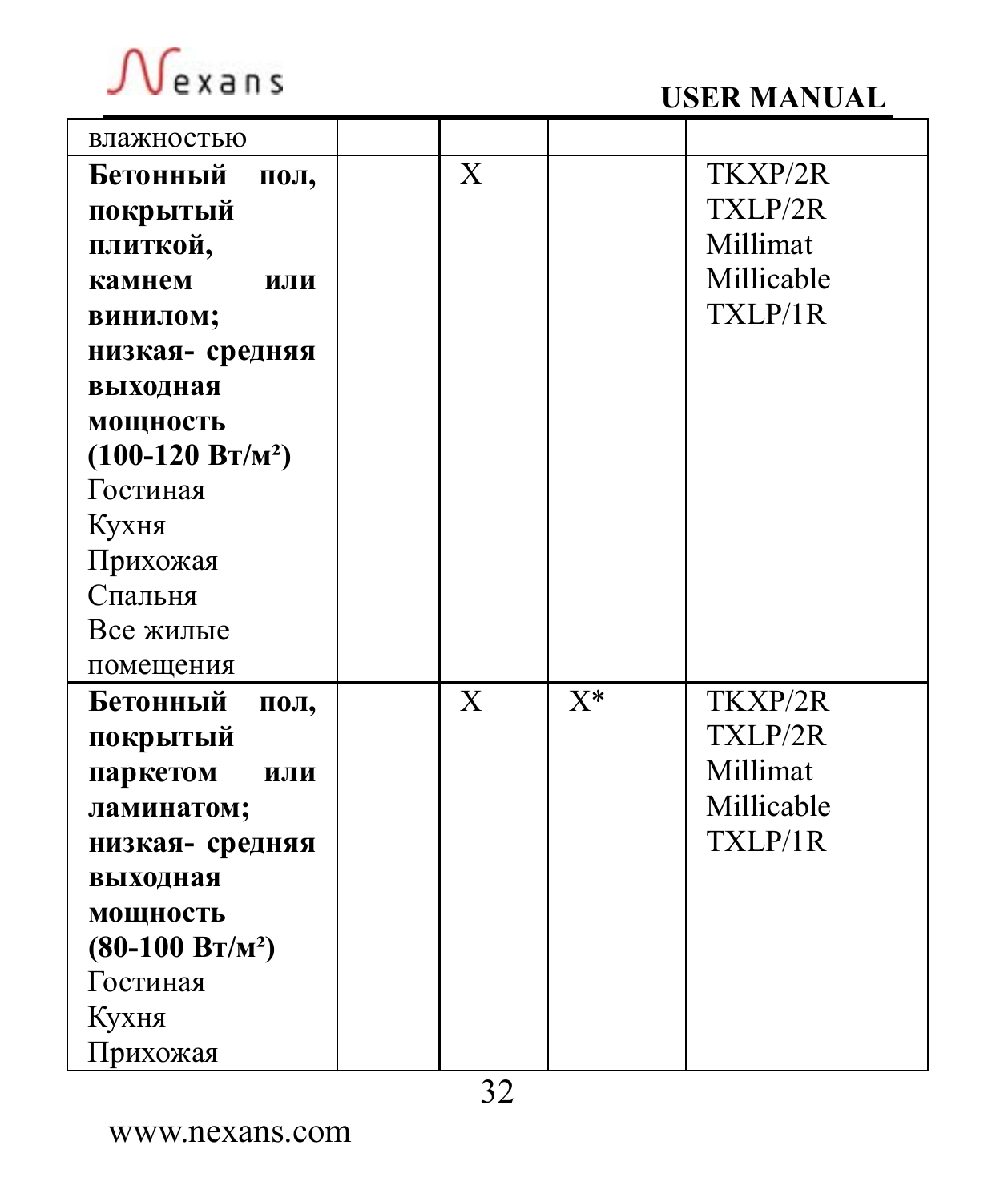

**USER MANUAL**

| влажностью          |              |       |            |
|---------------------|--------------|-------|------------|
| Бетонный<br>пол,    | $\mathbf{x}$ |       | TKXP/2R    |
| покрытый            |              |       | TXLP/2R    |
| плиткой,            |              |       | Millimat   |
| камнем<br>или       |              |       | Millicable |
| винилом;            |              |       | TXLP/1R    |
| низкая- средняя     |              |       |            |
| выходная            |              |       |            |
| мощность            |              |       |            |
| $(100-120 B_T/m^2)$ |              |       |            |
| Гостиная            |              |       |            |
| Кухня               |              |       |            |
| Прихожая            |              |       |            |
| Спальня             |              |       |            |
| Все жилые           |              |       |            |
| помещения           |              |       |            |
| Бетонный<br>пол,    | $\mathbf{x}$ | $X^*$ | TKXP/2R    |
| покрытый            |              |       | TXLP/2R    |
| паркетом<br>или     |              |       | Millimat   |
| ламинатом;          |              |       | Millicable |
| низкая- средняя     |              |       | TXLP/1R    |
| выходная            |              |       |            |
| мощность            |              |       |            |
| $(80-100 B_T/m^2)$  |              |       |            |
| Гостиная            |              |       |            |
| Кухня               |              |       |            |
|                     |              |       |            |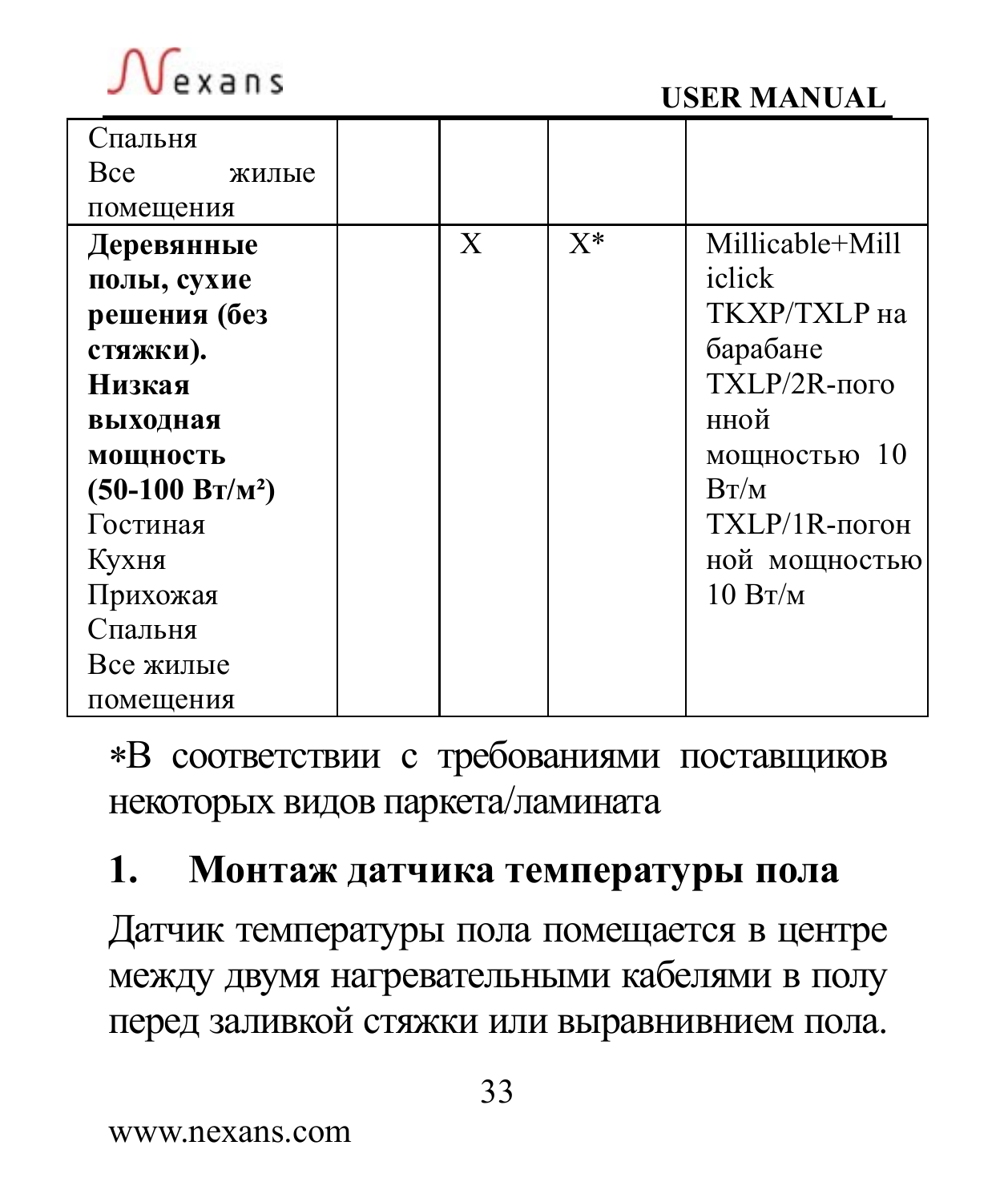

**USER MANUAL**

| Спальня            |   |       |                       |
|--------------------|---|-------|-----------------------|
| Bce<br>жилые       |   |       |                       |
| помещения          |   |       |                       |
| Деревянные         | X | $X^*$ | Millicable+Mill       |
| полы, сухие        |   |       | iclick                |
| решения (без       |   |       | <b>TKXP/TXLP</b> на   |
| стяжки).           |   |       | барабане              |
| Низкая             |   |       | $TXLP/2R$ - $\pi$ oro |
| выходная           |   |       | нной                  |
| мощность           |   |       | мощностью 10          |
| $(50-100 B_T/m^2)$ |   |       | $B_T/M$               |
| Гостиная           |   |       | <b>TXLP/1R-погон</b>  |
| Кухня              |   |       | ной мощностью         |
| Прихожая           |   |       | $10 B$ T/M            |
| Спальня            |   |       |                       |
| Все жилые          |   |       |                       |
| помещения          |   |       |                       |

∗В соответствии с требованиями поставщиков некоторых видов паркета/ламината

#### **1. Монтаж датчика температуры пола**

Датчик температуры пола помещается в центре между двумя нагревательными кабелями в полу перед заливкой стяжки или выравнивнием пола.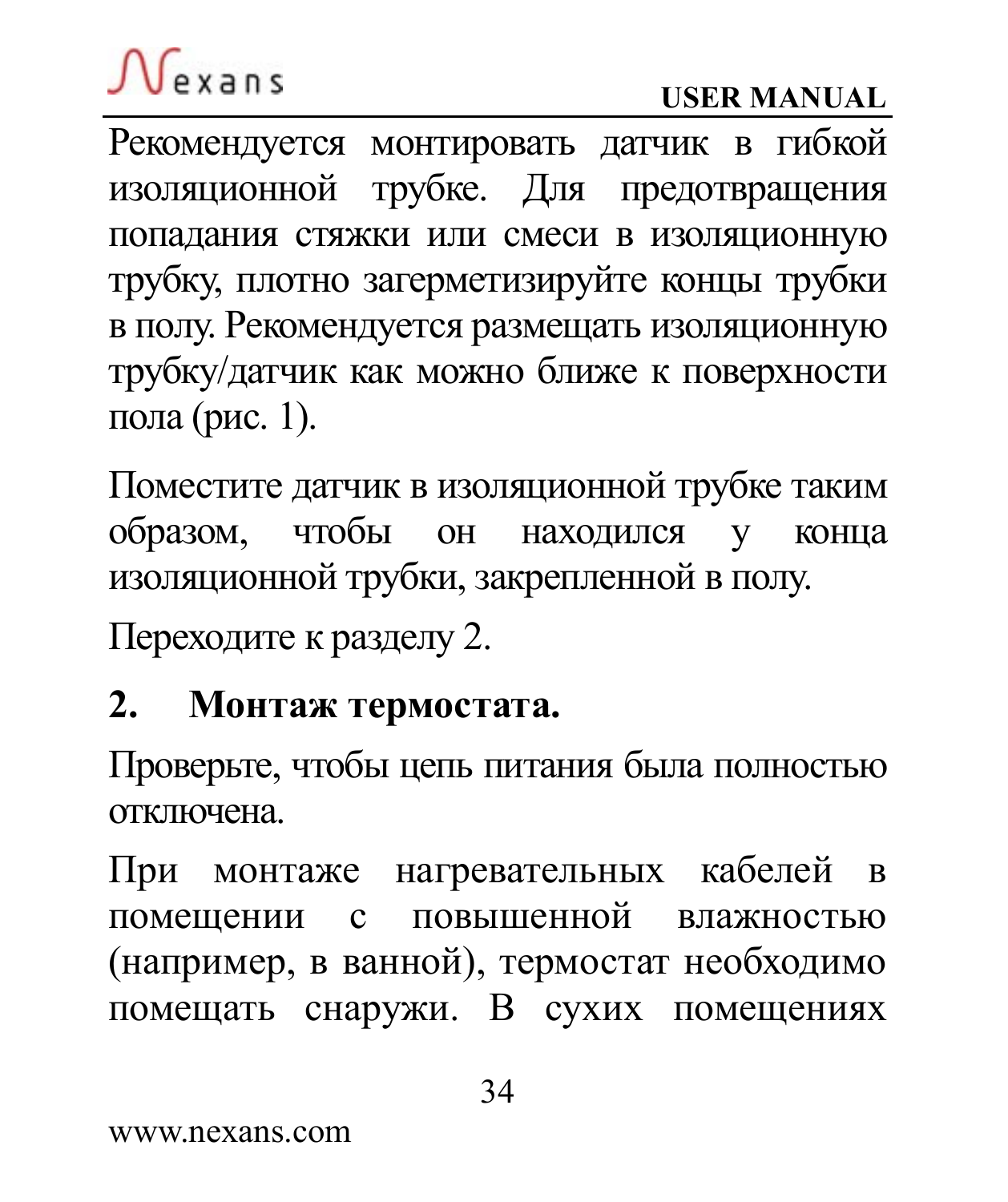# $\mathcal{N}_{\text{exans}}$

Рекомендуется монтировать датчик в гибкой изоляционной трубке. Для предотвращения попадания стяжки или смеси в изоляционную трубку, плотно загерметизируйте концы трубки в полу. Рекомендуется размещать изоляционную трубку/датчик как можно ближе к поверхности пола (рис. 1).

Поместите датчик в изоляционной трубке таким образом, чтобы он находился у конца изоляционной трубки, закрепленной в полу.

Переходите к разделу 2.

#### **2. Монтаж термостата.**

Проверьте, чтобы цепь питания была полностью отключена.

При монтаже нагревательных кабелей в помещении с повышенной влажностью (например, в ванной), термостат необходимо помещать снаружи. В сухих помещениях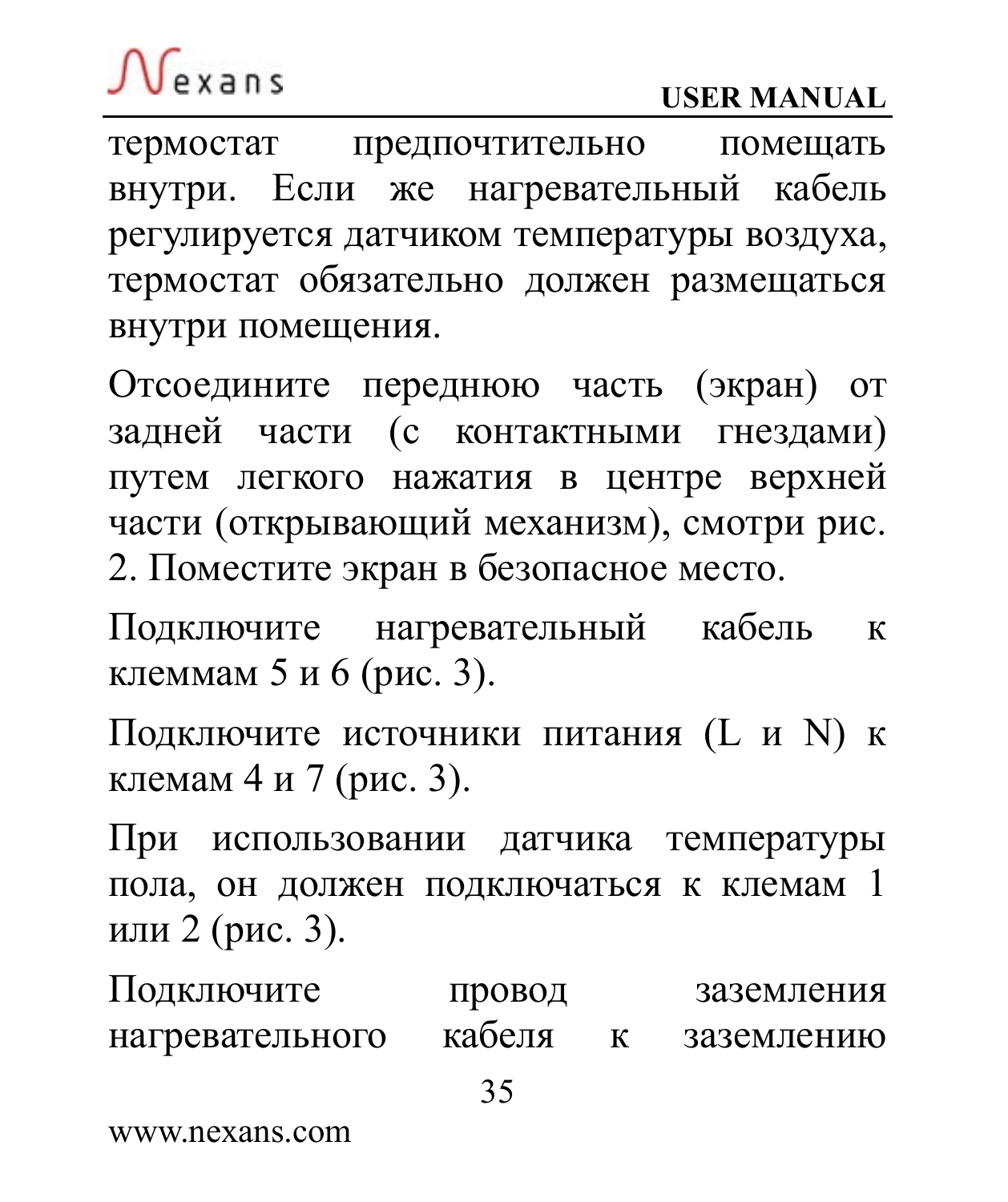термостат предпочтительно помещать внутри. Если же нагревательный кабель регулируется датчиком температуры воздуха, термостат обязательно должен размещаться внутри помещения.

Отсоедините переднюю часть (экран) от задней части (с контактными гнездами) путем легкого нажатия в центре верхней части (открывающий механизм), смотри рис. 2. Поместите экран в безопасное место.

Подключите нагревательный кабель к клеммам 5 и 6 (рис. 3).

Подключите источники питания (L и N) к клемам 4 и 7 (рис. 3).

При использовании датчика температуры пола, он должен подключаться к клемам 1 или 2 (рис. 3).

Подключите провод заземления нагревательного кабеля к заземлению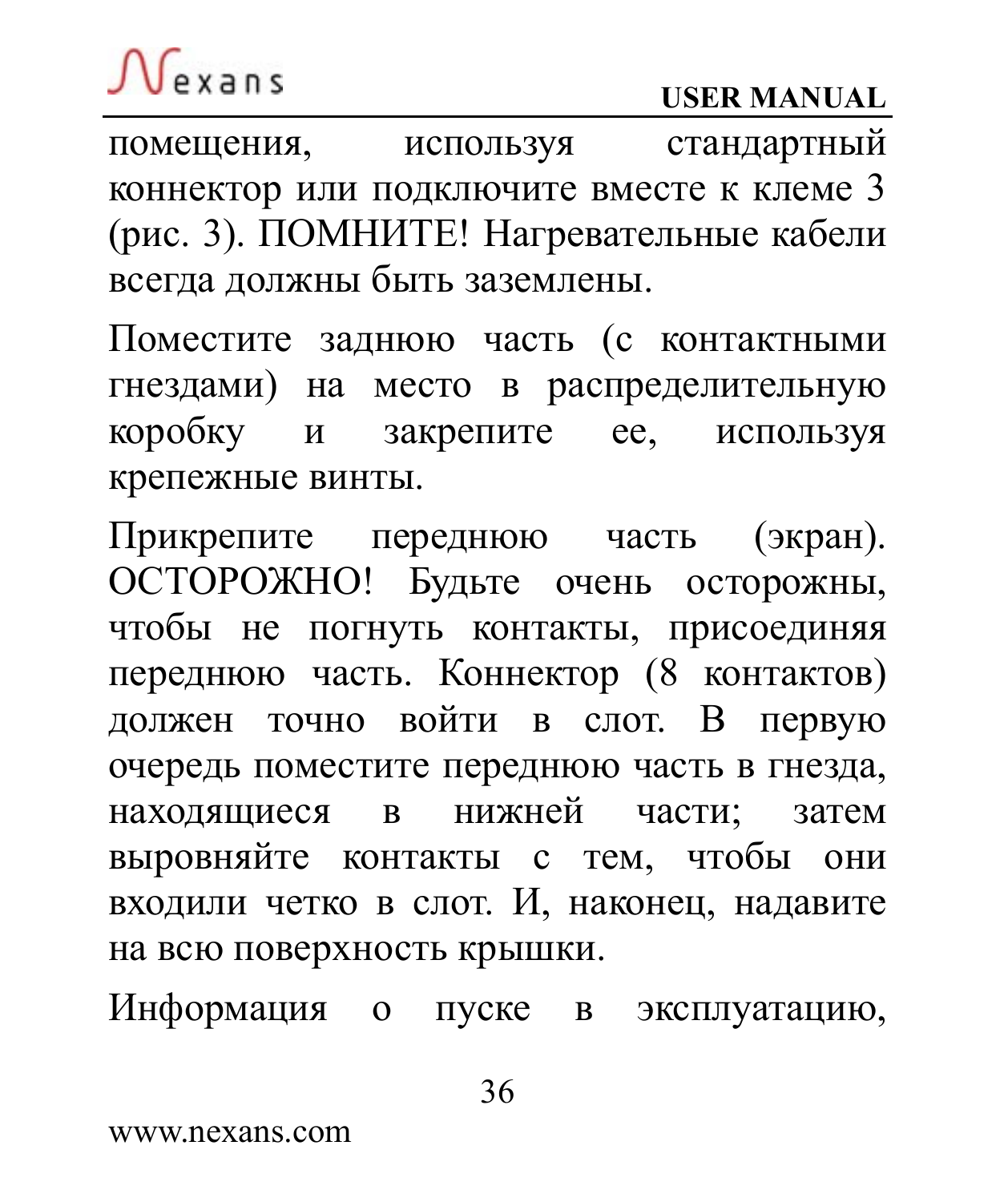помещения, используя стандартный коннектор или подключите вместе к клеме 3 (рис. 3). ПОМНИТЕ! Нагревательные кабели всегда должны быть заземлены.

Поместите заднюю часть (с контактными гнездами) на место в распределительную коробку и закрепите ее, используя крепежные винты.

Прикрепите переднюю часть (экран). ОСТОРОЖНО! Будьте очень осторожны, чтобы не погнуть контакты, присоединяя переднюю часть. Коннектор (8 контактов) должен точно войти в слот. В первую очередь поместите переднюю часть в гнезда, находящиеся в нижней части; затем выровняйте контакты с тем, чтобы они входили четко в слот. И, наконец, надавите на всю поверхность крышки.

Информация о пуске в эксплуатацию,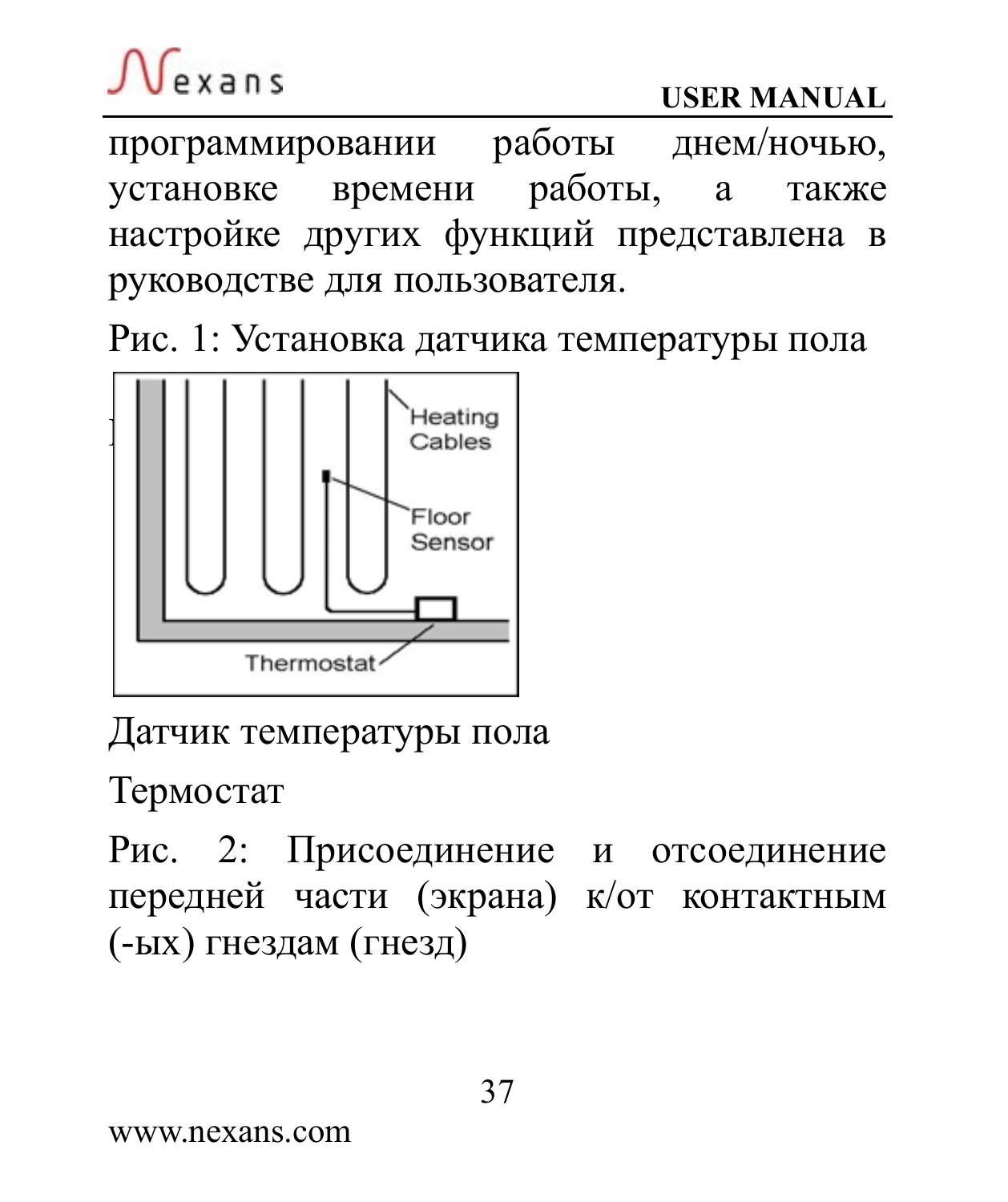# $V_{\text{exans}}$

программировании работы днем/ночью, установке времени работы, а также настройке других функций представлена в руководстве для пользователя.

Рис. 1: Установка датчика температуры пола



Датчик температуры пола

Термостат

Рис. 2: Присоединение и отсоединение передней части (экрана) к/от контактным (-ых) гнездам (гнезд)